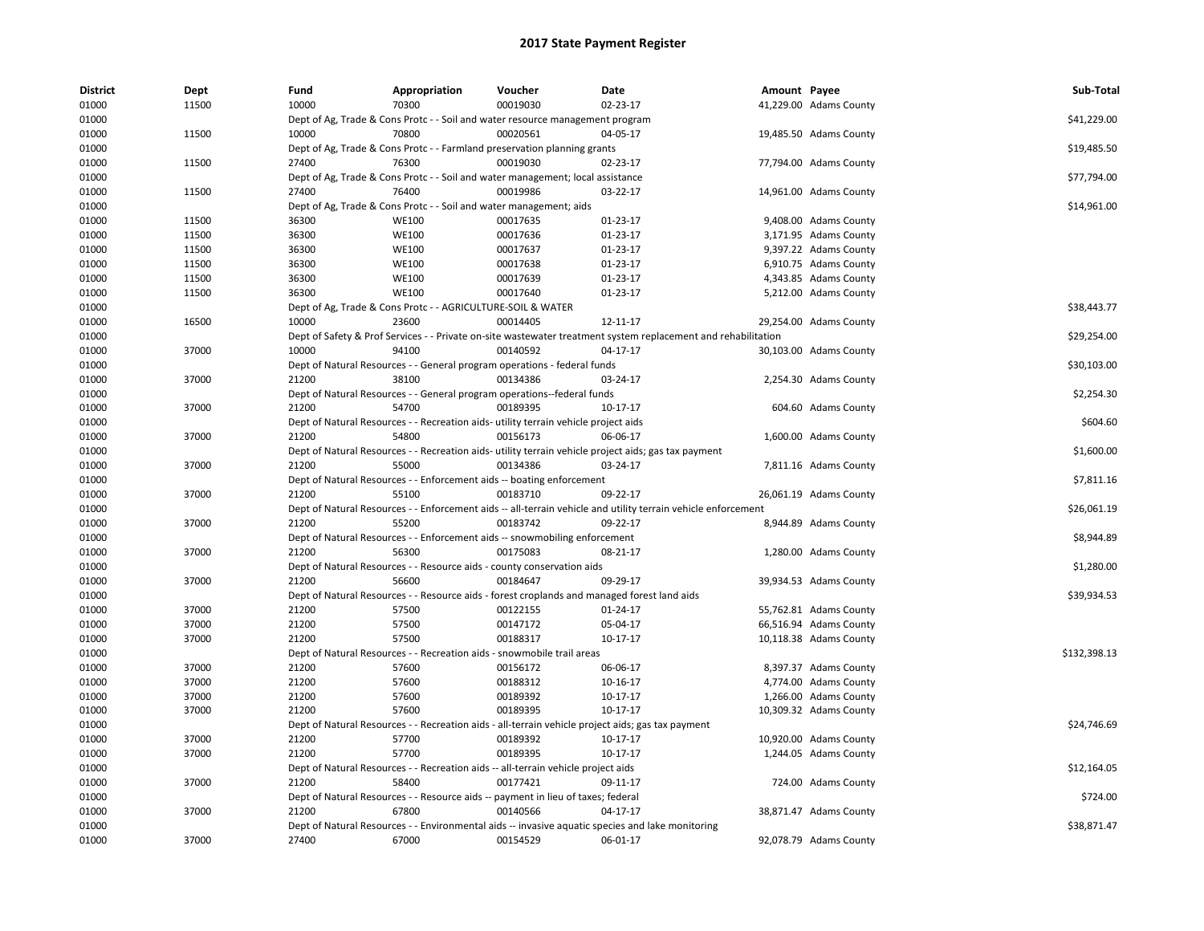| <b>District</b> | Dept           | Fund           | Appropriation                                                      | Voucher                                                                             | Date                                                                                                          | Amount Payee |                        | Sub-Total    |
|-----------------|----------------|----------------|--------------------------------------------------------------------|-------------------------------------------------------------------------------------|---------------------------------------------------------------------------------------------------------------|--------------|------------------------|--------------|
| 01000           | 11500          | 10000          | 70300                                                              | 00019030                                                                            | 02-23-17                                                                                                      |              | 41,229.00 Adams County |              |
| 01000           |                |                |                                                                    | Dept of Ag, Trade & Cons Protc - - Soil and water resource management program       |                                                                                                               |              |                        | \$41,229.00  |
| 01000           | 11500          | 10000          | 70800                                                              | 00020561                                                                            | 04-05-17                                                                                                      |              | 19,485.50 Adams County |              |
| 01000           |                |                |                                                                    | Dept of Ag, Trade & Cons Protc - - Farmland preservation planning grants            |                                                                                                               |              |                        | \$19,485.50  |
| 01000           | 11500          | 27400          | 76300                                                              | 00019030                                                                            | 02-23-17                                                                                                      |              | 77,794.00 Adams County |              |
| 01000           |                |                |                                                                    | Dept of Ag, Trade & Cons Protc - - Soil and water management; local assistance      |                                                                                                               |              |                        | \$77,794.00  |
| 01000           | 11500          | 27400          | 76400                                                              | 00019986                                                                            | 03-22-17                                                                                                      |              | 14,961.00 Adams County |              |
| 01000           |                |                | Dept of Ag, Trade & Cons Protc - - Soil and water management; aids |                                                                                     |                                                                                                               |              |                        | \$14,961.00  |
| 01000           | 11500          | 36300          | <b>WE100</b>                                                       | 00017635                                                                            | $01-23-17$                                                                                                    |              | 9,408.00 Adams County  |              |
| 01000           | 11500          | 36300          | <b>WE100</b>                                                       | 00017636                                                                            | 01-23-17                                                                                                      |              | 3,171.95 Adams County  |              |
| 01000           | 11500          | 36300          | <b>WE100</b>                                                       | 00017637                                                                            | 01-23-17                                                                                                      |              | 9,397.22 Adams County  |              |
| 01000           | 11500          | 36300          | <b>WE100</b>                                                       | 00017638                                                                            | 01-23-17                                                                                                      |              | 6,910.75 Adams County  |              |
| 01000           | 11500          | 36300          | <b>WE100</b>                                                       | 00017639                                                                            | 01-23-17                                                                                                      |              | 4,343.85 Adams County  |              |
| 01000           | 11500          | 36300          | <b>WE100</b>                                                       | 00017640                                                                            | 01-23-17                                                                                                      |              | 5,212.00 Adams County  |              |
| 01000           |                |                | Dept of Ag, Trade & Cons Protc - - AGRICULTURE-SOIL & WATER        |                                                                                     |                                                                                                               |              |                        | \$38,443.77  |
| 01000           | 16500          | 10000          | 23600                                                              | 00014405                                                                            | 12-11-17                                                                                                      |              | 29,254.00 Adams County |              |
| 01000           |                |                |                                                                    |                                                                                     | Dept of Safety & Prof Services - - Private on-site wastewater treatment system replacement and rehabilitation |              |                        | \$29,254.00  |
| 01000           | 37000          | 10000          | 94100                                                              | 00140592                                                                            | 04-17-17                                                                                                      |              | 30,103.00 Adams County |              |
| 01000           |                |                |                                                                    | Dept of Natural Resources - - General program operations - federal funds            |                                                                                                               |              |                        | \$30,103.00  |
| 01000           | 37000          | 21200          | 38100                                                              | 00134386                                                                            | 03-24-17                                                                                                      |              | 2,254.30 Adams County  |              |
| 01000           |                |                |                                                                    | Dept of Natural Resources - - General program operations--federal funds             |                                                                                                               |              |                        | \$2,254.30   |
| 01000           | 37000          | 21200          | 54700                                                              | 00189395                                                                            | 10-17-17                                                                                                      |              | 604.60 Adams County    |              |
| 01000           |                |                |                                                                    | Dept of Natural Resources - - Recreation aids- utility terrain vehicle project aids |                                                                                                               |              |                        | \$604.60     |
| 01000           | 37000          | 21200          | 54800                                                              | 00156173                                                                            | 06-06-17                                                                                                      |              | 1,600.00 Adams County  |              |
| 01000           |                |                |                                                                    |                                                                                     | Dept of Natural Resources - - Recreation aids- utility terrain vehicle project aids; gas tax payment          |              |                        | \$1,600.00   |
| 01000           | 37000          | 21200          | 55000                                                              | 00134386                                                                            | 03-24-17                                                                                                      |              | 7,811.16 Adams County  |              |
| 01000           |                |                |                                                                    | Dept of Natural Resources - - Enforcement aids -- boating enforcement               |                                                                                                               |              |                        | \$7,811.16   |
| 01000           | 37000          | 21200          | 55100                                                              | 00183710                                                                            | 09-22-17                                                                                                      |              | 26,061.19 Adams County |              |
| 01000           |                |                |                                                                    |                                                                                     | Dept of Natural Resources - - Enforcement aids -- all-terrain vehicle and utility terrain vehicle enforcement |              |                        | \$26,061.19  |
| 01000           | 37000          | 21200          | 55200                                                              | 00183742                                                                            | 09-22-17                                                                                                      |              | 8,944.89 Adams County  |              |
| 01000           |                |                |                                                                    | Dept of Natural Resources - - Enforcement aids -- snowmobiling enforcement          |                                                                                                               |              |                        | \$8,944.89   |
| 01000           | 37000          | 21200          | 56300                                                              | 00175083                                                                            | 08-21-17                                                                                                      |              | 1,280.00 Adams County  |              |
| 01000           |                |                |                                                                    | Dept of Natural Resources - - Resource aids - county conservation aids              |                                                                                                               |              |                        | \$1,280.00   |
| 01000           | 37000          | 21200          | 56600                                                              | 00184647                                                                            | 09-29-17                                                                                                      |              | 39,934.53 Adams County |              |
| 01000           |                |                |                                                                    |                                                                                     | Dept of Natural Resources - - Resource aids - forest croplands and managed forest land aids                   |              |                        | \$39,934.53  |
| 01000           | 37000          | 21200          | 57500                                                              | 00122155                                                                            | $01 - 24 - 17$                                                                                                |              | 55,762.81 Adams County |              |
| 01000           | 37000          | 21200          | 57500                                                              | 00147172                                                                            | 05-04-17                                                                                                      |              | 66,516.94 Adams County |              |
| 01000           | 37000          | 21200          | 57500                                                              | 00188317                                                                            | 10-17-17                                                                                                      |              | 10,118.38 Adams County |              |
| 01000           |                |                |                                                                    | Dept of Natural Resources - - Recreation aids - snowmobile trail areas              |                                                                                                               |              |                        | \$132,398.13 |
| 01000           | 37000          | 21200          | 57600                                                              | 00156172                                                                            | 06-06-17                                                                                                      |              | 8,397.37 Adams County  |              |
| 01000           | 37000          | 21200          | 57600                                                              | 00188312                                                                            | 10-16-17                                                                                                      |              | 4,774.00 Adams County  |              |
| 01000           | 37000          | 21200          | 57600                                                              | 00189392                                                                            | 10-17-17                                                                                                      |              | 1,266.00 Adams County  |              |
| 01000           | 37000          | 21200          | 57600                                                              | 00189395                                                                            | 10-17-17                                                                                                      |              | 10,309.32 Adams County |              |
| 01000           |                |                |                                                                    |                                                                                     | Dept of Natural Resources - - Recreation aids - all-terrain vehicle project aids; gas tax payment             |              |                        | \$24,746.69  |
|                 |                |                | 57700                                                              |                                                                                     |                                                                                                               |              |                        |              |
| 01000           | 37000<br>37000 | 21200<br>21200 | 57700                                                              | 00189392<br>00189395                                                                | 10-17-17                                                                                                      |              | 10,920.00 Adams County |              |
| 01000           |                |                |                                                                    |                                                                                     | 10-17-17                                                                                                      |              | 1,244.05 Adams County  |              |
| 01000           |                |                |                                                                    | Dept of Natural Resources - - Recreation aids -- all-terrain vehicle project aids   |                                                                                                               |              |                        | \$12,164.05  |
| 01000           | 37000          | 21200          | 58400                                                              | 00177421                                                                            | 09-11-17                                                                                                      |              | 724.00 Adams County    |              |
| 01000           |                |                |                                                                    | Dept of Natural Resources - - Resource aids -- payment in lieu of taxes; federal    |                                                                                                               |              |                        | \$724.00     |
| 01000           | 37000          | 21200          | 67800                                                              | 00140566                                                                            | 04-17-17                                                                                                      |              | 38,871.47 Adams County |              |
| 01000           |                |                |                                                                    |                                                                                     | Dept of Natural Resources - - Environmental aids -- invasive aquatic species and lake monitoring              |              |                        | \$38,871.47  |
| 01000           | 37000          | 27400          | 67000                                                              | 00154529                                                                            | 06-01-17                                                                                                      |              | 92,078.79 Adams County |              |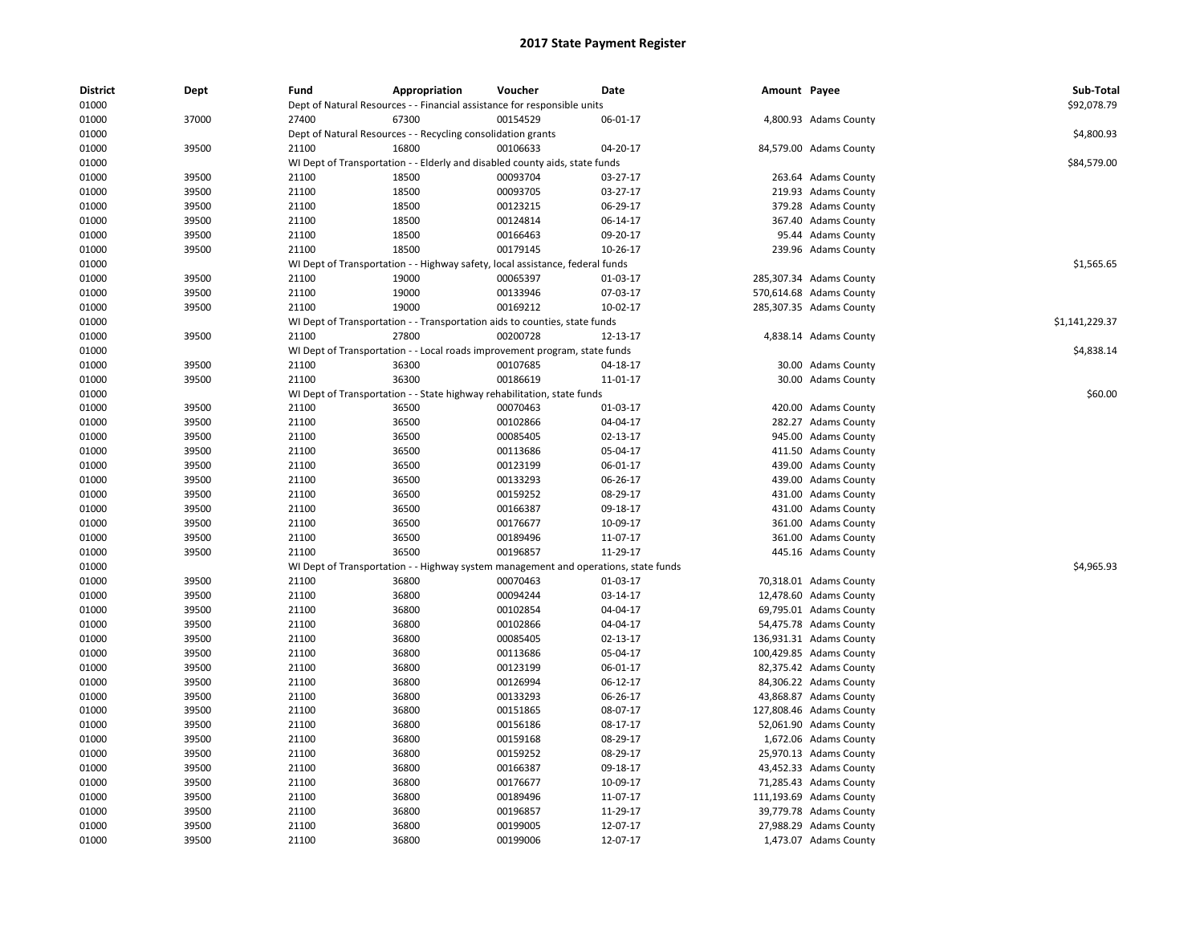| <b>District</b><br>01000 | Dept  | Fund  | Appropriation<br>Dept of Natural Resources - - Financial assistance for responsible units | Voucher  | Date           | Amount Payee |                         | Sub-Total<br>\$92,078.79 |
|--------------------------|-------|-------|-------------------------------------------------------------------------------------------|----------|----------------|--------------|-------------------------|--------------------------|
|                          | 37000 | 27400 | 67300                                                                                     | 00154529 | 06-01-17       |              | 4,800.93 Adams County   |                          |
| 01000<br>01000           |       |       |                                                                                           |          |                |              |                         | \$4,800.93               |
| 01000                    | 39500 | 21100 | Dept of Natural Resources - - Recycling consolidation grants<br>16800                     | 00106633 | 04-20-17       |              | 84,579.00 Adams County  |                          |
| 01000                    |       |       | WI Dept of Transportation - - Elderly and disabled county aids, state funds               |          |                |              |                         | \$84,579.00              |
|                          |       |       |                                                                                           |          |                |              |                         |                          |
| 01000                    | 39500 | 21100 | 18500                                                                                     | 00093704 | 03-27-17       |              | 263.64 Adams County     |                          |
| 01000                    | 39500 | 21100 | 18500<br>18500                                                                            | 00093705 | 03-27-17       |              | 219.93 Adams County     |                          |
| 01000                    | 39500 | 21100 |                                                                                           | 00123215 | 06-29-17       |              | 379.28 Adams County     |                          |
| 01000                    | 39500 | 21100 | 18500                                                                                     | 00124814 | 06-14-17       |              | 367.40 Adams County     |                          |
| 01000                    | 39500 | 21100 | 18500                                                                                     | 00166463 | 09-20-17       |              | 95.44 Adams County      |                          |
| 01000                    | 39500 | 21100 | 18500                                                                                     | 00179145 | 10-26-17       |              | 239.96 Adams County     |                          |
| 01000                    |       |       | WI Dept of Transportation - - Highway safety, local assistance, federal funds             |          |                |              |                         | \$1,565.65               |
| 01000                    | 39500 | 21100 | 19000                                                                                     | 00065397 | 01-03-17       |              | 285,307.34 Adams County |                          |
| 01000                    | 39500 | 21100 | 19000                                                                                     | 00133946 | 07-03-17       |              | 570,614.68 Adams County |                          |
| 01000                    | 39500 | 21100 | 19000                                                                                     | 00169212 | 10-02-17       |              | 285,307.35 Adams County |                          |
| 01000                    |       |       | WI Dept of Transportation - - Transportation aids to counties, state funds                |          |                |              |                         | \$1,141,229.37           |
| 01000                    | 39500 | 21100 | 27800                                                                                     | 00200728 | 12-13-17       |              | 4,838.14 Adams County   |                          |
| 01000                    |       |       | WI Dept of Transportation - - Local roads improvement program, state funds                |          |                |              |                         | \$4,838.14               |
| 01000                    | 39500 | 21100 | 36300                                                                                     | 00107685 | 04-18-17       |              | 30.00 Adams County      |                          |
| 01000                    | 39500 | 21100 | 36300                                                                                     | 00186619 | $11 - 01 - 17$ |              | 30.00 Adams County      |                          |
| 01000                    |       |       | WI Dept of Transportation - - State highway rehabilitation, state funds                   |          |                |              |                         | \$60.00                  |
| 01000                    | 39500 | 21100 | 36500                                                                                     | 00070463 | 01-03-17       |              | 420.00 Adams County     |                          |
| 01000                    | 39500 | 21100 | 36500                                                                                     | 00102866 | 04-04-17       |              | 282.27 Adams County     |                          |
| 01000                    | 39500 | 21100 | 36500                                                                                     | 00085405 | 02-13-17       |              | 945.00 Adams County     |                          |
| 01000                    | 39500 | 21100 | 36500                                                                                     | 00113686 | 05-04-17       |              | 411.50 Adams County     |                          |
| 01000                    | 39500 | 21100 | 36500                                                                                     | 00123199 | 06-01-17       |              | 439.00 Adams County     |                          |
| 01000                    | 39500 | 21100 | 36500                                                                                     | 00133293 | 06-26-17       |              | 439.00 Adams County     |                          |
| 01000                    | 39500 | 21100 | 36500                                                                                     | 00159252 | 08-29-17       |              | 431.00 Adams County     |                          |
| 01000                    | 39500 | 21100 | 36500                                                                                     | 00166387 | 09-18-17       |              | 431.00 Adams County     |                          |
| 01000                    | 39500 | 21100 | 36500                                                                                     | 00176677 | 10-09-17       |              | 361.00 Adams County     |                          |
| 01000                    | 39500 | 21100 | 36500                                                                                     | 00189496 | 11-07-17       |              | 361.00 Adams County     |                          |
| 01000                    | 39500 | 21100 | 36500                                                                                     | 00196857 | 11-29-17       |              | 445.16 Adams County     |                          |
| 01000                    |       |       | WI Dept of Transportation - - Highway system management and operations, state funds       |          |                |              |                         | \$4,965.93               |
| 01000                    | 39500 | 21100 | 36800                                                                                     | 00070463 | 01-03-17       |              | 70,318.01 Adams County  |                          |
| 01000                    | 39500 | 21100 | 36800                                                                                     | 00094244 | 03-14-17       |              | 12,478.60 Adams County  |                          |
| 01000                    | 39500 | 21100 | 36800                                                                                     | 00102854 | 04-04-17       |              | 69,795.01 Adams County  |                          |
| 01000                    | 39500 | 21100 | 36800                                                                                     | 00102866 | 04-04-17       |              | 54,475.78 Adams County  |                          |
| 01000                    | 39500 | 21100 | 36800                                                                                     | 00085405 | 02-13-17       |              | 136,931.31 Adams County |                          |
| 01000                    | 39500 | 21100 | 36800                                                                                     | 00113686 | 05-04-17       |              | 100,429.85 Adams County |                          |
| 01000                    | 39500 | 21100 | 36800                                                                                     | 00123199 | 06-01-17       |              | 82,375.42 Adams County  |                          |
| 01000                    | 39500 | 21100 | 36800                                                                                     | 00126994 | 06-12-17       |              | 84,306.22 Adams County  |                          |
| 01000                    | 39500 | 21100 | 36800                                                                                     | 00133293 | 06-26-17       |              | 43,868.87 Adams County  |                          |
| 01000                    | 39500 | 21100 | 36800                                                                                     | 00151865 | 08-07-17       |              | 127,808.46 Adams County |                          |
| 01000                    | 39500 | 21100 | 36800                                                                                     | 00156186 | 08-17-17       |              | 52,061.90 Adams County  |                          |
| 01000                    | 39500 | 21100 | 36800                                                                                     | 00159168 | 08-29-17       |              | 1,672.06 Adams County   |                          |
| 01000                    | 39500 | 21100 | 36800                                                                                     | 00159252 | 08-29-17       |              | 25,970.13 Adams County  |                          |
|                          |       | 21100 |                                                                                           | 00166387 |                |              |                         |                          |
| 01000                    | 39500 |       | 36800                                                                                     |          | 09-18-17       |              | 43,452.33 Adams County  |                          |
| 01000                    | 39500 | 21100 | 36800                                                                                     | 00176677 | 10-09-17       |              | 71,285.43 Adams County  |                          |
| 01000                    | 39500 | 21100 | 36800                                                                                     | 00189496 | 11-07-17       |              | 111,193.69 Adams County |                          |
| 01000                    | 39500 | 21100 | 36800                                                                                     | 00196857 | 11-29-17       |              | 39,779.78 Adams County  |                          |
| 01000                    | 39500 | 21100 | 36800                                                                                     | 00199005 | 12-07-17       |              | 27,988.29 Adams County  |                          |
| 01000                    | 39500 | 21100 | 36800                                                                                     | 00199006 | 12-07-17       |              | 1,473.07 Adams County   |                          |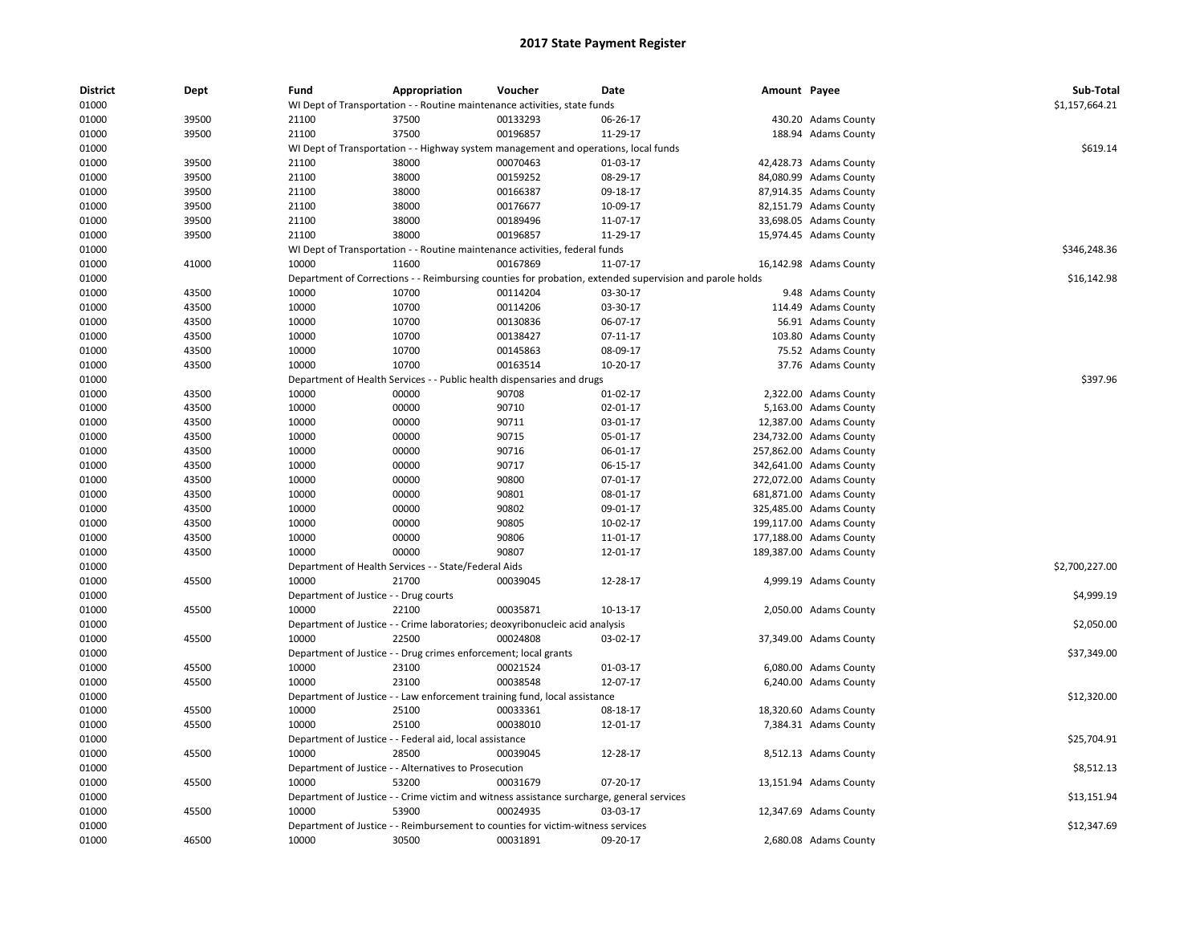| <b>District</b> | Dept  | Fund                                  | Appropriation                                                   | Voucher                                                                                   | <b>Date</b>                                                                                             | Amount Payee |                         | Sub-Total      |
|-----------------|-------|---------------------------------------|-----------------------------------------------------------------|-------------------------------------------------------------------------------------------|---------------------------------------------------------------------------------------------------------|--------------|-------------------------|----------------|
| 01000           |       |                                       |                                                                 | WI Dept of Transportation - - Routine maintenance activities, state funds                 |                                                                                                         |              |                         | \$1,157,664.21 |
| 01000           | 39500 | 21100                                 | 37500                                                           | 00133293                                                                                  | 06-26-17                                                                                                |              | 430.20 Adams County     |                |
| 01000           | 39500 | 21100                                 | 37500                                                           | 00196857                                                                                  | 11-29-17                                                                                                |              | 188.94 Adams County     |                |
| 01000           |       |                                       |                                                                 | WI Dept of Transportation - - Highway system management and operations, local funds       |                                                                                                         |              |                         | \$619.14       |
| 01000           | 39500 | 21100                                 | 38000                                                           | 00070463                                                                                  | 01-03-17                                                                                                |              | 42,428.73 Adams County  |                |
| 01000           | 39500 | 21100                                 | 38000                                                           | 00159252                                                                                  | 08-29-17                                                                                                |              | 84,080.99 Adams County  |                |
| 01000           | 39500 | 21100                                 | 38000                                                           | 00166387                                                                                  | 09-18-17                                                                                                |              | 87,914.35 Adams County  |                |
| 01000           | 39500 | 21100                                 | 38000                                                           | 00176677                                                                                  | 10-09-17                                                                                                |              | 82,151.79 Adams County  |                |
| 01000           | 39500 | 21100                                 | 38000                                                           | 00189496                                                                                  | 11-07-17                                                                                                |              | 33,698.05 Adams County  |                |
| 01000           | 39500 | 21100                                 | 38000                                                           | 00196857                                                                                  | 11-29-17                                                                                                |              | 15,974.45 Adams County  |                |
| 01000           |       |                                       |                                                                 | WI Dept of Transportation - - Routine maintenance activities, federal funds               |                                                                                                         |              |                         | \$346,248.36   |
| 01000           | 41000 | 10000                                 | 11600                                                           | 00167869                                                                                  | 11-07-17                                                                                                |              | 16,142.98 Adams County  |                |
| 01000           |       |                                       |                                                                 |                                                                                           | Department of Corrections - - Reimbursing counties for probation, extended supervision and parole holds |              |                         | \$16,142.98    |
| 01000           | 43500 | 10000                                 | 10700                                                           | 00114204                                                                                  | 03-30-17                                                                                                |              | 9.48 Adams County       |                |
| 01000           | 43500 | 10000                                 | 10700                                                           | 00114206                                                                                  | 03-30-17                                                                                                |              | 114.49 Adams County     |                |
| 01000           | 43500 | 10000                                 | 10700                                                           | 00130836                                                                                  | 06-07-17                                                                                                |              | 56.91 Adams County      |                |
| 01000           | 43500 | 10000                                 | 10700                                                           | 00138427                                                                                  | 07-11-17                                                                                                |              | 103.80 Adams County     |                |
| 01000           | 43500 | 10000                                 | 10700                                                           | 00145863                                                                                  | 08-09-17                                                                                                |              | 75.52 Adams County      |                |
| 01000           | 43500 | 10000                                 | 10700                                                           | 00163514                                                                                  | 10-20-17                                                                                                |              | 37.76 Adams County      |                |
| 01000           |       |                                       |                                                                 | Department of Health Services - - Public health dispensaries and drugs                    |                                                                                                         |              |                         | \$397.96       |
| 01000           | 43500 | 10000                                 | 00000                                                           | 90708                                                                                     | 01-02-17                                                                                                |              | 2,322.00 Adams County   |                |
| 01000           | 43500 | 10000                                 | 00000                                                           | 90710                                                                                     | 02-01-17                                                                                                |              | 5,163.00 Adams County   |                |
| 01000           | 43500 | 10000                                 | 00000                                                           | 90711                                                                                     | 03-01-17                                                                                                |              | 12,387.00 Adams County  |                |
| 01000           | 43500 | 10000                                 | 00000                                                           | 90715                                                                                     | 05-01-17                                                                                                |              | 234,732.00 Adams County |                |
| 01000           | 43500 | 10000                                 | 00000                                                           | 90716                                                                                     | 06-01-17                                                                                                |              | 257,862.00 Adams County |                |
| 01000           | 43500 | 10000                                 | 00000                                                           | 90717                                                                                     | 06-15-17                                                                                                |              | 342,641.00 Adams County |                |
| 01000           | 43500 | 10000                                 | 00000                                                           | 90800                                                                                     | 07-01-17                                                                                                |              | 272,072.00 Adams County |                |
| 01000           | 43500 | 10000                                 | 00000                                                           | 90801                                                                                     | 08-01-17                                                                                                |              | 681,871.00 Adams County |                |
| 01000           | 43500 | 10000                                 | 00000                                                           | 90802                                                                                     | 09-01-17                                                                                                |              | 325,485.00 Adams County |                |
| 01000           | 43500 | 10000                                 | 00000                                                           | 90805                                                                                     | 10-02-17                                                                                                |              | 199,117.00 Adams County |                |
| 01000           | 43500 | 10000                                 | 00000                                                           | 90806                                                                                     | 11-01-17                                                                                                |              | 177,188.00 Adams County |                |
| 01000           | 43500 | 10000                                 | 00000                                                           | 90807                                                                                     | 12-01-17                                                                                                |              | 189,387.00 Adams County |                |
| 01000           |       |                                       | Department of Health Services - - State/Federal Aids            |                                                                                           |                                                                                                         |              |                         | \$2,700,227.00 |
| 01000           | 45500 | 10000                                 | 21700                                                           | 00039045                                                                                  | 12-28-17                                                                                                |              | 4,999.19 Adams County   |                |
| 01000           |       | Department of Justice - - Drug courts |                                                                 |                                                                                           |                                                                                                         |              |                         | \$4,999.19     |
| 01000           | 45500 | 10000                                 | 22100                                                           | 00035871                                                                                  | 10-13-17                                                                                                |              | 2,050.00 Adams County   |                |
| 01000           |       |                                       |                                                                 | Department of Justice - - Crime laboratories; deoxyribonucleic acid analysis              |                                                                                                         |              |                         | \$2,050.00     |
| 01000           | 45500 | 10000                                 | 22500                                                           | 00024808                                                                                  | 03-02-17                                                                                                |              | 37,349.00 Adams County  |                |
| 01000           |       |                                       | Department of Justice - - Drug crimes enforcement; local grants |                                                                                           |                                                                                                         |              |                         | \$37,349.00    |
| 01000           | 45500 | 10000                                 | 23100                                                           | 00021524                                                                                  | 01-03-17                                                                                                |              | 6,080.00 Adams County   |                |
| 01000           | 45500 | 10000                                 | 23100                                                           | 00038548                                                                                  | 12-07-17                                                                                                |              | 6,240.00 Adams County   |                |
| 01000           |       |                                       |                                                                 | Department of Justice - - Law enforcement training fund, local assistance                 |                                                                                                         |              |                         | \$12,320.00    |
| 01000           | 45500 | 10000                                 | 25100                                                           | 00033361                                                                                  | 08-18-17                                                                                                |              | 18,320.60 Adams County  |                |
| 01000           | 45500 | 10000                                 | 25100                                                           | 00038010                                                                                  | 12-01-17                                                                                                |              | 7,384.31 Adams County   |                |
| 01000           |       |                                       | Department of Justice - - Federal aid, local assistance         |                                                                                           |                                                                                                         |              |                         | \$25,704.91    |
| 01000           | 45500 | 10000                                 | 28500                                                           | 00039045                                                                                  | 12-28-17                                                                                                |              | 8,512.13 Adams County   |                |
| 01000           |       |                                       | Department of Justice - - Alternatives to Prosecution           |                                                                                           |                                                                                                         |              |                         | \$8,512.13     |
| 01000           | 45500 | 10000                                 | 53200                                                           | 00031679                                                                                  | 07-20-17                                                                                                |              | 13,151.94 Adams County  |                |
| 01000           |       |                                       |                                                                 | Department of Justice - - Crime victim and witness assistance surcharge, general services |                                                                                                         |              |                         | \$13,151.94    |
| 01000           | 45500 | 10000                                 | 53900                                                           | 00024935                                                                                  | 03-03-17                                                                                                |              | 12,347.69 Adams County  |                |
| 01000           |       |                                       |                                                                 | Department of Justice - - Reimbursement to counties for victim-witness services           |                                                                                                         |              |                         | \$12,347.69    |
|                 |       |                                       |                                                                 |                                                                                           |                                                                                                         |              |                         |                |
| 01000           | 46500 | 10000                                 | 30500                                                           | 00031891                                                                                  | 09-20-17                                                                                                |              | 2,680.08 Adams County   |                |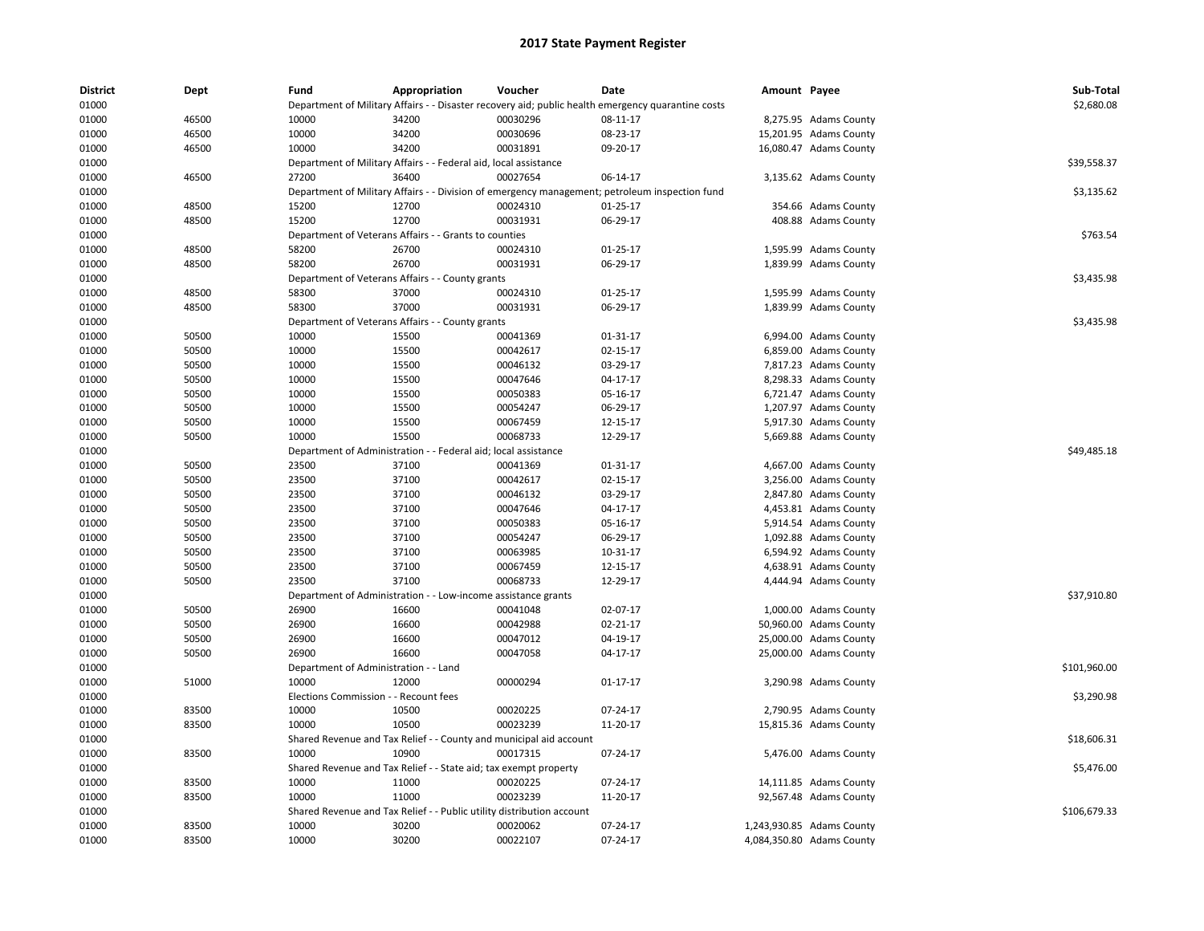| <b>District</b> | Dept  | Fund                                  | Appropriation                                                         | Voucher                         | Date                                                                                               | Amount Payee |                           | Sub-Total    |
|-----------------|-------|---------------------------------------|-----------------------------------------------------------------------|---------------------------------|----------------------------------------------------------------------------------------------------|--------------|---------------------------|--------------|
| 01000           |       |                                       |                                                                       |                                 | Department of Military Affairs - - Disaster recovery aid; public health emergency quarantine costs |              |                           | \$2,680.08   |
| 01000           | 46500 | 10000                                 | 34200                                                                 | 00030296                        | 08-11-17                                                                                           |              | 8,275.95 Adams County     |              |
| 01000           | 46500 | 10000                                 | 34200                                                                 | 00030696                        | 08-23-17                                                                                           |              | 15,201.95 Adams County    |              |
| 01000           | 46500 | 10000                                 | 34200                                                                 | 00031891                        | 09-20-17                                                                                           |              | 16,080.47 Adams County    |              |
| 01000           |       |                                       | Department of Military Affairs - - Federal aid, local assistance      |                                 |                                                                                                    |              |                           | \$39,558.37  |
| 01000           | 46500 | 27200                                 | 36400                                                                 | 00027654                        | 06-14-17                                                                                           |              | 3,135.62 Adams County     |              |
| 01000           |       |                                       |                                                                       |                                 | Department of Military Affairs - - Division of emergency management; petroleum inspection fund     |              |                           | \$3,135.62   |
| 01000           | 48500 | 15200                                 | 12700                                                                 | 00024310                        | 01-25-17                                                                                           |              | 354.66 Adams County       |              |
| 01000           | 48500 | 15200                                 | 12700                                                                 | 00031931                        | 06-29-17                                                                                           |              | 408.88 Adams County       |              |
| 01000           |       |                                       | Department of Veterans Affairs - - Grants to counties                 |                                 |                                                                                                    |              |                           | \$763.54     |
| 01000           | 48500 | 58200                                 | 26700                                                                 | 00024310                        | $01 - 25 - 17$                                                                                     |              | 1,595.99 Adams County     |              |
| 01000           | 48500 | 58200                                 | 26700                                                                 | 00031931                        | 06-29-17                                                                                           |              | 1,839.99 Adams County     |              |
| 01000           |       |                                       | Department of Veterans Affairs - - County grants                      |                                 |                                                                                                    |              |                           | \$3,435.98   |
| 01000           | 48500 | 58300                                 | 37000                                                                 | 00024310                        | $01 - 25 - 17$                                                                                     |              | 1,595.99 Adams County     |              |
| 01000           | 48500 | 58300                                 | 37000                                                                 | 00031931                        | 06-29-17                                                                                           |              | 1,839.99 Adams County     |              |
| 01000           |       |                                       | Department of Veterans Affairs - - County grants                      |                                 |                                                                                                    |              |                           | \$3,435.98   |
| 01000           | 50500 | 10000                                 | 15500                                                                 | 00041369                        | 01-31-17                                                                                           |              | 6,994.00 Adams County     |              |
| 01000           | 50500 | 10000                                 | 15500                                                                 | 00042617                        | 02-15-17                                                                                           |              | 6,859.00 Adams County     |              |
| 01000           | 50500 | 10000                                 | 15500                                                                 | 00046132                        | 03-29-17                                                                                           |              | 7,817.23 Adams County     |              |
| 01000           | 50500 | 10000                                 | 15500                                                                 | 00047646                        | 04-17-17                                                                                           |              | 8,298.33 Adams County     |              |
| 01000           | 50500 | 10000                                 | 15500                                                                 | 00050383                        | 05-16-17                                                                                           |              | 6,721.47 Adams County     |              |
| 01000           | 50500 | 10000                                 | 15500                                                                 | 00054247                        | 06-29-17                                                                                           |              | 1,207.97 Adams County     |              |
|                 |       |                                       |                                                                       |                                 |                                                                                                    |              |                           |              |
| 01000           | 50500 | 10000                                 | 15500                                                                 | 00067459                        | 12-15-17                                                                                           |              | 5,917.30 Adams County     |              |
| 01000           | 50500 | 10000                                 | 15500                                                                 | 00068733                        | 12-29-17                                                                                           |              | 5,669.88 Adams County     |              |
| 01000           |       | Department of Administration          |                                                                       | - Federal aid; local assistance |                                                                                                    |              |                           | \$49,485.18  |
| 01000           | 50500 | 23500                                 | 37100                                                                 | 00041369                        | $01 - 31 - 17$                                                                                     |              | 4,667.00 Adams County     |              |
| 01000           | 50500 | 23500                                 | 37100                                                                 | 00042617                        | 02-15-17                                                                                           |              | 3,256.00 Adams County     |              |
| 01000           | 50500 | 23500                                 | 37100                                                                 | 00046132                        | 03-29-17                                                                                           |              | 2,847.80 Adams County     |              |
| 01000           | 50500 | 23500                                 | 37100                                                                 | 00047646                        | 04-17-17                                                                                           |              | 4,453.81 Adams County     |              |
| 01000           | 50500 | 23500                                 | 37100                                                                 | 00050383                        | 05-16-17                                                                                           |              | 5,914.54 Adams County     |              |
| 01000           | 50500 | 23500                                 | 37100                                                                 | 00054247                        | 06-29-17                                                                                           |              | 1,092.88 Adams County     |              |
| 01000           | 50500 | 23500                                 | 37100                                                                 | 00063985                        | 10-31-17                                                                                           |              | 6,594.92 Adams County     |              |
| 01000           | 50500 | 23500                                 | 37100                                                                 | 00067459                        | 12-15-17                                                                                           |              | 4,638.91 Adams County     |              |
| 01000           | 50500 | 23500                                 | 37100                                                                 | 00068733                        | 12-29-17                                                                                           |              | 4,444.94 Adams County     |              |
| 01000           |       |                                       | Department of Administration - - Low-income assistance grants         |                                 |                                                                                                    |              |                           | \$37,910.80  |
| 01000           | 50500 | 26900                                 | 16600                                                                 | 00041048                        | 02-07-17                                                                                           |              | 1,000.00 Adams County     |              |
| 01000           | 50500 | 26900                                 | 16600                                                                 | 00042988                        | $02 - 21 - 17$                                                                                     |              | 50,960.00 Adams County    |              |
| 01000           | 50500 | 26900                                 | 16600                                                                 | 00047012                        | 04-19-17                                                                                           |              | 25,000.00 Adams County    |              |
| 01000           | 50500 | 26900                                 | 16600                                                                 | 00047058                        | 04-17-17                                                                                           |              | 25,000.00 Adams County    |              |
| 01000           |       | Department of Administration - - Land |                                                                       |                                 |                                                                                                    |              |                           | \$101,960.00 |
| 01000           | 51000 | 10000                                 | 12000                                                                 | 00000294                        | $01 - 17 - 17$                                                                                     |              | 3,290.98 Adams County     |              |
| 01000           |       | <b>Elections Commission</b>           | - - Recount fees                                                      |                                 |                                                                                                    |              |                           | \$3,290.98   |
| 01000           | 83500 | 10000                                 | 10500                                                                 | 00020225                        | 07-24-17                                                                                           |              | 2,790.95 Adams County     |              |
| 01000           | 83500 | 10000                                 | 10500                                                                 | 00023239                        | 11-20-17                                                                                           |              | 15,815.36 Adams County    |              |
| 01000           |       |                                       | Shared Revenue and Tax Relief - - County and municipal aid account    |                                 |                                                                                                    |              |                           | \$18,606.31  |
| 01000           | 83500 | 10000                                 | 10900                                                                 | 00017315                        | 07-24-17                                                                                           |              | 5,476.00 Adams County     |              |
| 01000           |       |                                       | Shared Revenue and Tax Relief - - State aid; tax exempt property      |                                 |                                                                                                    |              |                           | \$5,476.00   |
| 01000           | 83500 | 10000                                 | 11000                                                                 | 00020225                        | 07-24-17                                                                                           |              | 14,111.85 Adams County    |              |
| 01000           | 83500 | 10000                                 | 11000                                                                 | 00023239                        | 11-20-17                                                                                           |              | 92,567.48 Adams County    |              |
| 01000           |       |                                       | Shared Revenue and Tax Relief - - Public utility distribution account |                                 |                                                                                                    |              |                           | \$106,679.33 |
| 01000           | 83500 | 10000                                 | 30200                                                                 | 00020062                        | 07-24-17                                                                                           |              | 1,243,930.85 Adams County |              |
| 01000           | 83500 | 10000                                 | 30200                                                                 | 00022107                        | 07-24-17                                                                                           |              | 4,084,350.80 Adams County |              |
|                 |       |                                       |                                                                       |                                 |                                                                                                    |              |                           |              |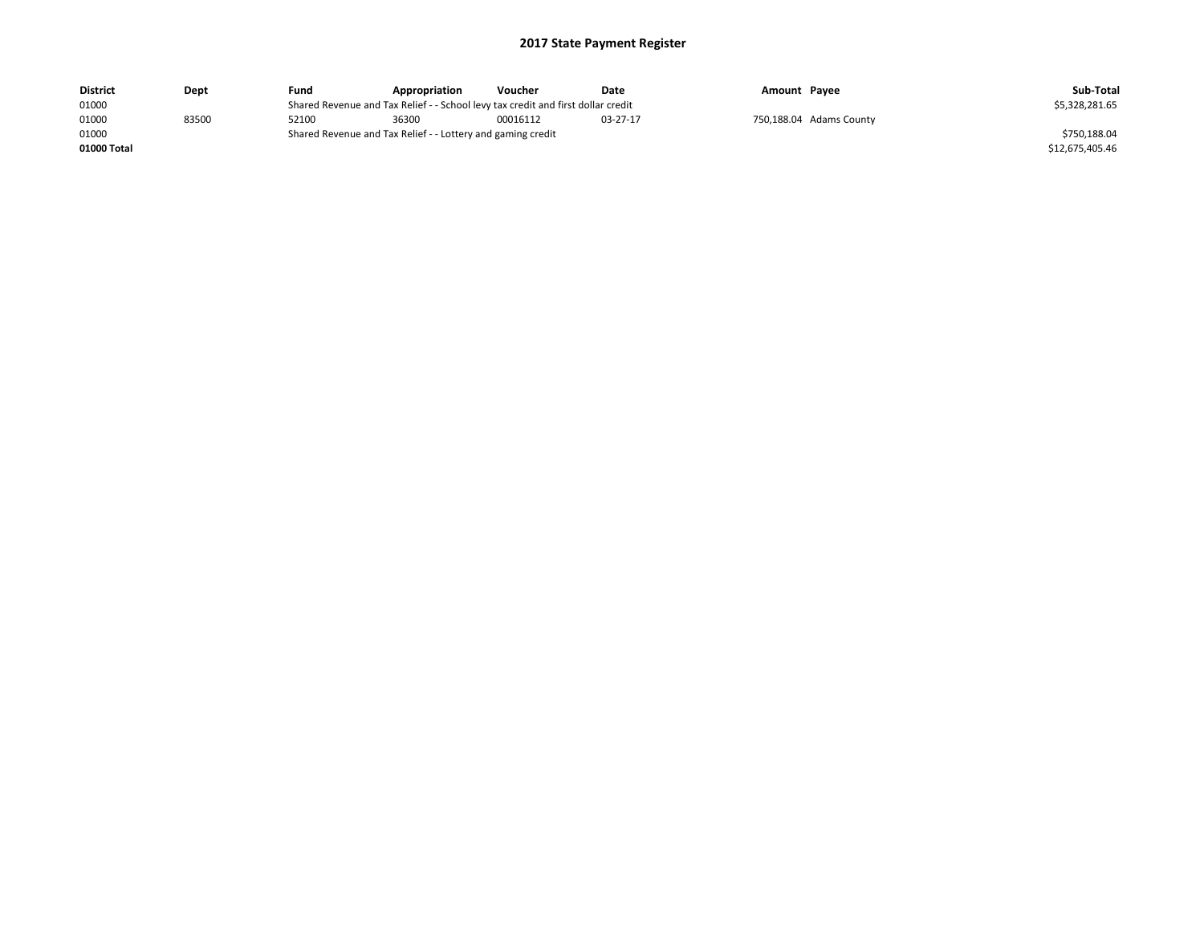| <b>District</b> | Dept  | Fund  | Appropriation                                                                    | Voucher  | Date     | Amount Payee |                         | Sub-Total       |
|-----------------|-------|-------|----------------------------------------------------------------------------------|----------|----------|--------------|-------------------------|-----------------|
| 01000           |       |       | Shared Revenue and Tax Relief - - School levy tax credit and first dollar credit |          |          |              |                         | \$5,328,281.65  |
| 01000           | 83500 | 52100 | 36300                                                                            | 00016112 | 03-27-17 |              | 750,188.04 Adams County |                 |
| 01000           |       |       | Shared Revenue and Tax Relief - - Lottery and gaming credit                      |          |          |              |                         | \$750,188.04    |
| 01000 Total     |       |       |                                                                                  |          |          |              |                         | \$12,675,405.46 |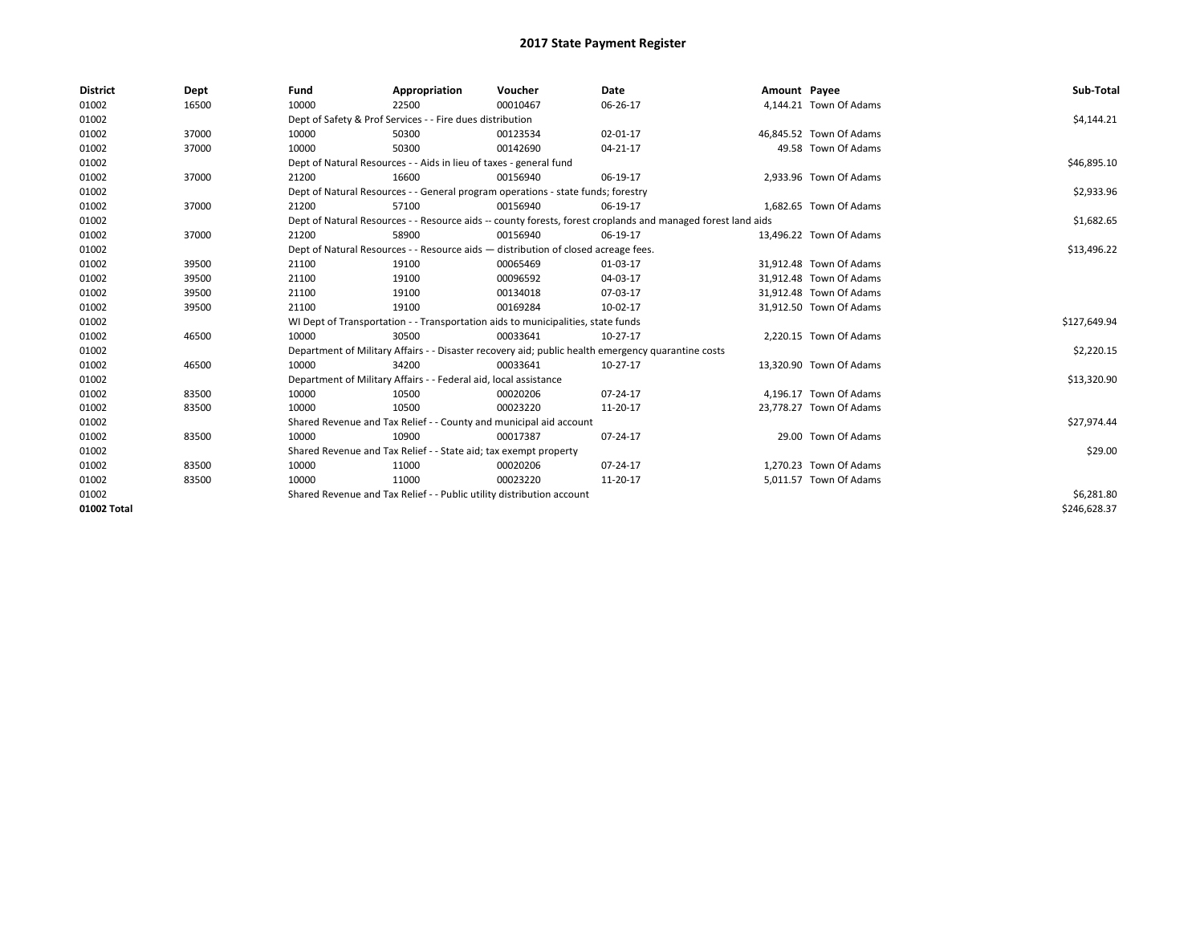| <b>District</b> | Dept  | Fund  | Appropriation                                                                                                | Voucher  | Date           | Amount Payee |                         | Sub-Total    |  |
|-----------------|-------|-------|--------------------------------------------------------------------------------------------------------------|----------|----------------|--------------|-------------------------|--------------|--|
| 01002           | 16500 | 10000 | 22500                                                                                                        | 00010467 | 06-26-17       |              | 4,144.21 Town Of Adams  |              |  |
| 01002           |       |       | Dept of Safety & Prof Services - - Fire dues distribution                                                    |          |                |              |                         | \$4,144.21   |  |
| 01002           | 37000 | 10000 | 50300                                                                                                        | 00123534 | 02-01-17       |              | 46.845.52 Town Of Adams |              |  |
| 01002           | 37000 | 10000 | 50300                                                                                                        | 00142690 | 04-21-17       |              | 49.58 Town Of Adams     |              |  |
| 01002           |       |       | Dept of Natural Resources - - Aids in lieu of taxes - general fund                                           |          |                |              |                         |              |  |
| 01002           | 37000 | 21200 | 16600                                                                                                        | 00156940 | 06-19-17       |              | 2,933.96 Town Of Adams  |              |  |
| 01002           |       |       | Dept of Natural Resources - - General program operations - state funds; forestry                             |          |                |              |                         | \$2,933.96   |  |
| 01002           | 37000 | 21200 | 57100                                                                                                        | 00156940 | 06-19-17       |              | 1,682.65 Town Of Adams  |              |  |
| 01002           |       |       | Dept of Natural Resources - - Resource aids -- county forests, forest croplands and managed forest land aids |          |                |              |                         | \$1,682.65   |  |
| 01002           | 37000 | 21200 | 58900                                                                                                        | 00156940 | 06-19-17       |              | 13,496.22 Town Of Adams |              |  |
| 01002           |       |       | Dept of Natural Resources - - Resource aids - distribution of closed acreage fees.                           |          |                |              |                         | \$13,496.22  |  |
| 01002           | 39500 | 21100 | 19100                                                                                                        | 00065469 | 01-03-17       |              | 31,912.48 Town Of Adams |              |  |
| 01002           | 39500 | 21100 | 19100                                                                                                        | 00096592 | 04-03-17       |              | 31,912.48 Town Of Adams |              |  |
| 01002           | 39500 | 21100 | 19100                                                                                                        | 00134018 | 07-03-17       |              | 31,912.48 Town Of Adams |              |  |
| 01002           | 39500 | 21100 | 19100                                                                                                        | 00169284 | 10-02-17       |              | 31,912.50 Town Of Adams |              |  |
| 01002           |       |       | WI Dept of Transportation - - Transportation aids to municipalities, state funds                             |          |                |              |                         | \$127,649.94 |  |
| 01002           | 46500 | 10000 | 30500                                                                                                        | 00033641 | $10-27-17$     |              | 2,220.15 Town Of Adams  |              |  |
| 01002           |       |       | Department of Military Affairs - - Disaster recovery aid; public health emergency quarantine costs           |          |                |              |                         | \$2,220.15   |  |
| 01002           | 46500 | 10000 | 34200                                                                                                        | 00033641 | $10-27-17$     |              | 13,320.90 Town Of Adams |              |  |
| 01002           |       |       | Department of Military Affairs - - Federal aid, local assistance                                             |          |                |              |                         | \$13,320.90  |  |
| 01002           | 83500 | 10000 | 10500                                                                                                        | 00020206 | $07 - 24 - 17$ |              | 4,196.17 Town Of Adams  |              |  |
| 01002           | 83500 | 10000 | 10500                                                                                                        | 00023220 | 11-20-17       |              | 23,778.27 Town Of Adams |              |  |
| 01002           |       |       | Shared Revenue and Tax Relief - - County and municipal aid account                                           |          |                |              |                         | \$27,974.44  |  |
| 01002           | 83500 | 10000 | 10900                                                                                                        | 00017387 | 07-24-17       |              | 29.00 Town Of Adams     |              |  |
| 01002           |       |       | Shared Revenue and Tax Relief - - State aid; tax exempt property                                             |          |                |              |                         | \$29.00      |  |
| 01002           | 83500 | 10000 | 11000                                                                                                        | 00020206 | 07-24-17       |              | 1,270.23 Town Of Adams  |              |  |
| 01002           | 83500 | 10000 | 11000                                                                                                        | 00023220 | 11-20-17       |              | 5,011.57 Town Of Adams  |              |  |
| 01002           |       |       | Shared Revenue and Tax Relief - - Public utility distribution account                                        |          |                |              |                         | \$6,281.80   |  |
| 01002 Total     |       |       |                                                                                                              |          |                |              |                         | \$246,628.37 |  |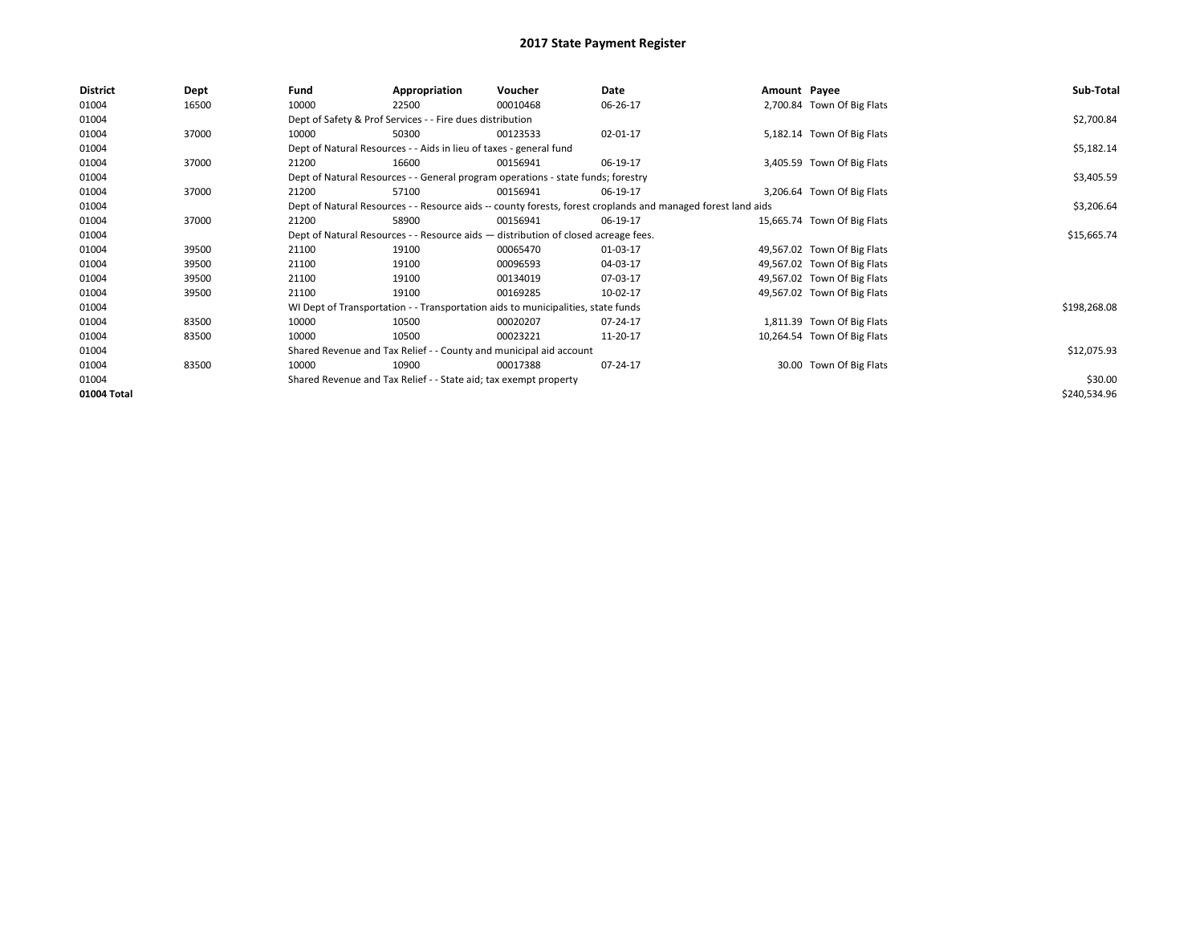| <b>District</b> | Dept  | Fund  | Appropriation                                                                      | Voucher  | Date                                                                                                         | Amount Payee |                             | Sub-Total    |
|-----------------|-------|-------|------------------------------------------------------------------------------------|----------|--------------------------------------------------------------------------------------------------------------|--------------|-----------------------------|--------------|
| 01004           | 16500 | 10000 | 22500                                                                              | 00010468 | 06-26-17                                                                                                     |              | 2,700.84 Town Of Big Flats  |              |
| 01004           |       |       | Dept of Safety & Prof Services - - Fire dues distribution                          |          |                                                                                                              |              |                             | \$2,700.84   |
| 01004           | 37000 | 10000 | 50300                                                                              | 00123533 | 02-01-17                                                                                                     |              | 5,182.14 Town Of Big Flats  |              |
| 01004           |       |       | Dept of Natural Resources - - Aids in lieu of taxes - general fund                 |          |                                                                                                              |              |                             | \$5,182.14   |
| 01004           | 37000 | 21200 | 16600                                                                              | 00156941 | 06-19-17                                                                                                     |              | 3,405.59 Town Of Big Flats  |              |
| 01004           |       |       | Dept of Natural Resources - - General program operations - state funds; forestry   |          |                                                                                                              |              |                             | \$3,405.59   |
| 01004           | 37000 | 21200 | 57100                                                                              | 00156941 | 06-19-17                                                                                                     |              | 3,206.64 Town Of Big Flats  |              |
| 01004           |       |       |                                                                                    |          | Dept of Natural Resources - - Resource aids -- county forests, forest croplands and managed forest land aids |              |                             | \$3,206.64   |
| 01004           | 37000 | 21200 | 58900                                                                              | 00156941 | 06-19-17                                                                                                     |              | 15,665.74 Town Of Big Flats |              |
| 01004           |       |       | Dept of Natural Resources - - Resource aids - distribution of closed acreage fees. |          |                                                                                                              |              |                             | \$15,665.74  |
| 01004           | 39500 | 21100 | 19100                                                                              | 00065470 | 01-03-17                                                                                                     |              | 49,567.02 Town Of Big Flats |              |
| 01004           | 39500 | 21100 | 19100                                                                              | 00096593 | 04-03-17                                                                                                     |              | 49,567.02 Town Of Big Flats |              |
| 01004           | 39500 | 21100 | 19100                                                                              | 00134019 | 07-03-17                                                                                                     |              | 49,567.02 Town Of Big Flats |              |
| 01004           | 39500 | 21100 | 19100                                                                              | 00169285 | 10-02-17                                                                                                     |              | 49,567.02 Town Of Big Flats |              |
| 01004           |       |       | WI Dept of Transportation - - Transportation aids to municipalities, state funds   |          |                                                                                                              |              |                             | \$198,268.08 |
| 01004           | 83500 | 10000 | 10500                                                                              | 00020207 | 07-24-17                                                                                                     |              | 1,811.39 Town Of Big Flats  |              |
| 01004           | 83500 | 10000 | 10500                                                                              | 00023221 | 11-20-17                                                                                                     |              | 10,264.54 Town Of Big Flats |              |
| 01004           |       |       | Shared Revenue and Tax Relief - - County and municipal aid account                 |          |                                                                                                              |              |                             | \$12,075.93  |
| 01004           | 83500 | 10000 | 10900                                                                              | 00017388 | 07-24-17                                                                                                     |              | 30.00 Town Of Big Flats     |              |
| 01004           |       |       | Shared Revenue and Tax Relief - - State aid; tax exempt property                   |          |                                                                                                              |              |                             | \$30.00      |
| 01004 Total     |       |       |                                                                                    |          |                                                                                                              |              |                             | \$240,534.96 |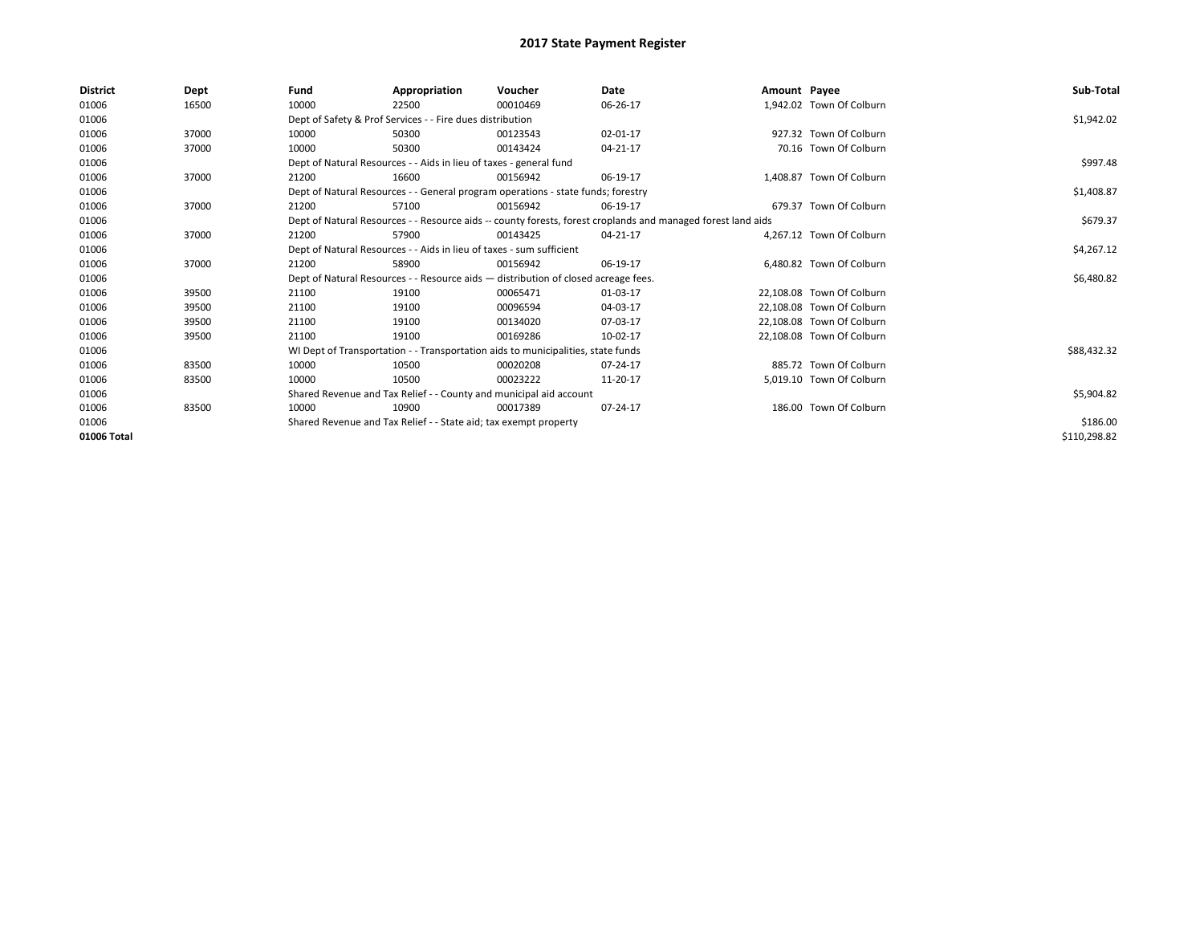| District    | Dept  | Fund  | Appropriation                                                                      | Voucher  | Date                                                                                                         | Amount Payee |                           | Sub-Total    |  |
|-------------|-------|-------|------------------------------------------------------------------------------------|----------|--------------------------------------------------------------------------------------------------------------|--------------|---------------------------|--------------|--|
| 01006       | 16500 | 10000 | 22500                                                                              | 00010469 | 06-26-17                                                                                                     |              | 1,942.02 Town Of Colburn  |              |  |
| 01006       |       |       | Dept of Safety & Prof Services - - Fire dues distribution                          |          |                                                                                                              |              |                           | \$1,942.02   |  |
| 01006       | 37000 | 10000 | 50300                                                                              | 00123543 | 02-01-17                                                                                                     |              | 927.32 Town Of Colburn    |              |  |
| 01006       | 37000 | 10000 | 50300                                                                              | 00143424 | 04-21-17                                                                                                     |              | 70.16 Town Of Colburn     |              |  |
| 01006       |       |       | Dept of Natural Resources - - Aids in lieu of taxes - general fund                 |          | \$997.48                                                                                                     |              |                           |              |  |
| 01006       | 37000 | 21200 | 16600                                                                              | 00156942 | 06-19-17                                                                                                     |              | 1,408.87 Town Of Colburn  |              |  |
| 01006       |       |       | Dept of Natural Resources - - General program operations - state funds; forestry   |          |                                                                                                              |              |                           | \$1,408.87   |  |
| 01006       | 37000 | 21200 | 57100                                                                              | 00156942 | 06-19-17                                                                                                     |              | 679.37 Town Of Colburn    |              |  |
| 01006       |       |       |                                                                                    |          | Dept of Natural Resources - - Resource aids -- county forests, forest croplands and managed forest land aids |              |                           | \$679.37     |  |
| 01006       | 37000 | 21200 | 57900                                                                              | 00143425 | 04-21-17                                                                                                     |              | 4.267.12 Town Of Colburn  |              |  |
| 01006       |       |       | Dept of Natural Resources - - Aids in lieu of taxes - sum sufficient               |          |                                                                                                              |              |                           | \$4,267.12   |  |
| 01006       | 37000 | 21200 | 58900                                                                              | 00156942 | 06-19-17                                                                                                     |              | 6.480.82 Town Of Colburn  |              |  |
| 01006       |       |       | Dept of Natural Resources - - Resource aids - distribution of closed acreage fees. |          |                                                                                                              |              |                           | \$6,480.82   |  |
| 01006       | 39500 | 21100 | 19100                                                                              | 00065471 | 01-03-17                                                                                                     |              | 22.108.08 Town Of Colburn |              |  |
| 01006       | 39500 | 21100 | 19100                                                                              | 00096594 | 04-03-17                                                                                                     |              | 22,108.08 Town Of Colburn |              |  |
| 01006       | 39500 | 21100 | 19100                                                                              | 00134020 | 07-03-17                                                                                                     |              | 22,108.08 Town Of Colburn |              |  |
| 01006       | 39500 | 21100 | 19100                                                                              | 00169286 | 10-02-17                                                                                                     |              | 22.108.08 Town Of Colburn |              |  |
| 01006       |       |       | WI Dept of Transportation - - Transportation aids to municipalities, state funds   |          |                                                                                                              |              |                           | \$88,432.32  |  |
| 01006       | 83500 | 10000 | 10500                                                                              | 00020208 | 07-24-17                                                                                                     |              | 885.72 Town Of Colburn    |              |  |
| 01006       | 83500 | 10000 | 10500                                                                              | 00023222 | 11-20-17                                                                                                     |              | 5,019.10 Town Of Colburn  |              |  |
| 01006       |       |       | Shared Revenue and Tax Relief - - County and municipal aid account                 |          |                                                                                                              |              |                           | \$5,904.82   |  |
| 01006       | 83500 | 10000 | 10900                                                                              | 00017389 | 07-24-17                                                                                                     |              | 186.00 Town Of Colburn    |              |  |
| 01006       |       |       | Shared Revenue and Tax Relief - - State aid; tax exempt property                   |          |                                                                                                              |              |                           |              |  |
| 01006 Total |       |       |                                                                                    |          |                                                                                                              |              |                           | \$110,298.82 |  |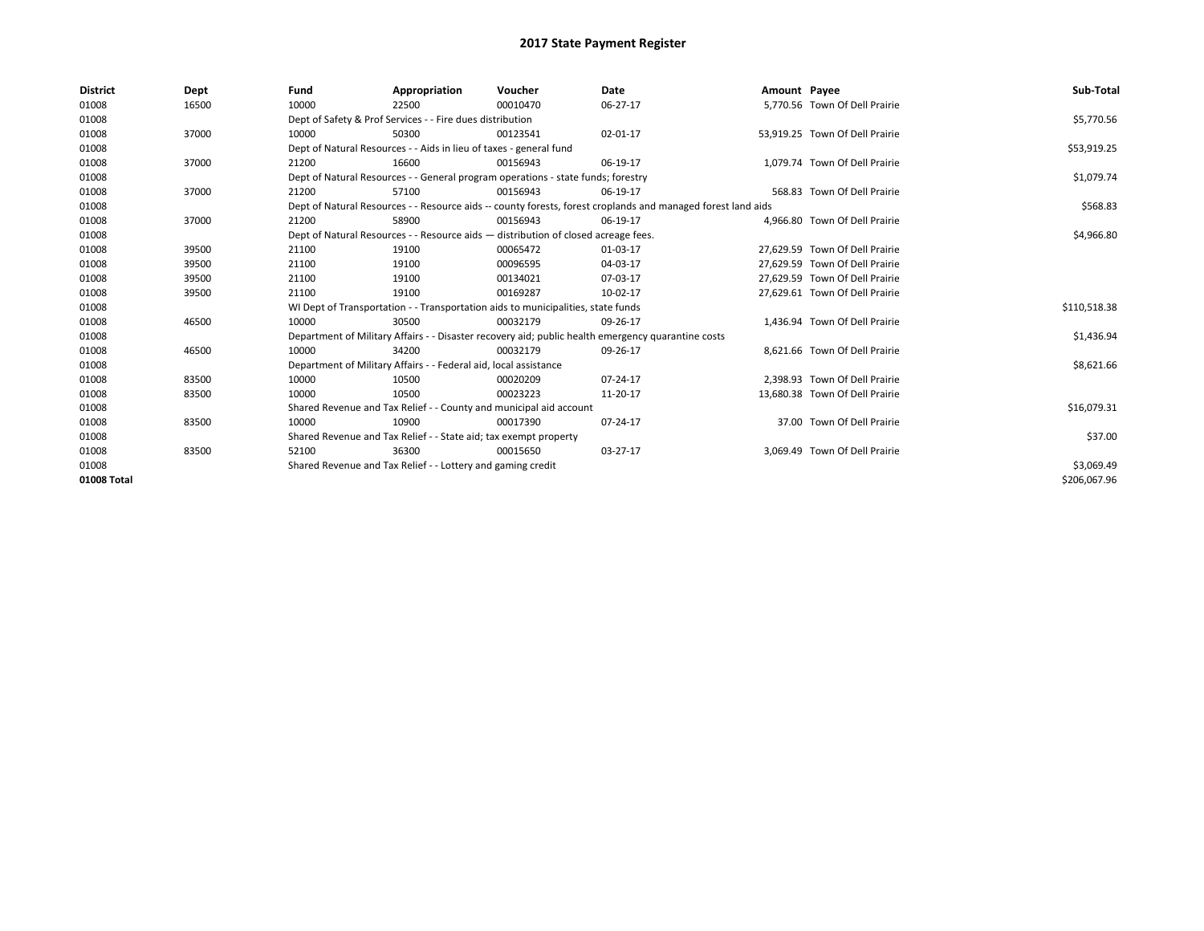| <b>District</b> | Dept  | Fund                                                        | Appropriation                                                                      | Voucher    | Date                                                                                                         | Amount Payee |                                | Sub-Total    |  |
|-----------------|-------|-------------------------------------------------------------|------------------------------------------------------------------------------------|------------|--------------------------------------------------------------------------------------------------------------|--------------|--------------------------------|--------------|--|
| 01008           | 16500 | 10000                                                       | 22500                                                                              | 00010470   | 06-27-17                                                                                                     |              | 5.770.56 Town Of Dell Prairie  |              |  |
| 01008           |       |                                                             | Dept of Safety & Prof Services - - Fire dues distribution                          |            |                                                                                                              |              |                                | \$5,770.56   |  |
| 01008           | 37000 | 10000                                                       | 50300                                                                              | 00123541   | 02-01-17                                                                                                     |              | 53,919.25 Town Of Dell Prairie |              |  |
| 01008           |       |                                                             | Dept of Natural Resources - - Aids in lieu of taxes - general fund                 |            |                                                                                                              |              |                                | \$53,919.25  |  |
| 01008           | 37000 | 21200                                                       | 16600                                                                              | 00156943   | 06-19-17                                                                                                     |              | 1,079.74 Town Of Dell Prairie  |              |  |
| 01008           |       |                                                             | Dept of Natural Resources - - General program operations - state funds; forestry   |            |                                                                                                              |              |                                |              |  |
| 01008           | 37000 | 21200                                                       | 57100                                                                              | 00156943   | 06-19-17                                                                                                     |              | 568.83 Town Of Dell Prairie    |              |  |
| 01008           |       |                                                             |                                                                                    |            | Dept of Natural Resources - - Resource aids -- county forests, forest croplands and managed forest land aids |              |                                | \$568.83     |  |
| 01008           | 37000 | 21200                                                       | 58900                                                                              | 00156943   | 06-19-17                                                                                                     |              | 4,966.80 Town Of Dell Prairie  |              |  |
| 01008           |       |                                                             | Dept of Natural Resources - - Resource aids - distribution of closed acreage fees. |            |                                                                                                              |              |                                | \$4,966.80   |  |
| 01008           | 39500 | 21100                                                       | 19100                                                                              | 00065472   | 01-03-17                                                                                                     |              | 27,629.59 Town Of Dell Prairie |              |  |
| 01008           | 39500 | 21100                                                       | 19100                                                                              | 00096595   | 04-03-17                                                                                                     |              | 27,629.59 Town Of Dell Prairie |              |  |
| 01008           | 39500 | 21100                                                       | 19100                                                                              | 00134021   | 07-03-17                                                                                                     |              | 27.629.59 Town Of Dell Prairie |              |  |
| 01008           | 39500 | 21100                                                       | 19100                                                                              | 00169287   | 10-02-17                                                                                                     |              | 27,629.61 Town Of Dell Prairie |              |  |
| 01008           |       |                                                             | WI Dept of Transportation - - Transportation aids to municipalities, state funds   |            |                                                                                                              |              |                                | \$110,518.38 |  |
| 01008           | 46500 | 10000                                                       | 30500                                                                              | 00032179   | 09-26-17                                                                                                     |              | 1,436.94 Town Of Dell Prairie  |              |  |
| 01008           |       |                                                             |                                                                                    |            | Department of Military Affairs - - Disaster recovery aid; public health emergency quarantine costs           |              |                                | \$1,436.94   |  |
| 01008           | 46500 | 10000                                                       | 34200                                                                              | 00032179   | 09-26-17                                                                                                     |              | 8.621.66 Town Of Dell Prairie  |              |  |
| 01008           |       |                                                             | Department of Military Affairs - - Federal aid, local assistance                   |            |                                                                                                              |              |                                | \$8,621.66   |  |
| 01008           | 83500 | 10000                                                       | 10500                                                                              | 00020209   | 07-24-17                                                                                                     |              | 2.398.93 Town Of Dell Prairie  |              |  |
| 01008           | 83500 | 10000                                                       | 10500                                                                              | 00023223   | 11-20-17                                                                                                     |              | 13,680.38 Town Of Dell Prairie |              |  |
| 01008           |       |                                                             | Shared Revenue and Tax Relief - - County and municipal aid account                 |            |                                                                                                              |              |                                | \$16,079.31  |  |
| 01008           | 83500 | 10000                                                       | 10900                                                                              | 00017390   | 07-24-17                                                                                                     |              | 37.00 Town Of Dell Prairie     |              |  |
| 01008           |       |                                                             | Shared Revenue and Tax Relief - - State aid; tax exempt property                   |            |                                                                                                              |              |                                | \$37.00      |  |
| 01008           | 83500 | 52100                                                       | 36300                                                                              | 00015650   | 03-27-17                                                                                                     |              | 3,069.49 Town Of Dell Prairie  |              |  |
| 01008           |       | Shared Revenue and Tax Relief - - Lottery and gaming credit |                                                                                    | \$3,069.49 |                                                                                                              |              |                                |              |  |
| 01008 Total     |       |                                                             |                                                                                    |            |                                                                                                              |              |                                | \$206,067.96 |  |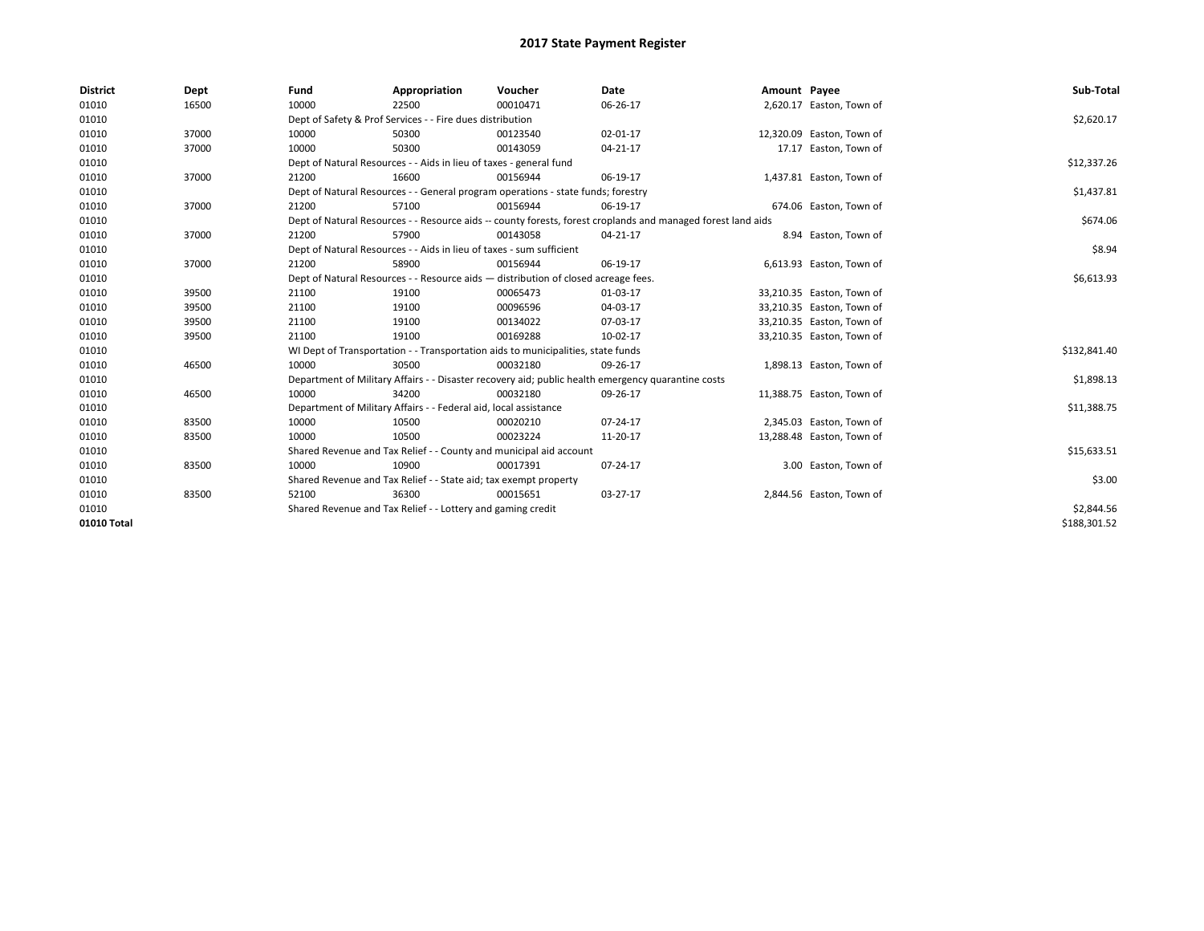| <b>District</b> | Dept  | Fund  | Appropriation                                                                      | Voucher  | Date                                                                                                         | Amount Payee |                           | Sub-Total    |  |  |
|-----------------|-------|-------|------------------------------------------------------------------------------------|----------|--------------------------------------------------------------------------------------------------------------|--------------|---------------------------|--------------|--|--|
| 01010           | 16500 | 10000 | 22500                                                                              | 00010471 | 06-26-17                                                                                                     |              | 2,620.17 Easton, Town of  |              |  |  |
| 01010           |       |       | Dept of Safety & Prof Services - - Fire dues distribution                          |          |                                                                                                              |              |                           | \$2,620.17   |  |  |
| 01010           | 37000 | 10000 | 50300                                                                              | 00123540 | 02-01-17                                                                                                     |              | 12,320.09 Easton, Town of |              |  |  |
| 01010           | 37000 | 10000 | 50300                                                                              | 00143059 | 04-21-17                                                                                                     |              | 17.17 Easton, Town of     |              |  |  |
| 01010           |       |       | Dept of Natural Resources - - Aids in lieu of taxes - general fund                 |          |                                                                                                              |              |                           | \$12,337.26  |  |  |
| 01010           | 37000 | 21200 | 16600                                                                              | 00156944 | 06-19-17                                                                                                     |              | 1,437.81 Easton, Town of  |              |  |  |
| 01010           |       |       | Dept of Natural Resources - - General program operations - state funds; forestry   |          |                                                                                                              |              |                           | \$1,437.81   |  |  |
| 01010           | 37000 | 21200 | 57100                                                                              | 00156944 | 06-19-17                                                                                                     |              | 674.06 Easton, Town of    |              |  |  |
| 01010           |       |       |                                                                                    |          | Dept of Natural Resources - - Resource aids -- county forests, forest croplands and managed forest land aids |              |                           | \$674.06     |  |  |
| 01010           | 37000 | 21200 | 57900                                                                              | 00143058 | 04-21-17                                                                                                     |              | 8.94 Easton, Town of      |              |  |  |
| 01010           |       |       | Dept of Natural Resources - - Aids in lieu of taxes - sum sufficient               |          |                                                                                                              |              |                           | \$8.94       |  |  |
| 01010           | 37000 | 21200 | 58900                                                                              | 00156944 | 06-19-17                                                                                                     |              | 6,613.93 Easton, Town of  |              |  |  |
| 01010           |       |       | Dept of Natural Resources - - Resource aids - distribution of closed acreage fees. |          |                                                                                                              |              |                           | \$6,613.93   |  |  |
| 01010           | 39500 | 21100 | 19100                                                                              | 00065473 | 01-03-17                                                                                                     |              | 33,210.35 Easton, Town of |              |  |  |
| 01010           | 39500 | 21100 | 19100                                                                              | 00096596 | 04-03-17                                                                                                     |              | 33,210.35 Easton, Town of |              |  |  |
| 01010           | 39500 | 21100 | 19100                                                                              | 00134022 | 07-03-17                                                                                                     |              | 33,210.35 Easton, Town of |              |  |  |
| 01010           | 39500 | 21100 | 19100                                                                              | 00169288 | 10-02-17                                                                                                     |              | 33,210.35 Easton, Town of |              |  |  |
| 01010           |       |       | WI Dept of Transportation - - Transportation aids to municipalities, state funds   |          |                                                                                                              |              |                           | \$132,841.40 |  |  |
| 01010           | 46500 | 10000 | 30500                                                                              | 00032180 | 09-26-17                                                                                                     |              | 1,898.13 Easton, Town of  |              |  |  |
| 01010           |       |       |                                                                                    |          | Department of Military Affairs - - Disaster recovery aid; public health emergency quarantine costs           |              |                           | \$1,898.13   |  |  |
| 01010           | 46500 | 10000 | 34200                                                                              | 00032180 | 09-26-17                                                                                                     |              | 11,388.75 Easton, Town of |              |  |  |
| 01010           |       |       | Department of Military Affairs - - Federal aid, local assistance                   |          |                                                                                                              |              |                           | \$11,388.75  |  |  |
| 01010           | 83500 | 10000 | 10500                                                                              | 00020210 | 07-24-17                                                                                                     |              | 2,345.03 Easton, Town of  |              |  |  |
| 01010           | 83500 | 10000 | 10500                                                                              | 00023224 | 11-20-17                                                                                                     |              | 13,288.48 Easton, Town of |              |  |  |
| 01010           |       |       | Shared Revenue and Tax Relief - - County and municipal aid account                 |          |                                                                                                              |              |                           | \$15,633.51  |  |  |
| 01010           | 83500 | 10000 | 10900                                                                              | 00017391 | 07-24-17                                                                                                     |              | 3.00 Easton, Town of      |              |  |  |
| 01010           |       |       | Shared Revenue and Tax Relief - - State aid; tax exempt property                   |          |                                                                                                              |              |                           | \$3.00       |  |  |
| 01010           | 83500 | 52100 | 36300                                                                              | 00015651 | 03-27-17                                                                                                     |              | 2,844.56 Easton, Town of  |              |  |  |
| 01010           |       |       | Shared Revenue and Tax Relief - - Lottery and gaming credit                        |          |                                                                                                              |              |                           |              |  |  |
| 01010 Total     |       |       |                                                                                    |          |                                                                                                              |              |                           | \$188,301.52 |  |  |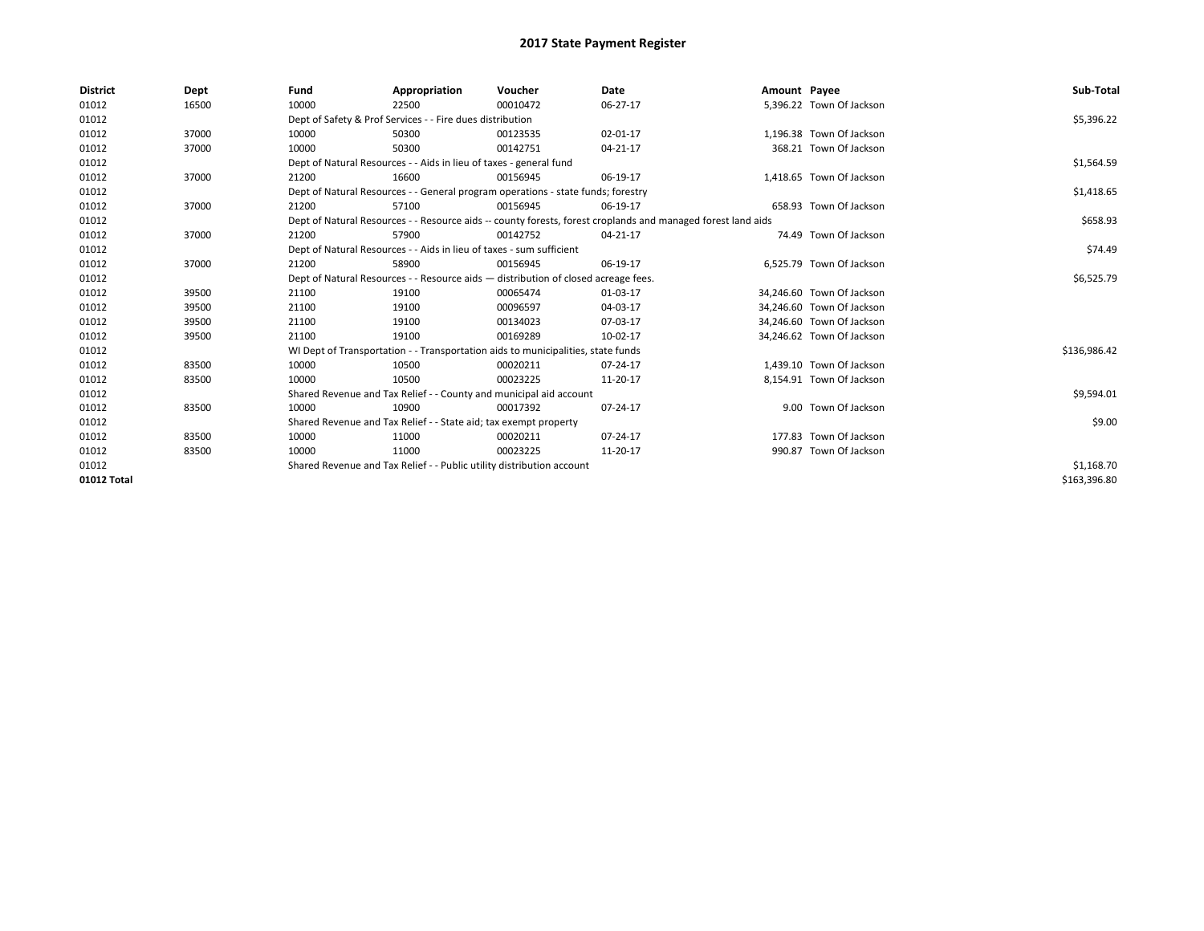| <b>District</b> | Dept  | Fund                                                                  | Appropriation                                                                      | Voucher    | Date                                                                                                         | Amount Payee |                           | Sub-Total    |
|-----------------|-------|-----------------------------------------------------------------------|------------------------------------------------------------------------------------|------------|--------------------------------------------------------------------------------------------------------------|--------------|---------------------------|--------------|
| 01012           | 16500 | 10000                                                                 | 22500                                                                              | 00010472   | 06-27-17                                                                                                     |              | 5,396.22 Town Of Jackson  |              |
| 01012           |       |                                                                       | Dept of Safety & Prof Services - - Fire dues distribution                          |            |                                                                                                              |              |                           | \$5,396.22   |
| 01012           | 37000 | 10000                                                                 | 50300                                                                              | 00123535   | 02-01-17                                                                                                     |              | 1.196.38 Town Of Jackson  |              |
| 01012           | 37000 | 10000                                                                 | 50300                                                                              | 00142751   | 04-21-17                                                                                                     |              | 368.21 Town Of Jackson    |              |
| 01012           |       |                                                                       | Dept of Natural Resources - - Aids in lieu of taxes - general fund                 |            |                                                                                                              |              |                           | \$1,564.59   |
| 01012           | 37000 | 21200                                                                 | 16600                                                                              | 00156945   | 06-19-17                                                                                                     |              | 1,418.65 Town Of Jackson  |              |
| 01012           |       |                                                                       | Dept of Natural Resources - - General program operations - state funds; forestry   |            |                                                                                                              |              |                           | \$1,418.65   |
| 01012           | 37000 | 21200                                                                 | 57100                                                                              | 00156945   | 06-19-17                                                                                                     |              | 658.93 Town Of Jackson    |              |
| 01012           |       |                                                                       |                                                                                    |            | Dept of Natural Resources - - Resource aids -- county forests, forest croplands and managed forest land aids |              |                           | \$658.93     |
| 01012           | 37000 | 21200                                                                 | 57900                                                                              | 00142752   | 04-21-17                                                                                                     |              | 74.49 Town Of Jackson     |              |
| 01012           |       |                                                                       | Dept of Natural Resources - - Aids in lieu of taxes - sum sufficient               |            |                                                                                                              |              |                           | \$74.49      |
| 01012           | 37000 | 21200                                                                 | 58900                                                                              | 00156945   | 06-19-17                                                                                                     |              | 6,525.79 Town Of Jackson  |              |
| 01012           |       |                                                                       | Dept of Natural Resources - - Resource aids - distribution of closed acreage fees. |            |                                                                                                              |              |                           | \$6,525.79   |
| 01012           | 39500 | 21100                                                                 | 19100                                                                              | 00065474   | 01-03-17                                                                                                     |              | 34,246.60 Town Of Jackson |              |
| 01012           | 39500 | 21100                                                                 | 19100                                                                              | 00096597   | 04-03-17                                                                                                     |              | 34,246.60 Town Of Jackson |              |
| 01012           | 39500 | 21100                                                                 | 19100                                                                              | 00134023   | 07-03-17                                                                                                     |              | 34,246.60 Town Of Jackson |              |
| 01012           | 39500 | 21100                                                                 | 19100                                                                              | 00169289   | 10-02-17                                                                                                     |              | 34,246.62 Town Of Jackson |              |
| 01012           |       |                                                                       | WI Dept of Transportation - - Transportation aids to municipalities, state funds   |            |                                                                                                              |              |                           | \$136,986.42 |
| 01012           | 83500 | 10000                                                                 | 10500                                                                              | 00020211   | 07-24-17                                                                                                     |              | 1,439.10 Town Of Jackson  |              |
| 01012           | 83500 | 10000                                                                 | 10500                                                                              | 00023225   | 11-20-17                                                                                                     |              | 8,154.91 Town Of Jackson  |              |
| 01012           |       |                                                                       | Shared Revenue and Tax Relief - - County and municipal aid account                 |            |                                                                                                              |              |                           | \$9,594.01   |
| 01012           | 83500 | 10000                                                                 | 10900                                                                              | 00017392   | 07-24-17                                                                                                     |              | 9.00 Town Of Jackson      |              |
| 01012           |       |                                                                       | Shared Revenue and Tax Relief - - State aid; tax exempt property                   |            |                                                                                                              |              |                           | \$9.00       |
| 01012           | 83500 | 10000                                                                 | 11000                                                                              | 00020211   | 07-24-17                                                                                                     |              | 177.83 Town Of Jackson    |              |
| 01012           | 83500 | 10000                                                                 | 11000                                                                              | 00023225   | 11-20-17                                                                                                     |              | 990.87 Town Of Jackson    |              |
| 01012           |       | Shared Revenue and Tax Relief - - Public utility distribution account |                                                                                    | \$1,168.70 |                                                                                                              |              |                           |              |
| 01012 Total     |       |                                                                       |                                                                                    |            |                                                                                                              |              |                           | \$163,396.80 |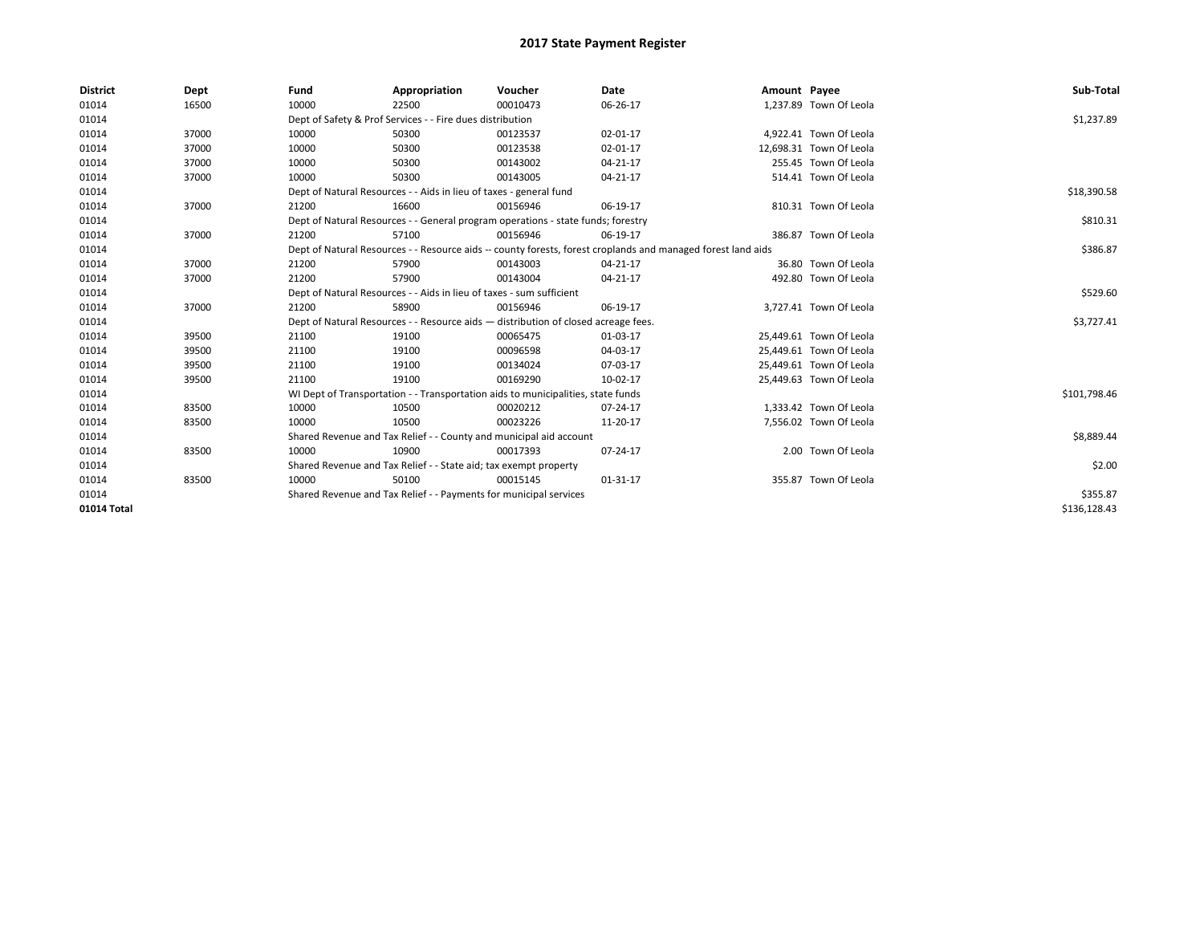| <b>District</b> | Dept  | Fund                                                               | Appropriation                                                        | Voucher                                                                            | Date                                                                                                         | Amount Payee |                         | Sub-Total    |
|-----------------|-------|--------------------------------------------------------------------|----------------------------------------------------------------------|------------------------------------------------------------------------------------|--------------------------------------------------------------------------------------------------------------|--------------|-------------------------|--------------|
| 01014           | 16500 | 10000                                                              | 22500                                                                | 00010473                                                                           | 06-26-17                                                                                                     |              | 1,237.89 Town Of Leola  |              |
| 01014           |       |                                                                    | Dept of Safety & Prof Services - - Fire dues distribution            |                                                                                    |                                                                                                              |              |                         | \$1,237.89   |
| 01014           | 37000 | 10000                                                              | 50300                                                                | 00123537                                                                           | 02-01-17                                                                                                     |              | 4,922.41 Town Of Leola  |              |
| 01014           | 37000 | 10000                                                              | 50300                                                                | 00123538                                                                           | 02-01-17                                                                                                     |              | 12,698.31 Town Of Leola |              |
| 01014           | 37000 | 10000                                                              | 50300                                                                | 00143002                                                                           | 04-21-17                                                                                                     |              | 255.45 Town Of Leola    |              |
| 01014           | 37000 | 10000                                                              | 50300                                                                | 00143005                                                                           | 04-21-17                                                                                                     |              | 514.41 Town Of Leola    |              |
| 01014           |       | Dept of Natural Resources - - Aids in lieu of taxes - general fund |                                                                      | \$18,390.58                                                                        |                                                                                                              |              |                         |              |
| 01014           | 37000 | 21200                                                              | 16600                                                                | 00156946                                                                           | 06-19-17                                                                                                     |              | 810.31 Town Of Leola    |              |
| 01014           |       |                                                                    |                                                                      | Dept of Natural Resources - - General program operations - state funds; forestry   |                                                                                                              |              |                         | \$810.31     |
| 01014           | 37000 | 21200                                                              | 57100                                                                | 00156946                                                                           | 06-19-17                                                                                                     |              | 386.87 Town Of Leola    |              |
| 01014           |       |                                                                    |                                                                      |                                                                                    | Dept of Natural Resources - - Resource aids -- county forests, forest croplands and managed forest land aids |              |                         | \$386.87     |
| 01014           | 37000 | 21200                                                              | 57900                                                                | 00143003                                                                           | 04-21-17                                                                                                     |              | 36.80 Town Of Leola     |              |
| 01014           | 37000 | 21200                                                              | 57900                                                                | 00143004                                                                           | 04-21-17                                                                                                     |              | 492.80 Town Of Leola    |              |
| 01014           |       |                                                                    | Dept of Natural Resources - - Aids in lieu of taxes - sum sufficient |                                                                                    |                                                                                                              |              |                         | \$529.60     |
| 01014           | 37000 | 21200                                                              | 58900                                                                | 00156946                                                                           | 06-19-17                                                                                                     |              | 3,727.41 Town Of Leola  |              |
| 01014           |       |                                                                    |                                                                      | Dept of Natural Resources - - Resource aids - distribution of closed acreage fees. |                                                                                                              |              |                         | \$3,727.41   |
| 01014           | 39500 | 21100                                                              | 19100                                                                | 00065475                                                                           | 01-03-17                                                                                                     |              | 25,449.61 Town Of Leola |              |
| 01014           | 39500 | 21100                                                              | 19100                                                                | 00096598                                                                           | 04-03-17                                                                                                     |              | 25,449.61 Town Of Leola |              |
| 01014           | 39500 | 21100                                                              | 19100                                                                | 00134024                                                                           | 07-03-17                                                                                                     |              | 25.449.61 Town Of Leola |              |
| 01014           | 39500 | 21100                                                              | 19100                                                                | 00169290                                                                           | 10-02-17                                                                                                     |              | 25,449.63 Town Of Leola |              |
| 01014           |       |                                                                    |                                                                      | WI Dept of Transportation - - Transportation aids to municipalities, state funds   |                                                                                                              |              |                         | \$101,798.46 |
| 01014           | 83500 | 10000                                                              | 10500                                                                | 00020212                                                                           | 07-24-17                                                                                                     |              | 1,333.42 Town Of Leola  |              |
| 01014           | 83500 | 10000                                                              | 10500                                                                | 00023226                                                                           | 11-20-17                                                                                                     |              | 7,556.02 Town Of Leola  |              |
| 01014           |       |                                                                    | Shared Revenue and Tax Relief - - County and municipal aid account   |                                                                                    |                                                                                                              |              |                         | \$8,889.44   |
| 01014           | 83500 | 10000                                                              | 10900                                                                | 00017393                                                                           | 07-24-17                                                                                                     |              | 2.00 Town Of Leola      |              |
| 01014           |       |                                                                    | Shared Revenue and Tax Relief - - State aid; tax exempt property     |                                                                                    |                                                                                                              |              |                         | \$2.00       |
| 01014           | 83500 | 10000                                                              | 50100                                                                | 00015145                                                                           | 01-31-17                                                                                                     |              | 355.87 Town Of Leola    |              |
| 01014           |       |                                                                    | Shared Revenue and Tax Relief - - Payments for municipal services    |                                                                                    |                                                                                                              |              |                         | \$355.87     |
| 01014 Total     |       |                                                                    |                                                                      |                                                                                    |                                                                                                              |              |                         | \$136,128.43 |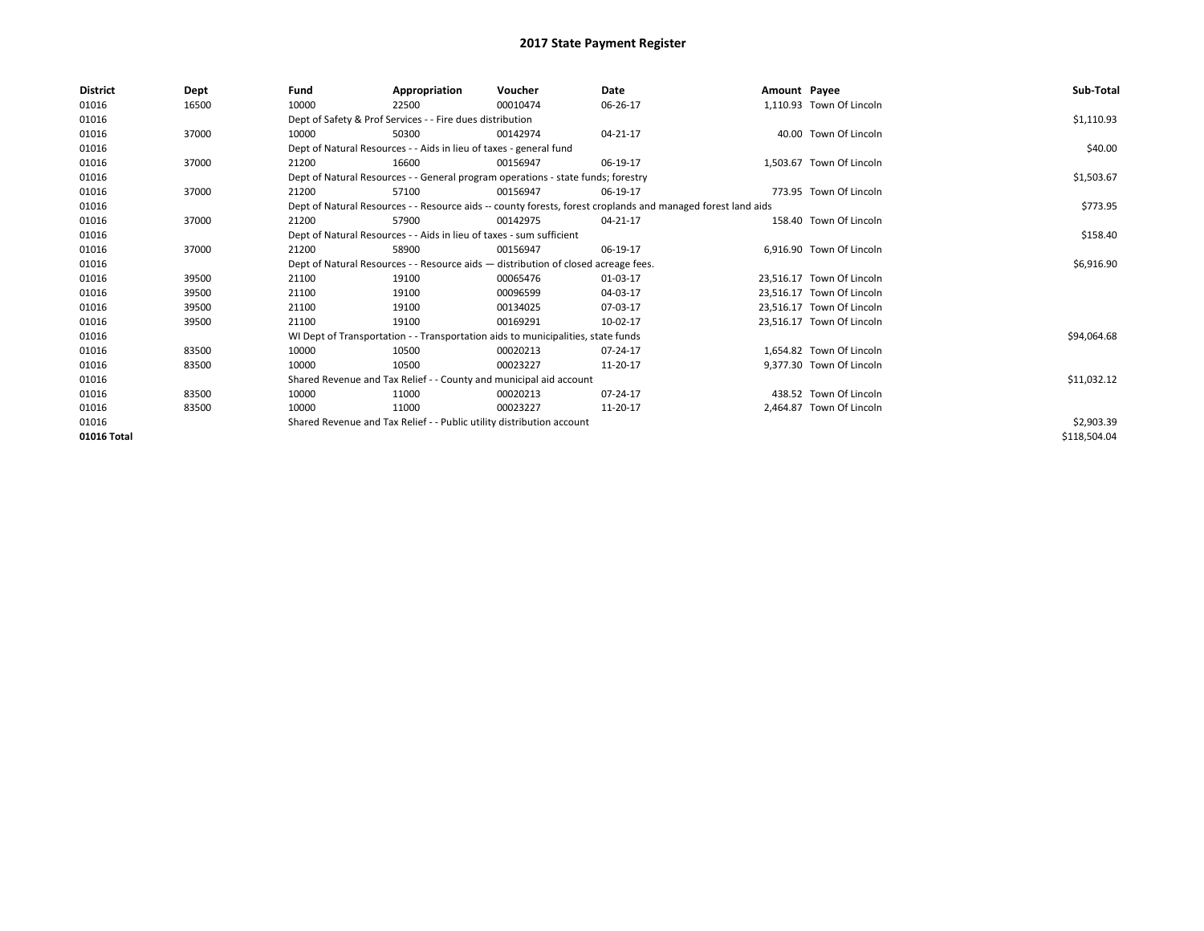| <b>District</b> | <b>Dept</b> | Fund                                                                  | Appropriation                                                                                                | Voucher                                                                            | Date     | Amount Payee |                           | Sub-Total    |  |  |
|-----------------|-------------|-----------------------------------------------------------------------|--------------------------------------------------------------------------------------------------------------|------------------------------------------------------------------------------------|----------|--------------|---------------------------|--------------|--|--|
| 01016           | 16500       | 10000                                                                 | 22500                                                                                                        | 00010474                                                                           | 06-26-17 |              | 1,110.93 Town Of Lincoln  |              |  |  |
| 01016           |             |                                                                       | Dept of Safety & Prof Services - - Fire dues distribution                                                    |                                                                                    |          |              |                           | \$1,110.93   |  |  |
| 01016           | 37000       | 10000                                                                 | 50300                                                                                                        | 00142974                                                                           | 04-21-17 |              | 40.00 Town Of Lincoln     |              |  |  |
| 01016           |             |                                                                       | Dept of Natural Resources - - Aids in lieu of taxes - general fund                                           |                                                                                    |          |              |                           |              |  |  |
| 01016           | 37000       | 21200                                                                 | 16600                                                                                                        | 00156947                                                                           | 06-19-17 |              | 1.503.67 Town Of Lincoln  |              |  |  |
| 01016           |             |                                                                       | Dept of Natural Resources - - General program operations - state funds; forestry                             |                                                                                    |          |              |                           |              |  |  |
| 01016           | 37000       | 21200                                                                 | 57100                                                                                                        | 00156947                                                                           | 06-19-17 |              | 773.95 Town Of Lincoln    |              |  |  |
| 01016           |             |                                                                       | Dept of Natural Resources - - Resource aids -- county forests, forest croplands and managed forest land aids |                                                                                    | \$773.95 |              |                           |              |  |  |
| 01016           | 37000       | 21200                                                                 | 57900                                                                                                        | 00142975                                                                           | 04-21-17 |              | 158.40 Town Of Lincoln    |              |  |  |
| 01016           |             |                                                                       | Dept of Natural Resources - - Aids in lieu of taxes - sum sufficient                                         |                                                                                    |          |              |                           | \$158.40     |  |  |
| 01016           | 37000       | 21200                                                                 | 58900                                                                                                        | 00156947                                                                           | 06-19-17 |              | 6.916.90 Town Of Lincoln  |              |  |  |
| 01016           |             |                                                                       |                                                                                                              | Dept of Natural Resources - - Resource aids - distribution of closed acreage fees. |          |              |                           | \$6,916.90   |  |  |
| 01016           | 39500       | 21100                                                                 | 19100                                                                                                        | 00065476                                                                           | 01-03-17 |              | 23.516.17 Town Of Lincoln |              |  |  |
| 01016           | 39500       | 21100                                                                 | 19100                                                                                                        | 00096599                                                                           | 04-03-17 |              | 23.516.17 Town Of Lincoln |              |  |  |
| 01016           | 39500       | 21100                                                                 | 19100                                                                                                        | 00134025                                                                           | 07-03-17 |              | 23.516.17 Town Of Lincoln |              |  |  |
| 01016           | 39500       | 21100                                                                 | 19100                                                                                                        | 00169291                                                                           | 10-02-17 |              | 23.516.17 Town Of Lincoln |              |  |  |
| 01016           |             |                                                                       |                                                                                                              | WI Dept of Transportation - - Transportation aids to municipalities, state funds   |          |              |                           | \$94,064.68  |  |  |
| 01016           | 83500       | 10000                                                                 | 10500                                                                                                        | 00020213                                                                           | 07-24-17 |              | 1.654.82 Town Of Lincoln  |              |  |  |
| 01016           | 83500       | 10000                                                                 | 10500                                                                                                        | 00023227                                                                           | 11-20-17 |              | 9.377.30 Town Of Lincoln  |              |  |  |
| 01016           |             |                                                                       | Shared Revenue and Tax Relief - - County and municipal aid account                                           |                                                                                    |          |              |                           | \$11,032.12  |  |  |
| 01016           | 83500       | 10000                                                                 | 11000                                                                                                        | 00020213                                                                           | 07-24-17 |              | 438.52 Town Of Lincoln    |              |  |  |
| 01016           | 83500       | 10000                                                                 | 11000                                                                                                        | 00023227                                                                           | 11-20-17 |              | 2.464.87 Town Of Lincoln  |              |  |  |
| 01016           |             | Shared Revenue and Tax Relief - - Public utility distribution account |                                                                                                              | \$2,903.39                                                                         |          |              |                           |              |  |  |
| 01016 Total     |             |                                                                       |                                                                                                              |                                                                                    |          |              |                           | \$118,504.04 |  |  |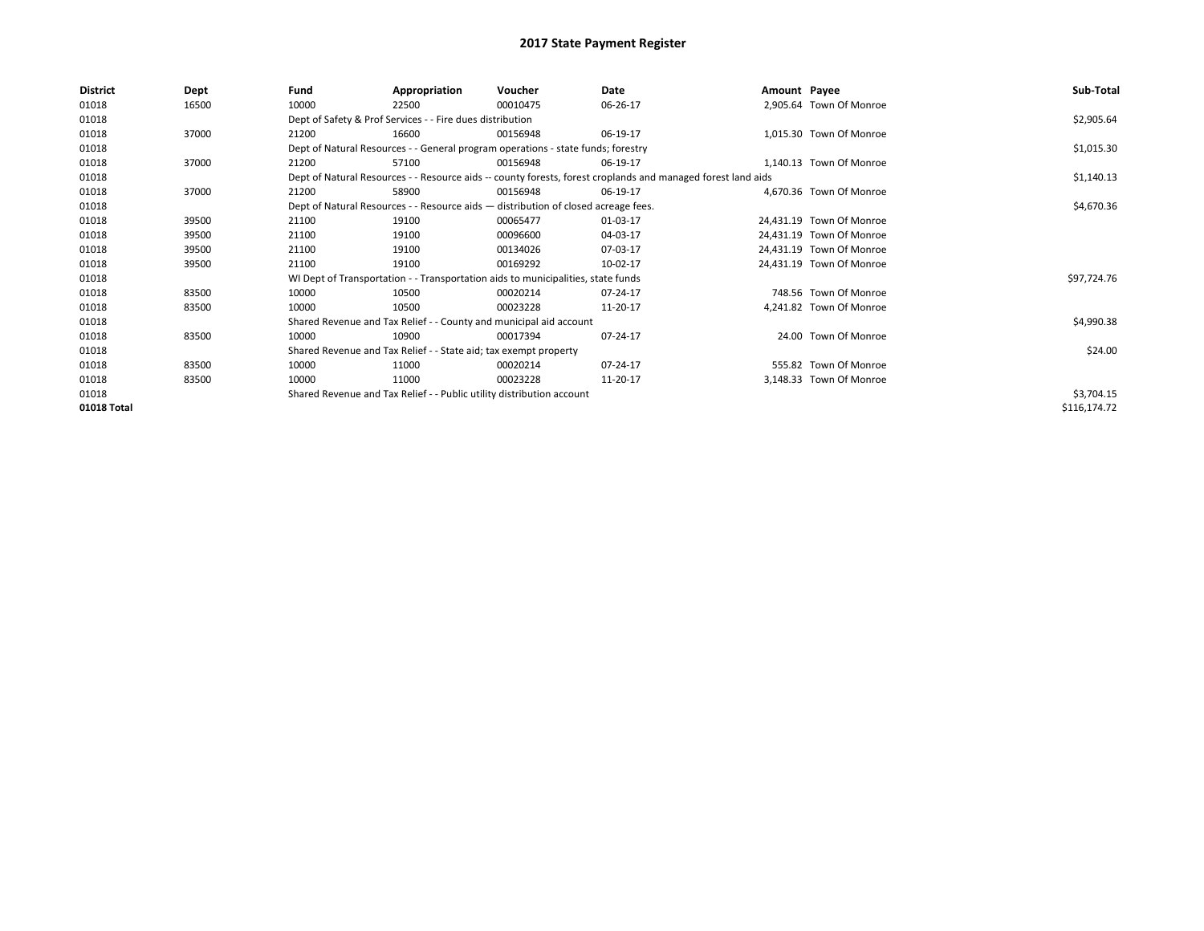| <b>District</b> | Dept  | Fund                                                                                                         | Appropriation                                                                      | Voucher    | Date     | Amount Payee |                          | Sub-Total    |  |  |  |
|-----------------|-------|--------------------------------------------------------------------------------------------------------------|------------------------------------------------------------------------------------|------------|----------|--------------|--------------------------|--------------|--|--|--|
| 01018           | 16500 | 10000                                                                                                        | 22500                                                                              | 00010475   | 06-26-17 |              | 2,905.64 Town Of Monroe  |              |  |  |  |
| 01018           |       |                                                                                                              | Dept of Safety & Prof Services - - Fire dues distribution                          |            |          |              |                          | \$2,905.64   |  |  |  |
| 01018           | 37000 | 21200                                                                                                        | 16600                                                                              | 00156948   | 06-19-17 |              | 1,015.30 Town Of Monroe  |              |  |  |  |
| 01018           |       | Dept of Natural Resources - - General program operations - state funds; forestry                             |                                                                                    | \$1,015.30 |          |              |                          |              |  |  |  |
| 01018           | 37000 | 21200                                                                                                        | 57100                                                                              | 00156948   | 06-19-17 |              | 1,140.13 Town Of Monroe  |              |  |  |  |
| 01018           |       | Dept of Natural Resources - - Resource aids -- county forests, forest croplands and managed forest land aids |                                                                                    | \$1,140.13 |          |              |                          |              |  |  |  |
| 01018           | 37000 | 21200                                                                                                        | 58900                                                                              | 00156948   | 06-19-17 |              | 4,670.36 Town Of Monroe  |              |  |  |  |
| 01018           |       |                                                                                                              | Dept of Natural Resources - - Resource aids - distribution of closed acreage fees. |            |          |              |                          |              |  |  |  |
| 01018           | 39500 | 21100                                                                                                        | 19100                                                                              | 00065477   | 01-03-17 |              | 24,431.19 Town Of Monroe |              |  |  |  |
| 01018           | 39500 | 21100                                                                                                        | 19100                                                                              | 00096600   | 04-03-17 |              | 24,431.19 Town Of Monroe |              |  |  |  |
| 01018           | 39500 | 21100                                                                                                        | 19100                                                                              | 00134026   | 07-03-17 |              | 24,431.19 Town Of Monroe |              |  |  |  |
| 01018           | 39500 | 21100                                                                                                        | 19100                                                                              | 00169292   | 10-02-17 |              | 24,431.19 Town Of Monroe |              |  |  |  |
| 01018           |       |                                                                                                              | WI Dept of Transportation - - Transportation aids to municipalities, state funds   |            |          |              |                          | \$97,724.76  |  |  |  |
| 01018           | 83500 | 10000                                                                                                        | 10500                                                                              | 00020214   | 07-24-17 |              | 748.56 Town Of Monroe    |              |  |  |  |
| 01018           | 83500 | 10000                                                                                                        | 10500                                                                              | 00023228   | 11-20-17 |              | 4,241.82 Town Of Monroe  |              |  |  |  |
| 01018           |       |                                                                                                              | Shared Revenue and Tax Relief - - County and municipal aid account                 |            |          |              |                          | \$4,990.38   |  |  |  |
| 01018           | 83500 | 10000                                                                                                        | 10900                                                                              | 00017394   | 07-24-17 |              | 24.00 Town Of Monroe     |              |  |  |  |
| 01018           |       |                                                                                                              | Shared Revenue and Tax Relief - - State aid; tax exempt property                   |            |          |              |                          | \$24.00      |  |  |  |
| 01018           | 83500 | 10000                                                                                                        | 11000                                                                              | 00020214   | 07-24-17 |              | 555.82 Town Of Monroe    |              |  |  |  |
| 01018           | 83500 | 10000                                                                                                        | 11000                                                                              | 00023228   | 11-20-17 |              | 3,148.33 Town Of Monroe  |              |  |  |  |
| 01018           |       |                                                                                                              | Shared Revenue and Tax Relief - - Public utility distribution account              |            |          |              |                          | \$3,704.15   |  |  |  |
| 01018 Total     |       |                                                                                                              |                                                                                    |            |          |              |                          | \$116,174.72 |  |  |  |
|                 |       |                                                                                                              |                                                                                    |            |          |              |                          |              |  |  |  |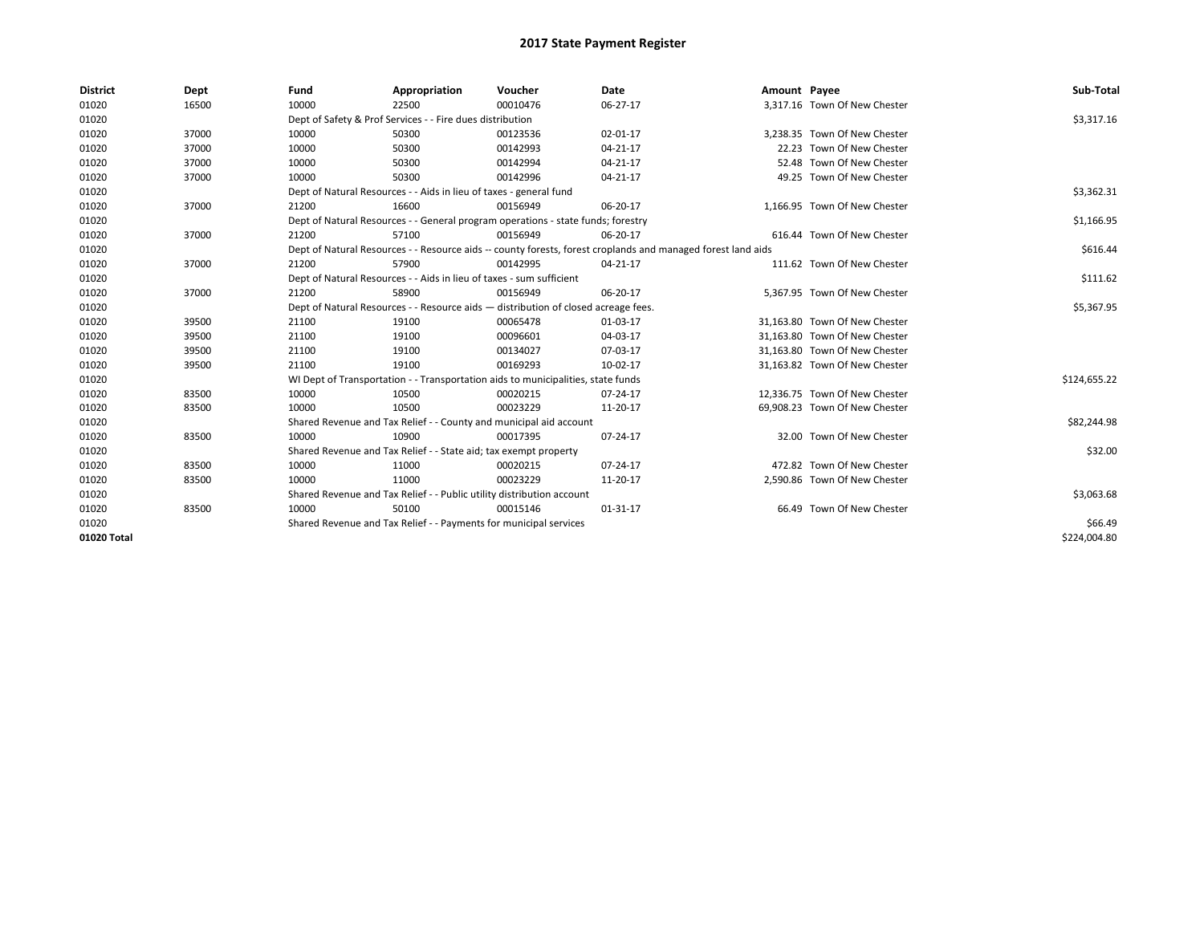| <b>District</b> | Dept  | Fund  | Appropriation                                                                      | Voucher  | Date                                                                                                         | Amount Payee |                               | Sub-Total    |  |  |  |
|-----------------|-------|-------|------------------------------------------------------------------------------------|----------|--------------------------------------------------------------------------------------------------------------|--------------|-------------------------------|--------------|--|--|--|
| 01020           | 16500 | 10000 | 22500                                                                              | 00010476 | 06-27-17                                                                                                     |              | 3,317.16 Town Of New Chester  |              |  |  |  |
| 01020           |       |       | Dept of Safety & Prof Services - - Fire dues distribution                          |          |                                                                                                              |              |                               | \$3,317.16   |  |  |  |
| 01020           | 37000 | 10000 | 50300                                                                              | 00123536 | 02-01-17                                                                                                     |              | 3,238.35 Town Of New Chester  |              |  |  |  |
| 01020           | 37000 | 10000 | 50300                                                                              | 00142993 | $04 - 21 - 17$                                                                                               |              | 22.23 Town Of New Chester     |              |  |  |  |
| 01020           | 37000 | 10000 | 50300                                                                              | 00142994 | 04-21-17                                                                                                     |              | 52.48 Town Of New Chester     |              |  |  |  |
| 01020           | 37000 | 10000 | 50300                                                                              | 00142996 | 04-21-17                                                                                                     |              | 49.25 Town Of New Chester     |              |  |  |  |
| 01020           |       |       | Dept of Natural Resources - - Aids in lieu of taxes - general fund                 |          |                                                                                                              |              |                               |              |  |  |  |
| 01020           | 37000 | 21200 | 16600                                                                              | 00156949 | 06-20-17                                                                                                     |              | 1.166.95 Town Of New Chester  |              |  |  |  |
| 01020           |       |       | Dept of Natural Resources - - General program operations - state funds; forestry   |          |                                                                                                              |              |                               | \$1,166.95   |  |  |  |
| 01020           | 37000 | 21200 | 57100                                                                              | 00156949 | 06-20-17                                                                                                     |              | 616.44 Town Of New Chester    |              |  |  |  |
| 01020           |       |       |                                                                                    |          | Dept of Natural Resources - - Resource aids -- county forests, forest croplands and managed forest land aids |              |                               | \$616.44     |  |  |  |
| 01020           | 37000 | 21200 | 57900                                                                              | 00142995 | 04-21-17                                                                                                     |              | 111.62 Town Of New Chester    |              |  |  |  |
| 01020           |       |       | Dept of Natural Resources - - Aids in lieu of taxes - sum sufficient               |          |                                                                                                              |              |                               |              |  |  |  |
| 01020           | 37000 | 21200 | 58900                                                                              | 00156949 | 06-20-17                                                                                                     |              | 5,367.95 Town Of New Chester  |              |  |  |  |
| 01020           |       |       | Dept of Natural Resources - - Resource aids - distribution of closed acreage fees. |          |                                                                                                              |              |                               |              |  |  |  |
| 01020           | 39500 | 21100 | 19100                                                                              | 00065478 | 01-03-17                                                                                                     |              | 31.163.80 Town Of New Chester |              |  |  |  |
| 01020           | 39500 | 21100 | 19100                                                                              | 00096601 | 04-03-17                                                                                                     |              | 31.163.80 Town Of New Chester |              |  |  |  |
| 01020           | 39500 | 21100 | 19100                                                                              | 00134027 | 07-03-17                                                                                                     |              | 31.163.80 Town Of New Chester |              |  |  |  |
| 01020           | 39500 | 21100 | 19100                                                                              | 00169293 | 10-02-17                                                                                                     |              | 31,163.82 Town Of New Chester |              |  |  |  |
| 01020           |       |       | WI Dept of Transportation - - Transportation aids to municipalities, state funds   |          |                                                                                                              |              |                               | \$124,655.22 |  |  |  |
| 01020           | 83500 | 10000 | 10500                                                                              | 00020215 | 07-24-17                                                                                                     |              | 12,336.75 Town Of New Chester |              |  |  |  |
| 01020           | 83500 | 10000 | 10500                                                                              | 00023229 | 11-20-17                                                                                                     |              | 69,908.23 Town Of New Chester |              |  |  |  |
| 01020           |       |       | Shared Revenue and Tax Relief - - County and municipal aid account                 |          |                                                                                                              |              |                               | \$82,244.98  |  |  |  |
| 01020           | 83500 | 10000 | 10900                                                                              | 00017395 | 07-24-17                                                                                                     |              | 32.00 Town Of New Chester     |              |  |  |  |
| 01020           |       |       | Shared Revenue and Tax Relief - - State aid; tax exempt property                   |          |                                                                                                              |              |                               | \$32.00      |  |  |  |
| 01020           | 83500 | 10000 | 11000                                                                              | 00020215 | 07-24-17                                                                                                     |              | 472.82 Town Of New Chester    |              |  |  |  |
| 01020           | 83500 | 10000 | 11000                                                                              | 00023229 | 11-20-17                                                                                                     |              | 2,590.86 Town Of New Chester  |              |  |  |  |
| 01020           |       |       | Shared Revenue and Tax Relief - - Public utility distribution account              |          |                                                                                                              |              |                               | \$3,063.68   |  |  |  |
| 01020           | 83500 | 10000 | 50100                                                                              | 00015146 | $01 - 31 - 17$                                                                                               |              | 66.49 Town Of New Chester     |              |  |  |  |
| 01020           |       |       | Shared Revenue and Tax Relief - - Payments for municipal services                  |          |                                                                                                              |              |                               | \$66.49      |  |  |  |
| 01020 Total     |       |       |                                                                                    |          |                                                                                                              |              |                               | \$224,004.80 |  |  |  |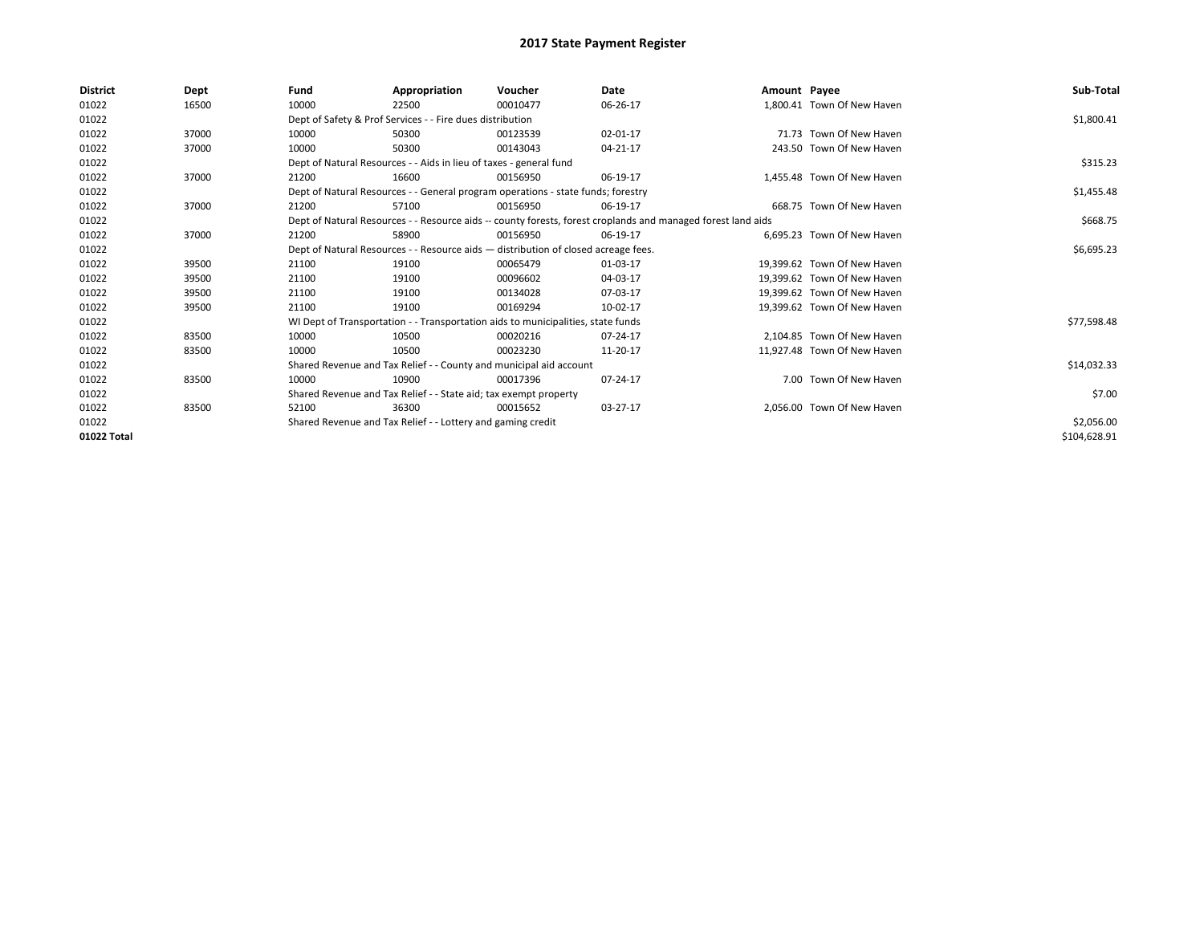| <b>District</b> | Dept  | Fund                                                        | Appropriation                                                                                                | Voucher    | Date     | Amount Payee |                             | Sub-Total    |
|-----------------|-------|-------------------------------------------------------------|--------------------------------------------------------------------------------------------------------------|------------|----------|--------------|-----------------------------|--------------|
| 01022           | 16500 | 10000                                                       | 22500                                                                                                        | 00010477   | 06-26-17 |              | 1,800.41 Town Of New Haven  |              |
| 01022           |       |                                                             | Dept of Safety & Prof Services - - Fire dues distribution                                                    |            |          |              |                             | \$1,800.41   |
| 01022           | 37000 | 10000                                                       | 50300                                                                                                        | 00123539   | 02-01-17 |              | 71.73 Town Of New Haven     |              |
| 01022           | 37000 | 10000                                                       | 50300                                                                                                        | 00143043   | 04-21-17 |              | 243.50 Town Of New Haven    |              |
| 01022           |       |                                                             | Dept of Natural Resources - - Aids in lieu of taxes - general fund                                           |            |          |              |                             | \$315.23     |
| 01022           | 37000 | 21200                                                       | 16600                                                                                                        | 00156950   | 06-19-17 |              | 1.455.48 Town Of New Haven  |              |
| 01022           |       |                                                             | Dept of Natural Resources - - General program operations - state funds; forestry                             |            |          |              |                             | \$1,455.48   |
| 01022           | 37000 | 21200                                                       | 57100                                                                                                        | 00156950   | 06-19-17 |              | 668.75 Town Of New Haven    |              |
| 01022           |       |                                                             | Dept of Natural Resources - - Resource aids -- county forests, forest croplands and managed forest land aids |            | \$668.75 |              |                             |              |
| 01022           | 37000 | 21200                                                       | 58900                                                                                                        | 00156950   | 06-19-17 |              | 6.695.23 Town Of New Haven  |              |
| 01022           |       |                                                             | Dept of Natural Resources - - Resource aids - distribution of closed acreage fees.                           |            |          |              |                             | \$6,695.23   |
| 01022           | 39500 | 21100                                                       | 19100                                                                                                        | 00065479   | 01-03-17 |              | 19.399.62 Town Of New Haven |              |
| 01022           | 39500 | 21100                                                       | 19100                                                                                                        | 00096602   | 04-03-17 |              | 19.399.62 Town Of New Haven |              |
| 01022           | 39500 | 21100                                                       | 19100                                                                                                        | 00134028   | 07-03-17 |              | 19.399.62 Town Of New Haven |              |
| 01022           | 39500 | 21100                                                       | 19100                                                                                                        | 00169294   | 10-02-17 |              | 19.399.62 Town Of New Haven |              |
| 01022           |       |                                                             | WI Dept of Transportation - - Transportation aids to municipalities, state funds                             |            |          |              |                             | \$77,598.48  |
| 01022           | 83500 | 10000                                                       | 10500                                                                                                        | 00020216   | 07-24-17 |              | 2.104.85 Town Of New Haven  |              |
| 01022           | 83500 | 10000                                                       | 10500                                                                                                        | 00023230   | 11-20-17 |              | 11.927.48 Town Of New Haven |              |
| 01022           |       |                                                             | Shared Revenue and Tax Relief - - County and municipal aid account                                           |            |          |              |                             | \$14,032.33  |
| 01022           | 83500 | 10000                                                       | 10900                                                                                                        | 00017396   | 07-24-17 |              | 7.00 Town Of New Haven      |              |
| 01022           |       |                                                             | Shared Revenue and Tax Relief - - State aid; tax exempt property                                             |            |          |              |                             | \$7.00       |
| 01022           | 83500 | 52100                                                       | 36300                                                                                                        | 00015652   | 03-27-17 |              | 2.056.00 Town Of New Haven  |              |
| 01022           |       | Shared Revenue and Tax Relief - - Lottery and gaming credit |                                                                                                              | \$2,056.00 |          |              |                             |              |
| 01022 Total     |       |                                                             |                                                                                                              |            |          |              |                             | \$104,628.91 |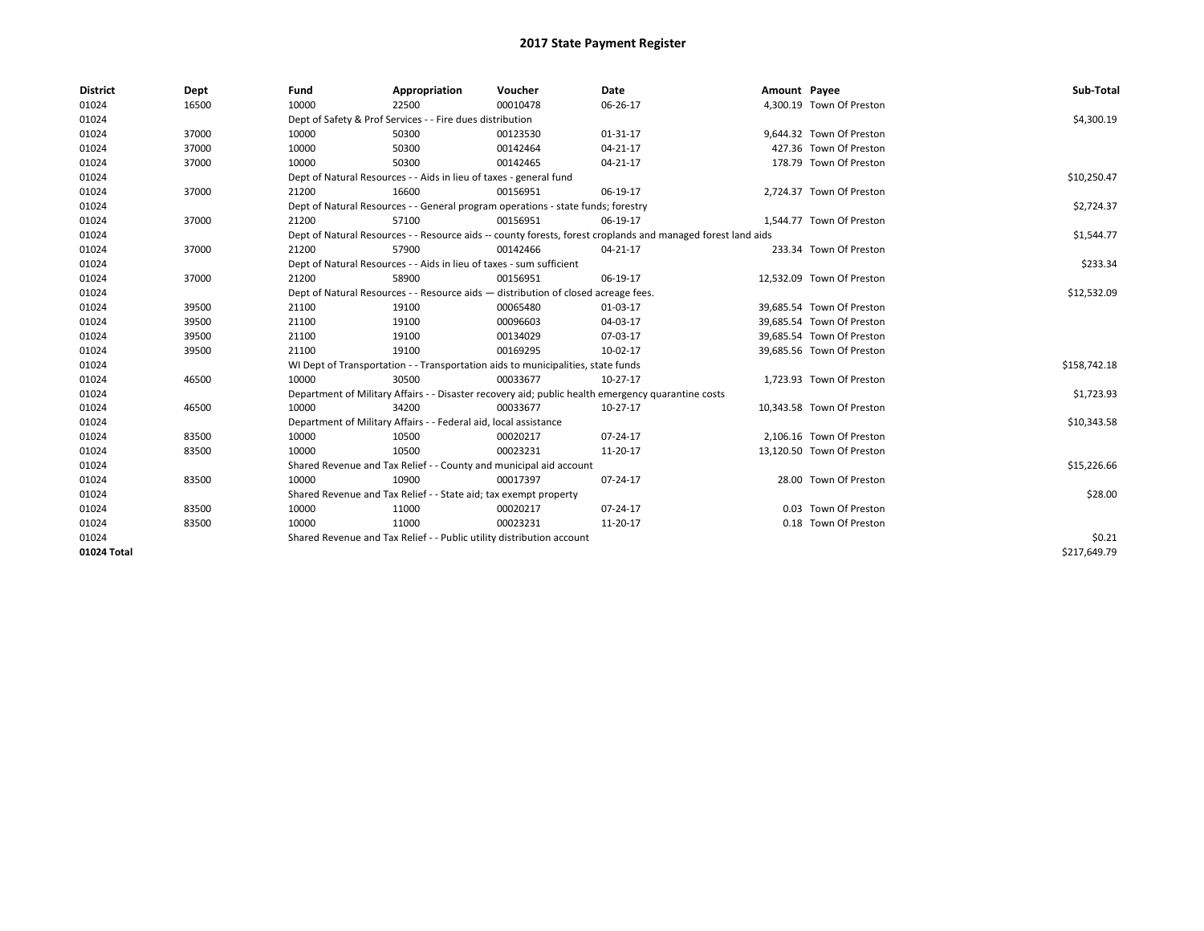| <b>District</b> | Dept  | Fund                                                                  | Appropriation                                                                                                | Voucher  | Date     | Amount Payee |                           | Sub-Total    |  |  |  |
|-----------------|-------|-----------------------------------------------------------------------|--------------------------------------------------------------------------------------------------------------|----------|----------|--------------|---------------------------|--------------|--|--|--|
| 01024           | 16500 | 10000                                                                 | 22500                                                                                                        | 00010478 | 06-26-17 |              | 4,300.19 Town Of Preston  |              |  |  |  |
| 01024           |       |                                                                       | Dept of Safety & Prof Services - - Fire dues distribution                                                    |          |          |              |                           | \$4,300.19   |  |  |  |
| 01024           | 37000 | 10000                                                                 | 50300                                                                                                        | 00123530 | 01-31-17 |              | 9,644.32 Town Of Preston  |              |  |  |  |
| 01024           | 37000 | 10000                                                                 | 50300                                                                                                        | 00142464 | 04-21-17 |              | 427.36 Town Of Preston    |              |  |  |  |
| 01024           | 37000 | 10000                                                                 | 50300                                                                                                        | 00142465 | 04-21-17 |              | 178.79 Town Of Preston    |              |  |  |  |
| 01024           |       |                                                                       | Dept of Natural Resources - - Aids in lieu of taxes - general fund                                           |          |          |              |                           |              |  |  |  |
| 01024           | 37000 | 21200                                                                 | 16600                                                                                                        | 00156951 | 06-19-17 |              | 2,724.37 Town Of Preston  |              |  |  |  |
| 01024           |       |                                                                       | Dept of Natural Resources - - General program operations - state funds; forestry                             |          |          |              |                           | \$2,724.37   |  |  |  |
| 01024           | 37000 | 21200                                                                 | 57100                                                                                                        | 00156951 | 06-19-17 |              | 1,544.77 Town Of Preston  |              |  |  |  |
| 01024           |       |                                                                       | Dept of Natural Resources - - Resource aids -- county forests, forest croplands and managed forest land aids |          |          |              |                           | \$1,544.77   |  |  |  |
| 01024           | 37000 | 21200                                                                 | 57900                                                                                                        | 00142466 | 04-21-17 |              | 233.34 Town Of Preston    |              |  |  |  |
| 01024           |       |                                                                       | Dept of Natural Resources - - Aids in lieu of taxes - sum sufficient                                         |          |          |              |                           | \$233.34     |  |  |  |
| 01024           | 37000 | 21200                                                                 | 58900                                                                                                        | 00156951 | 06-19-17 |              | 12,532.09 Town Of Preston |              |  |  |  |
| 01024           |       |                                                                       | Dept of Natural Resources - - Resource aids - distribution of closed acreage fees.                           |          |          |              |                           |              |  |  |  |
| 01024           | 39500 | 21100                                                                 | 19100                                                                                                        | 00065480 | 01-03-17 |              | 39,685.54 Town Of Preston |              |  |  |  |
| 01024           | 39500 | 21100                                                                 | 19100                                                                                                        | 00096603 | 04-03-17 |              | 39.685.54 Town Of Preston |              |  |  |  |
| 01024           | 39500 | 21100                                                                 | 19100                                                                                                        | 00134029 | 07-03-17 |              | 39,685.54 Town Of Preston |              |  |  |  |
| 01024           | 39500 | 21100                                                                 | 19100                                                                                                        | 00169295 | 10-02-17 |              | 39,685.56 Town Of Preston |              |  |  |  |
| 01024           |       |                                                                       | WI Dept of Transportation - - Transportation aids to municipalities, state funds                             |          |          |              |                           | \$158,742.18 |  |  |  |
| 01024           | 46500 | 10000                                                                 | 30500                                                                                                        | 00033677 | 10-27-17 |              | 1,723.93 Town Of Preston  |              |  |  |  |
| 01024           |       |                                                                       | Department of Military Affairs - - Disaster recovery aid; public health emergency quarantine costs           |          |          |              |                           | \$1,723.93   |  |  |  |
| 01024           | 46500 | 10000                                                                 | 34200                                                                                                        | 00033677 | 10-27-17 |              | 10,343.58 Town Of Preston |              |  |  |  |
| 01024           |       |                                                                       | Department of Military Affairs - - Federal aid, local assistance                                             |          |          |              |                           | \$10,343.58  |  |  |  |
| 01024           | 83500 | 10000                                                                 | 10500                                                                                                        | 00020217 | 07-24-17 |              | 2,106.16 Town Of Preston  |              |  |  |  |
| 01024           | 83500 | 10000                                                                 | 10500                                                                                                        | 00023231 | 11-20-17 |              | 13,120.50 Town Of Preston |              |  |  |  |
| 01024           |       |                                                                       | Shared Revenue and Tax Relief - - County and municipal aid account                                           |          |          |              |                           | \$15,226.66  |  |  |  |
| 01024           | 83500 | 10000                                                                 | 10900                                                                                                        | 00017397 | 07-24-17 |              | 28.00 Town Of Preston     |              |  |  |  |
| 01024           |       | Shared Revenue and Tax Relief - - State aid; tax exempt property      |                                                                                                              | \$28.00  |          |              |                           |              |  |  |  |
| 01024           | 83500 | 10000                                                                 | 11000                                                                                                        | 00020217 | 07-24-17 |              | 0.03 Town Of Preston      |              |  |  |  |
| 01024           | 83500 | 10000                                                                 | 11000                                                                                                        | 00023231 | 11-20-17 |              | 0.18 Town Of Preston      |              |  |  |  |
| 01024           |       | Shared Revenue and Tax Relief - - Public utility distribution account |                                                                                                              | \$0.21   |          |              |                           |              |  |  |  |
| 01024 Total     |       |                                                                       |                                                                                                              |          |          |              |                           | \$217,649.79 |  |  |  |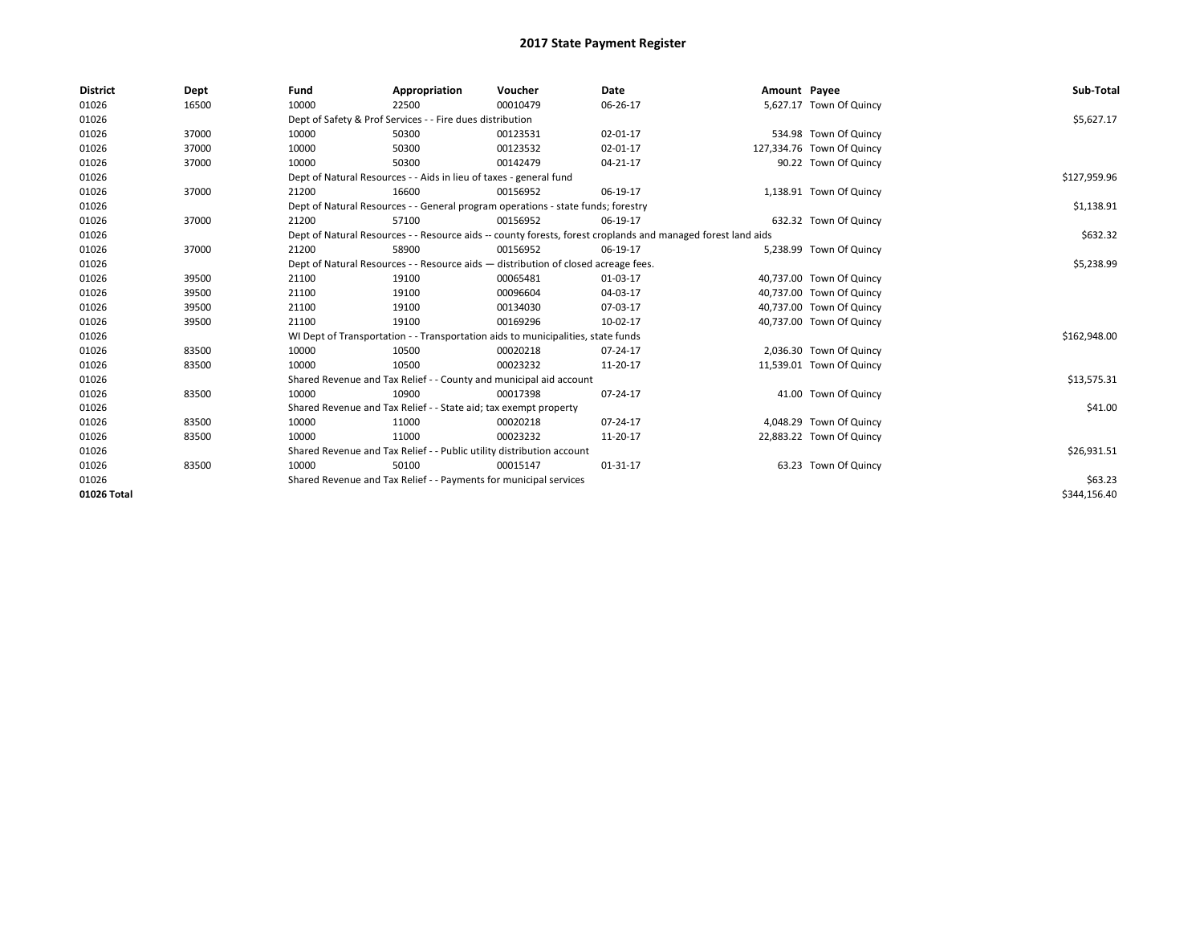| <b>District</b> | Dept  | Fund  | Appropriation                                                                                                | Voucher  | Date     | Amount Payee |                           | Sub-Total    |  |  |  |
|-----------------|-------|-------|--------------------------------------------------------------------------------------------------------------|----------|----------|--------------|---------------------------|--------------|--|--|--|
| 01026           | 16500 | 10000 | 22500                                                                                                        | 00010479 | 06-26-17 |              | 5,627.17 Town Of Quincy   |              |  |  |  |
| 01026           |       |       | Dept of Safety & Prof Services - - Fire dues distribution                                                    |          |          |              |                           | \$5,627.17   |  |  |  |
| 01026           | 37000 | 10000 | 50300                                                                                                        | 00123531 | 02-01-17 |              | 534.98 Town Of Quincy     |              |  |  |  |
| 01026           | 37000 | 10000 | 50300                                                                                                        | 00123532 | 02-01-17 |              | 127,334.76 Town Of Quincy |              |  |  |  |
| 01026           | 37000 | 10000 | 50300                                                                                                        | 00142479 | 04-21-17 |              | 90.22 Town Of Quincy      |              |  |  |  |
| 01026           |       |       | Dept of Natural Resources - - Aids in lieu of taxes - general fund                                           |          |          |              |                           |              |  |  |  |
| 01026           | 37000 | 21200 | 16600                                                                                                        | 00156952 | 06-19-17 |              | 1,138.91 Town Of Quincy   |              |  |  |  |
| 01026           |       |       | Dept of Natural Resources - - General program operations - state funds; forestry                             |          |          |              |                           | \$1,138.91   |  |  |  |
| 01026           | 37000 | 21200 | 57100                                                                                                        | 00156952 | 06-19-17 |              | 632.32 Town Of Quincy     |              |  |  |  |
| 01026           |       |       | Dept of Natural Resources - - Resource aids -- county forests, forest croplands and managed forest land aids |          |          |              |                           | \$632.32     |  |  |  |
| 01026           | 37000 | 21200 | 58900                                                                                                        | 00156952 | 06-19-17 |              | 5,238.99 Town Of Quincy   |              |  |  |  |
| 01026           |       |       | Dept of Natural Resources - - Resource aids - distribution of closed acreage fees.                           |          |          |              |                           |              |  |  |  |
| 01026           | 39500 | 21100 | 19100                                                                                                        | 00065481 | 01-03-17 |              | 40,737.00 Town Of Quincy  |              |  |  |  |
| 01026           | 39500 | 21100 | 19100                                                                                                        | 00096604 | 04-03-17 |              | 40,737.00 Town Of Quincy  |              |  |  |  |
| 01026           | 39500 | 21100 | 19100                                                                                                        | 00134030 | 07-03-17 |              | 40,737.00 Town Of Quincy  |              |  |  |  |
| 01026           | 39500 | 21100 | 19100                                                                                                        | 00169296 | 10-02-17 |              | 40,737.00 Town Of Quincy  |              |  |  |  |
| 01026           |       |       | WI Dept of Transportation - - Transportation aids to municipalities, state funds                             |          |          |              |                           | \$162,948.00 |  |  |  |
| 01026           | 83500 | 10000 | 10500                                                                                                        | 00020218 | 07-24-17 |              | 2,036.30 Town Of Quincy   |              |  |  |  |
| 01026           | 83500 | 10000 | 10500                                                                                                        | 00023232 | 11-20-17 |              | 11,539.01 Town Of Quincy  |              |  |  |  |
| 01026           |       |       | Shared Revenue and Tax Relief - - County and municipal aid account                                           |          |          |              |                           | \$13,575.31  |  |  |  |
| 01026           | 83500 | 10000 | 10900                                                                                                        | 00017398 | 07-24-17 |              | 41.00 Town Of Quincy      |              |  |  |  |
| 01026           |       |       | Shared Revenue and Tax Relief - - State aid; tax exempt property                                             |          |          |              |                           | \$41.00      |  |  |  |
| 01026           | 83500 | 10000 | 11000                                                                                                        | 00020218 | 07-24-17 |              | 4,048.29 Town Of Quincy   |              |  |  |  |
| 01026           | 83500 | 10000 | 11000                                                                                                        | 00023232 | 11-20-17 |              | 22,883.22 Town Of Quincy  |              |  |  |  |
| 01026           |       |       | Shared Revenue and Tax Relief - - Public utility distribution account                                        |          |          |              |                           | \$26,931.51  |  |  |  |
| 01026           | 83500 | 10000 | 50100                                                                                                        | 00015147 | 01-31-17 |              | 63.23 Town Of Quincy      |              |  |  |  |
| 01026           |       |       | Shared Revenue and Tax Relief - - Payments for municipal services                                            |          |          |              |                           | \$63.23      |  |  |  |
| 01026 Total     |       |       |                                                                                                              |          |          |              |                           | \$344.156.40 |  |  |  |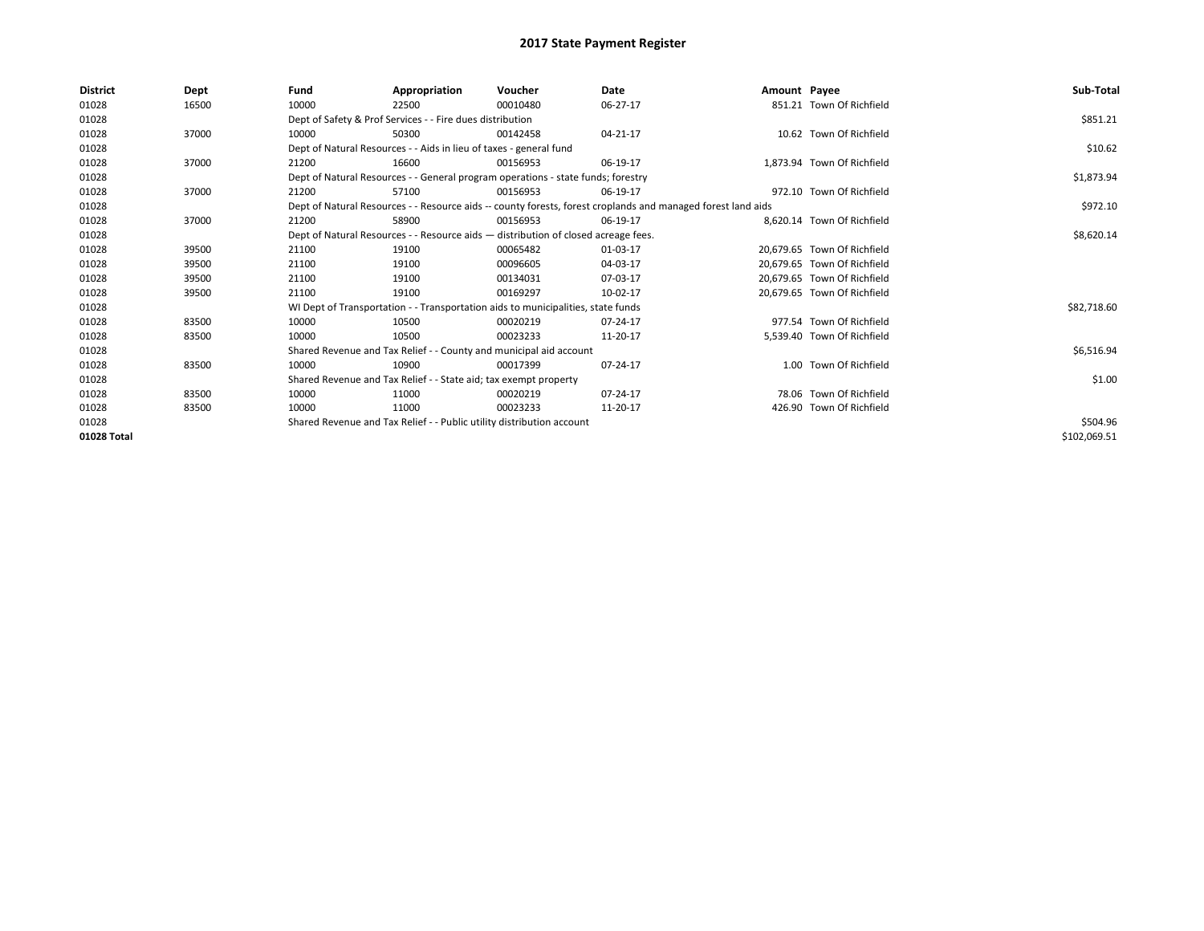| <b>District</b> | Dept  | Fund                                                                  | Appropriation                                                                                                | Voucher  | Date       | Amount Payee |                             | Sub-Total    |  |  |
|-----------------|-------|-----------------------------------------------------------------------|--------------------------------------------------------------------------------------------------------------|----------|------------|--------------|-----------------------------|--------------|--|--|
| 01028           | 16500 | 10000                                                                 | 22500                                                                                                        | 00010480 | $06-27-17$ |              | 851.21 Town Of Richfield    |              |  |  |
| 01028           |       |                                                                       | Dept of Safety & Prof Services - - Fire dues distribution                                                    |          |            |              |                             | \$851.21     |  |  |
| 01028           | 37000 | 10000                                                                 | 50300                                                                                                        | 00142458 | 04-21-17   |              | 10.62 Town Of Richfield     |              |  |  |
| 01028           |       |                                                                       | Dept of Natural Resources - - Aids in lieu of taxes - general fund                                           |          |            |              |                             |              |  |  |
| 01028           | 37000 | 21200                                                                 | 16600                                                                                                        | 00156953 | 06-19-17   |              | 1,873.94 Town Of Richfield  |              |  |  |
| 01028           |       |                                                                       | Dept of Natural Resources - - General program operations - state funds; forestry                             |          |            |              |                             |              |  |  |
| 01028           | 37000 | 21200                                                                 | 57100                                                                                                        | 00156953 | 06-19-17   |              | 972.10 Town Of Richfield    |              |  |  |
| 01028           |       |                                                                       | Dept of Natural Resources - - Resource aids -- county forests, forest croplands and managed forest land aids |          | \$972.10   |              |                             |              |  |  |
| 01028           | 37000 | 21200                                                                 | 58900                                                                                                        | 00156953 | 06-19-17   |              | 8,620.14 Town Of Richfield  |              |  |  |
| 01028           |       |                                                                       | Dept of Natural Resources - - Resource aids - distribution of closed acreage fees.                           |          |            |              |                             | \$8,620.14   |  |  |
| 01028           | 39500 | 21100                                                                 | 19100                                                                                                        | 00065482 | 01-03-17   |              | 20.679.65 Town Of Richfield |              |  |  |
| 01028           | 39500 | 21100                                                                 | 19100                                                                                                        | 00096605 | 04-03-17   |              | 20.679.65 Town Of Richfield |              |  |  |
| 01028           | 39500 | 21100                                                                 | 19100                                                                                                        | 00134031 | 07-03-17   |              | 20.679.65 Town Of Richfield |              |  |  |
| 01028           | 39500 | 21100                                                                 | 19100                                                                                                        | 00169297 | 10-02-17   |              | 20.679.65 Town Of Richfield |              |  |  |
| 01028           |       |                                                                       | WI Dept of Transportation - - Transportation aids to municipalities, state funds                             |          |            |              |                             | \$82,718.60  |  |  |
| 01028           | 83500 | 10000                                                                 | 10500                                                                                                        | 00020219 | 07-24-17   |              | 977.54 Town Of Richfield    |              |  |  |
| 01028           | 83500 | 10000                                                                 | 10500                                                                                                        | 00023233 | 11-20-17   |              | 5,539.40 Town Of Richfield  |              |  |  |
| 01028           |       |                                                                       | Shared Revenue and Tax Relief - - County and municipal aid account                                           |          |            |              |                             | \$6,516.94   |  |  |
| 01028           | 83500 | 10000                                                                 | 10900                                                                                                        | 00017399 | 07-24-17   |              | 1.00 Town Of Richfield      |              |  |  |
| 01028           |       |                                                                       | Shared Revenue and Tax Relief - - State aid; tax exempt property                                             |          |            |              |                             | \$1.00       |  |  |
| 01028           | 83500 | 10000                                                                 | 11000                                                                                                        | 00020219 | 07-24-17   |              | 78.06 Town Of Richfield     |              |  |  |
| 01028           | 83500 | 10000                                                                 | 11000                                                                                                        | 00023233 | 11-20-17   |              | 426.90 Town Of Richfield    |              |  |  |
| 01028           |       | Shared Revenue and Tax Relief - - Public utility distribution account |                                                                                                              | \$504.96 |            |              |                             |              |  |  |
| 01028 Total     |       |                                                                       |                                                                                                              |          |            |              |                             | \$102,069.51 |  |  |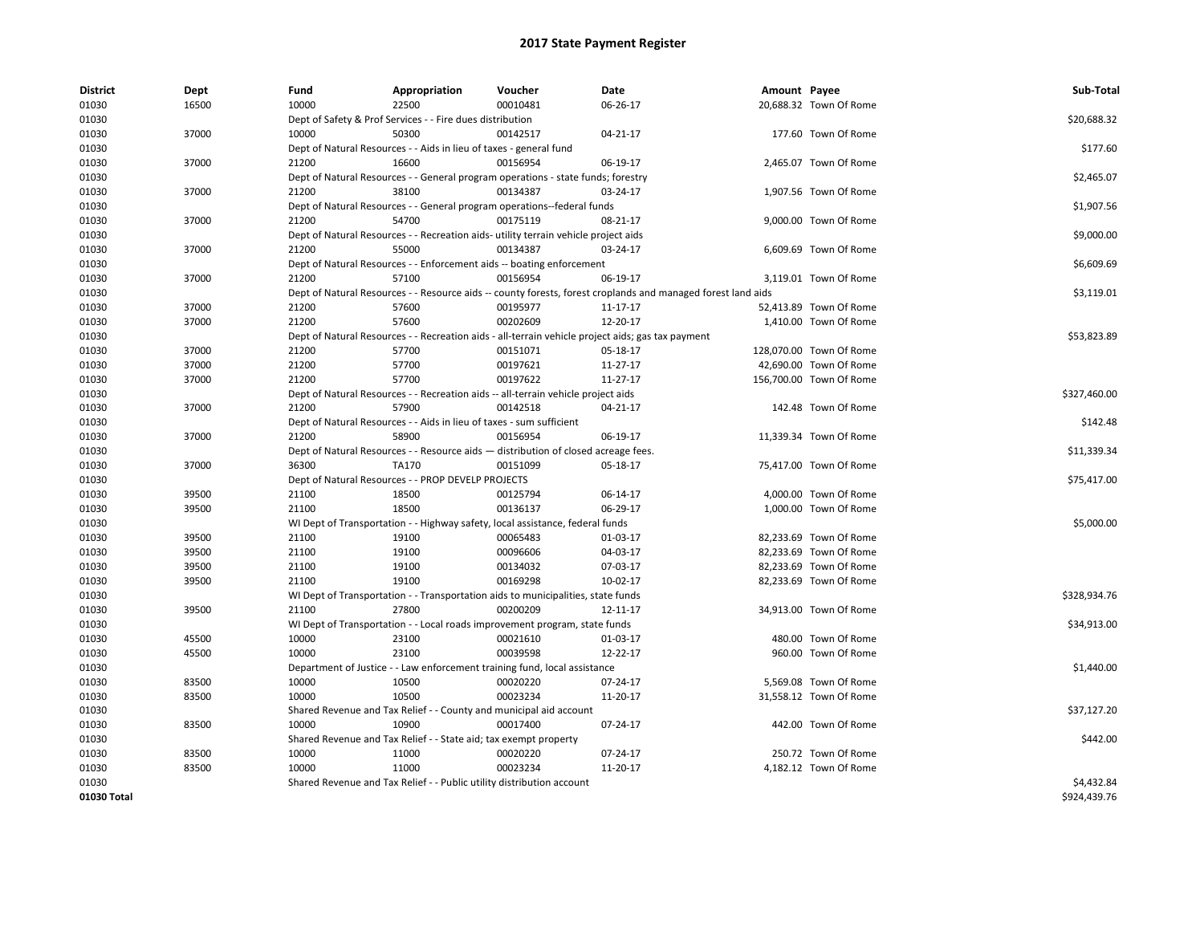| <b>District</b> | Dept           | Fund  | Appropriation                                                         | Voucher                                                                                      | Date                                                                                                         | Amount Payee |                                                  | Sub-Total    |
|-----------------|----------------|-------|-----------------------------------------------------------------------|----------------------------------------------------------------------------------------------|--------------------------------------------------------------------------------------------------------------|--------------|--------------------------------------------------|--------------|
| 01030           | 16500          | 10000 | 22500                                                                 | 00010481                                                                                     | 06-26-17                                                                                                     |              | 20,688.32 Town Of Rome                           |              |
| 01030           |                |       | Dept of Safety & Prof Services - - Fire dues distribution             |                                                                                              |                                                                                                              |              |                                                  | \$20,688.32  |
| 01030           | 37000          | 10000 | 50300                                                                 | 00142517                                                                                     | 04-21-17                                                                                                     |              | 177.60 Town Of Rome                              |              |
| 01030           |                |       | Dept of Natural Resources - - Aids in lieu of taxes - general fund    |                                                                                              |                                                                                                              |              |                                                  | \$177.60     |
| 01030           | 37000          | 21200 | 16600                                                                 | 00156954                                                                                     | 06-19-17                                                                                                     |              | 2,465.07 Town Of Rome                            |              |
| 01030           |                |       |                                                                       | Dept of Natural Resources - - General program operations - state funds; forestry             |                                                                                                              |              |                                                  | \$2,465.07   |
| 01030           | 37000          | 21200 | 38100                                                                 | 00134387                                                                                     | 03-24-17                                                                                                     |              | 1,907.56 Town Of Rome                            |              |
| 01030           |                |       |                                                                       | Dept of Natural Resources - - General program operations--federal funds                      |                                                                                                              |              |                                                  | \$1,907.56   |
| 01030           | 37000          | 21200 | 54700                                                                 | 00175119                                                                                     | 08-21-17                                                                                                     |              | 9,000.00 Town Of Rome                            |              |
| 01030           |                |       |                                                                       | Dept of Natural Resources - - Recreation aids- utility terrain vehicle project aids          |                                                                                                              |              |                                                  | \$9,000.00   |
| 01030           | 37000          | 21200 | 55000                                                                 | 00134387                                                                                     | 03-24-17                                                                                                     |              | 6,609.69 Town Of Rome                            |              |
| 01030           |                |       |                                                                       | Dept of Natural Resources - - Enforcement aids -- boating enforcement                        |                                                                                                              |              |                                                  | \$6,609.69   |
| 01030           | 37000          | 21200 | 57100                                                                 | 00156954                                                                                     | 06-19-17                                                                                                     |              | 3,119.01 Town Of Rome                            |              |
| 01030           |                |       |                                                                       |                                                                                              | Dept of Natural Resources - - Resource aids -- county forests, forest croplands and managed forest land aids |              |                                                  | \$3,119.01   |
| 01030           | 37000          | 21200 | 57600                                                                 | 00195977                                                                                     | 11-17-17                                                                                                     |              | 52,413.89 Town Of Rome                           |              |
| 01030           | 37000          | 21200 | 57600                                                                 | 00202609                                                                                     | 12-20-17                                                                                                     |              | 1,410.00 Town Of Rome                            |              |
| 01030           |                |       |                                                                       |                                                                                              | Dept of Natural Resources - - Recreation aids - all-terrain vehicle project aids; gas tax payment            |              |                                                  | \$53,823.89  |
| 01030           | 37000          | 21200 | 57700                                                                 | 00151071                                                                                     | 05-18-17                                                                                                     |              | 128,070.00 Town Of Rome                          |              |
| 01030           | 37000          | 21200 | 57700                                                                 | 00197621                                                                                     | 11-27-17                                                                                                     |              | 42,690.00 Town Of Rome                           |              |
| 01030           | 37000          | 21200 | 57700                                                                 | 00197622                                                                                     | 11-27-17                                                                                                     |              | 156,700.00 Town Of Rome                          |              |
| 01030           |                |       |                                                                       | Dept of Natural Resources - - Recreation aids -- all-terrain vehicle project aids            |                                                                                                              |              |                                                  | \$327,460.00 |
| 01030           | 37000          | 21200 | 57900                                                                 | 00142518                                                                                     | $04 - 21 - 17$                                                                                               |              | 142.48 Town Of Rome                              |              |
| 01030           |                |       | Dept of Natural Resources - - Aids in lieu of taxes - sum sufficient  |                                                                                              |                                                                                                              |              |                                                  | \$142.48     |
| 01030           | 37000          | 21200 | 58900                                                                 | 00156954                                                                                     | 06-19-17                                                                                                     |              | 11,339.34 Town Of Rome                           |              |
| 01030           |                |       |                                                                       | Dept of Natural Resources - - Resource aids - distribution of closed acreage fees.           |                                                                                                              |              |                                                  | \$11,339.34  |
| 01030           | 37000          | 36300 | TA170                                                                 | 00151099                                                                                     | 05-18-17                                                                                                     |              | 75,417.00 Town Of Rome                           |              |
| 01030           |                |       | Dept of Natural Resources - - PROP DEVELP PROJECTS                    |                                                                                              |                                                                                                              |              |                                                  | \$75,417.00  |
| 01030           | 39500          | 21100 | 18500                                                                 | 00125794                                                                                     | 06-14-17                                                                                                     |              | 4,000.00 Town Of Rome                            |              |
| 01030           | 39500          | 21100 | 18500                                                                 | 00136137                                                                                     | 06-29-17                                                                                                     |              | 1,000.00 Town Of Rome                            |              |
| 01030           |                |       |                                                                       | WI Dept of Transportation - - Highway safety, local assistance, federal funds                |                                                                                                              |              |                                                  | \$5,000.00   |
|                 |                | 21100 | 19100                                                                 | 00065483                                                                                     | 01-03-17                                                                                                     |              |                                                  |              |
| 01030<br>01030  | 39500          | 21100 | 19100                                                                 | 00096606                                                                                     |                                                                                                              |              | 82,233.69 Town Of Rome<br>82,233.69 Town Of Rome |              |
| 01030           | 39500<br>39500 | 21100 | 19100                                                                 | 00134032                                                                                     | 04-03-17<br>07-03-17                                                                                         |              | 82,233.69 Town Of Rome                           |              |
|                 |                |       |                                                                       |                                                                                              |                                                                                                              |              |                                                  |              |
| 01030           | 39500          | 21100 | 19100                                                                 | 00169298                                                                                     | 10-02-17                                                                                                     |              | 82,233.69 Town Of Rome                           |              |
| 01030           |                | 21100 | 27800                                                                 | WI Dept of Transportation - - Transportation aids to municipalities, state funds<br>00200209 |                                                                                                              |              |                                                  | \$328,934.76 |
| 01030           | 39500          |       |                                                                       |                                                                                              | 12-11-17                                                                                                     |              | 34,913.00 Town Of Rome                           |              |
| 01030           |                |       |                                                                       | WI Dept of Transportation - - Local roads improvement program, state funds                   |                                                                                                              |              |                                                  | \$34,913.00  |
| 01030           | 45500          | 10000 | 23100                                                                 | 00021610                                                                                     | 01-03-17                                                                                                     |              | 480.00 Town Of Rome                              |              |
| 01030           | 45500          | 10000 | 23100                                                                 | 00039598                                                                                     | 12-22-17                                                                                                     |              | 960.00 Town Of Rome                              |              |
| 01030           |                |       |                                                                       | Department of Justice - - Law enforcement training fund, local assistance                    |                                                                                                              |              |                                                  | \$1,440.00   |
| 01030           | 83500          | 10000 | 10500                                                                 | 00020220                                                                                     | 07-24-17                                                                                                     |              | 5,569.08 Town Of Rome                            |              |
| 01030           | 83500          | 10000 | 10500                                                                 | 00023234                                                                                     | 11-20-17                                                                                                     |              | 31,558.12 Town Of Rome                           |              |
| 01030           |                |       |                                                                       | Shared Revenue and Tax Relief - - County and municipal aid account                           |                                                                                                              |              |                                                  | \$37,127.20  |
| 01030           | 83500          | 10000 | 10900                                                                 | 00017400                                                                                     | 07-24-17                                                                                                     |              | 442.00 Town Of Rome                              |              |
| 01030           |                |       | Shared Revenue and Tax Relief - - State aid; tax exempt property      |                                                                                              |                                                                                                              |              |                                                  | \$442.00     |
| 01030           | 83500          | 10000 | 11000                                                                 | 00020220                                                                                     | 07-24-17                                                                                                     |              | 250.72 Town Of Rome                              |              |
| 01030           | 83500          | 10000 | 11000                                                                 | 00023234                                                                                     | 11-20-17                                                                                                     |              | 4,182.12 Town Of Rome                            |              |
| 01030           |                |       | Shared Revenue and Tax Relief - - Public utility distribution account |                                                                                              |                                                                                                              |              |                                                  | \$4,432.84   |
| 01030 Total     |                |       |                                                                       |                                                                                              |                                                                                                              |              |                                                  | \$924,439.76 |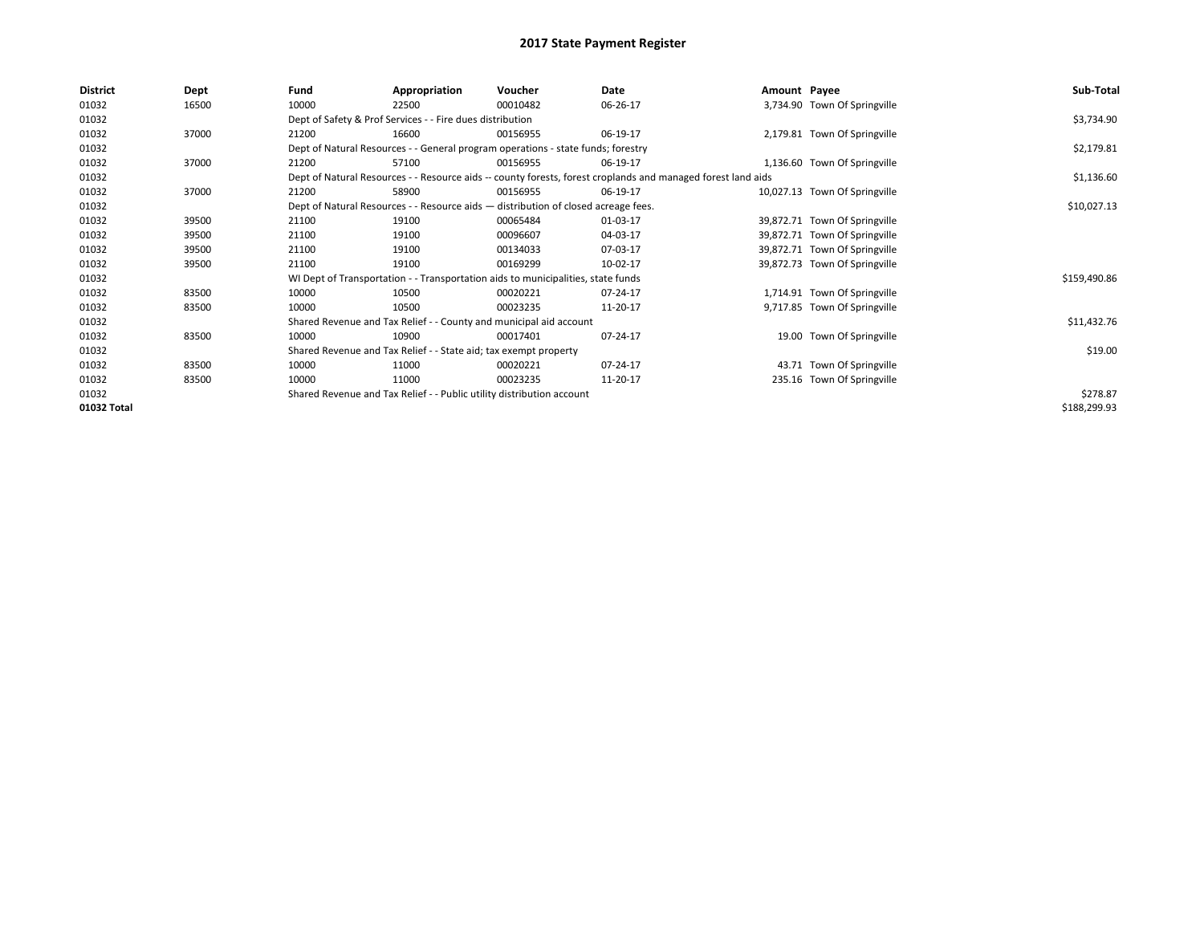| <b>District</b> | Dept  | Fund                                                                                                         | Appropriation                                                                      | Voucher    | Date        | Amount Payee |                               | Sub-Total    |
|-----------------|-------|--------------------------------------------------------------------------------------------------------------|------------------------------------------------------------------------------------|------------|-------------|--------------|-------------------------------|--------------|
| 01032           | 16500 | 10000                                                                                                        | 22500                                                                              | 00010482   | 06-26-17    |              | 3,734.90 Town Of Springville  |              |
| 01032           |       |                                                                                                              | Dept of Safety & Prof Services - - Fire dues distribution                          |            |             |              |                               | \$3,734.90   |
| 01032           | 37000 | 21200                                                                                                        | 16600                                                                              | 00156955   | 06-19-17    |              | 2,179.81 Town Of Springville  |              |
| 01032           |       | Dept of Natural Resources - - General program operations - state funds; forestry                             |                                                                                    | \$2,179.81 |             |              |                               |              |
| 01032           | 37000 | 21200                                                                                                        | 57100                                                                              | 00156955   | 06-19-17    |              | 1,136.60 Town Of Springville  |              |
| 01032           |       | Dept of Natural Resources - - Resource aids -- county forests, forest croplands and managed forest land aids |                                                                                    | \$1,136.60 |             |              |                               |              |
| 01032           | 37000 | 21200                                                                                                        | 58900                                                                              | 00156955   | 06-19-17    |              | 10,027.13 Town Of Springville |              |
| 01032           |       |                                                                                                              | Dept of Natural Resources - - Resource aids - distribution of closed acreage fees. |            | \$10,027.13 |              |                               |              |
| 01032           | 39500 | 21100                                                                                                        | 19100                                                                              | 00065484   | 01-03-17    |              | 39,872.71 Town Of Springville |              |
| 01032           | 39500 | 21100                                                                                                        | 19100                                                                              | 00096607   | 04-03-17    |              | 39,872.71 Town Of Springville |              |
| 01032           | 39500 | 21100                                                                                                        | 19100                                                                              | 00134033   | 07-03-17    |              | 39,872.71 Town Of Springville |              |
| 01032           | 39500 | 21100                                                                                                        | 19100                                                                              | 00169299   | 10-02-17    |              | 39,872.73 Town Of Springville |              |
| 01032           |       |                                                                                                              | WI Dept of Transportation - - Transportation aids to municipalities, state funds   |            |             |              |                               | \$159,490.86 |
| 01032           | 83500 | 10000                                                                                                        | 10500                                                                              | 00020221   | 07-24-17    |              | 1,714.91 Town Of Springville  |              |
| 01032           | 83500 | 10000                                                                                                        | 10500                                                                              | 00023235   | 11-20-17    |              | 9,717.85 Town Of Springville  |              |
| 01032           |       |                                                                                                              | Shared Revenue and Tax Relief - - County and municipal aid account                 |            |             |              |                               | \$11,432.76  |
| 01032           | 83500 | 10000                                                                                                        | 10900                                                                              | 00017401   | 07-24-17    |              | 19.00 Town Of Springville     |              |
| 01032           |       |                                                                                                              | Shared Revenue and Tax Relief - - State aid; tax exempt property                   |            |             |              |                               | \$19.00      |
| 01032           | 83500 | 10000                                                                                                        | 11000                                                                              | 00020221   | 07-24-17    |              | 43.71 Town Of Springville     |              |
| 01032           | 83500 | 10000                                                                                                        | 11000                                                                              | 00023235   | 11-20-17    |              | 235.16 Town Of Springville    |              |
| 01032           |       |                                                                                                              | Shared Revenue and Tax Relief - - Public utility distribution account              |            |             |              |                               | \$278.87     |
| 01032 Total     |       |                                                                                                              |                                                                                    |            |             |              |                               | \$188,299.93 |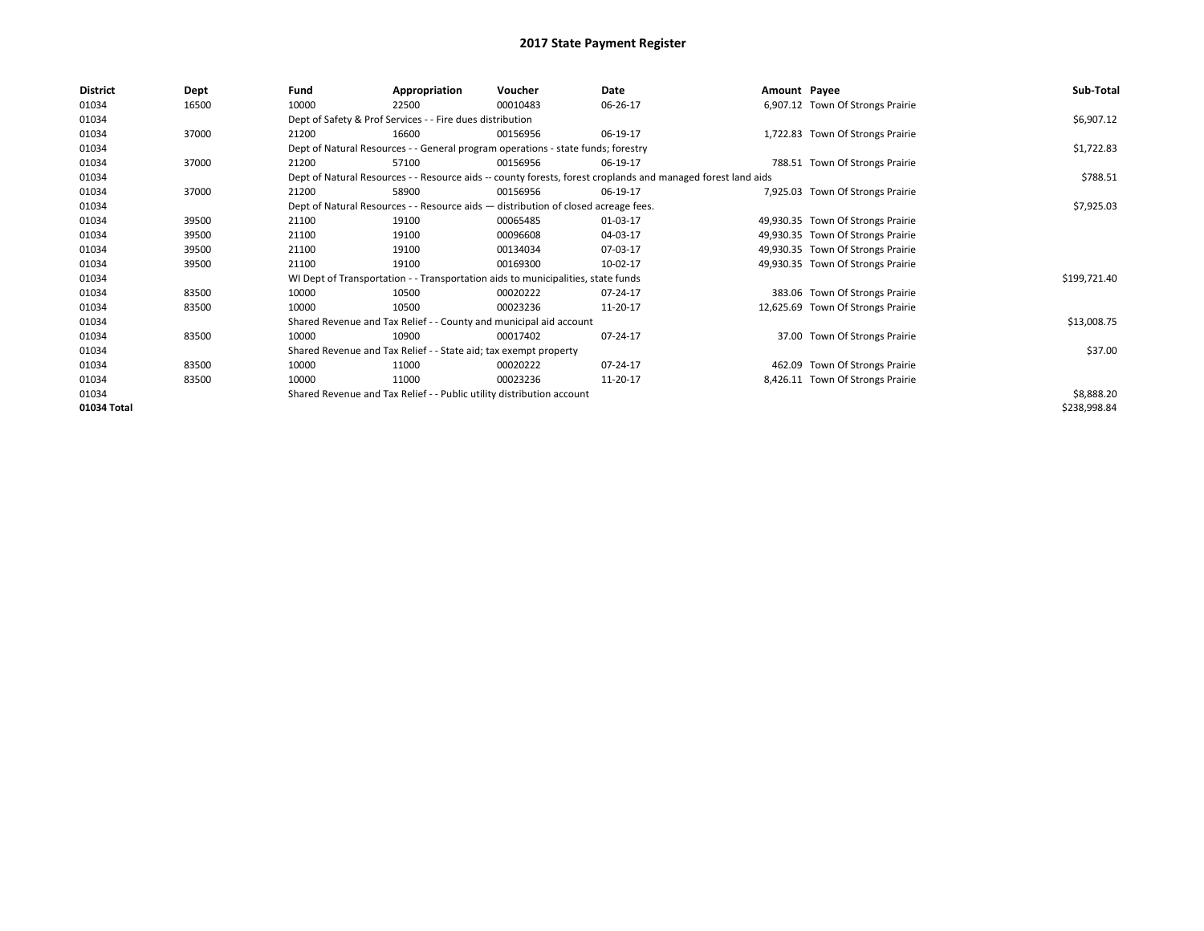| <b>District</b> | Dept  | Fund                                                                                                         | Appropriation                                                                      | Voucher  | Date     | Amount Payee |                                   | Sub-Total    |
|-----------------|-------|--------------------------------------------------------------------------------------------------------------|------------------------------------------------------------------------------------|----------|----------|--------------|-----------------------------------|--------------|
| 01034           | 16500 | 10000                                                                                                        | 22500                                                                              | 00010483 | 06-26-17 |              | 6,907.12 Town Of Strongs Prairie  |              |
| 01034           |       |                                                                                                              | Dept of Safety & Prof Services - - Fire dues distribution                          |          |          |              |                                   | \$6,907.12   |
| 01034           | 37000 | 21200                                                                                                        | 16600                                                                              | 00156956 | 06-19-17 |              | 1,722.83 Town Of Strongs Prairie  |              |
| 01034           |       |                                                                                                              | Dept of Natural Resources - - General program operations - state funds; forestry   |          |          |              |                                   | \$1,722.83   |
| 01034           | 37000 | 21200                                                                                                        | 57100                                                                              | 00156956 | 06-19-17 |              | 788.51 Town Of Strongs Prairie    |              |
| 01034           |       | Dept of Natural Resources - - Resource aids -- county forests, forest croplands and managed forest land aids |                                                                                    | \$788.51 |          |              |                                   |              |
| 01034           | 37000 | 21200                                                                                                        | 58900                                                                              | 00156956 | 06-19-17 |              | 7,925.03 Town Of Strongs Prairie  |              |
| 01034           |       |                                                                                                              | Dept of Natural Resources - - Resource aids - distribution of closed acreage fees. |          |          |              |                                   | \$7,925.03   |
| 01034           | 39500 | 21100                                                                                                        | 19100                                                                              | 00065485 | 01-03-17 |              | 49,930.35 Town Of Strongs Prairie |              |
| 01034           | 39500 | 21100                                                                                                        | 19100                                                                              | 00096608 | 04-03-17 |              | 49,930.35 Town Of Strongs Prairie |              |
| 01034           | 39500 | 21100                                                                                                        | 19100                                                                              | 00134034 | 07-03-17 |              | 49,930.35 Town Of Strongs Prairie |              |
| 01034           | 39500 | 21100                                                                                                        | 19100                                                                              | 00169300 | 10-02-17 |              | 49,930.35 Town Of Strongs Prairie |              |
| 01034           |       |                                                                                                              | WI Dept of Transportation - - Transportation aids to municipalities, state funds   |          |          |              |                                   | \$199,721.40 |
| 01034           | 83500 | 10000                                                                                                        | 10500                                                                              | 00020222 | 07-24-17 |              | 383.06 Town Of Strongs Prairie    |              |
| 01034           | 83500 | 10000                                                                                                        | 10500                                                                              | 00023236 | 11-20-17 |              | 12,625.69 Town Of Strongs Prairie |              |
| 01034           |       |                                                                                                              | Shared Revenue and Tax Relief - - County and municipal aid account                 |          |          |              |                                   | \$13,008.75  |
| 01034           | 83500 | 10000                                                                                                        | 10900                                                                              | 00017402 | 07-24-17 |              | 37.00 Town Of Strongs Prairie     |              |
| 01034           |       |                                                                                                              | Shared Revenue and Tax Relief - - State aid; tax exempt property                   |          |          |              |                                   | \$37.00      |
| 01034           | 83500 | 10000                                                                                                        | 11000                                                                              | 00020222 | 07-24-17 |              | 462.09 Town Of Strongs Prairie    |              |
| 01034           | 83500 | 10000                                                                                                        | 11000                                                                              | 00023236 | 11-20-17 |              | 8,426.11 Town Of Strongs Prairie  |              |
| 01034           |       |                                                                                                              | Shared Revenue and Tax Relief - - Public utility distribution account              |          |          |              |                                   | \$8,888.20   |
| 01034 Total     |       |                                                                                                              |                                                                                    |          |          |              |                                   | \$238,998.84 |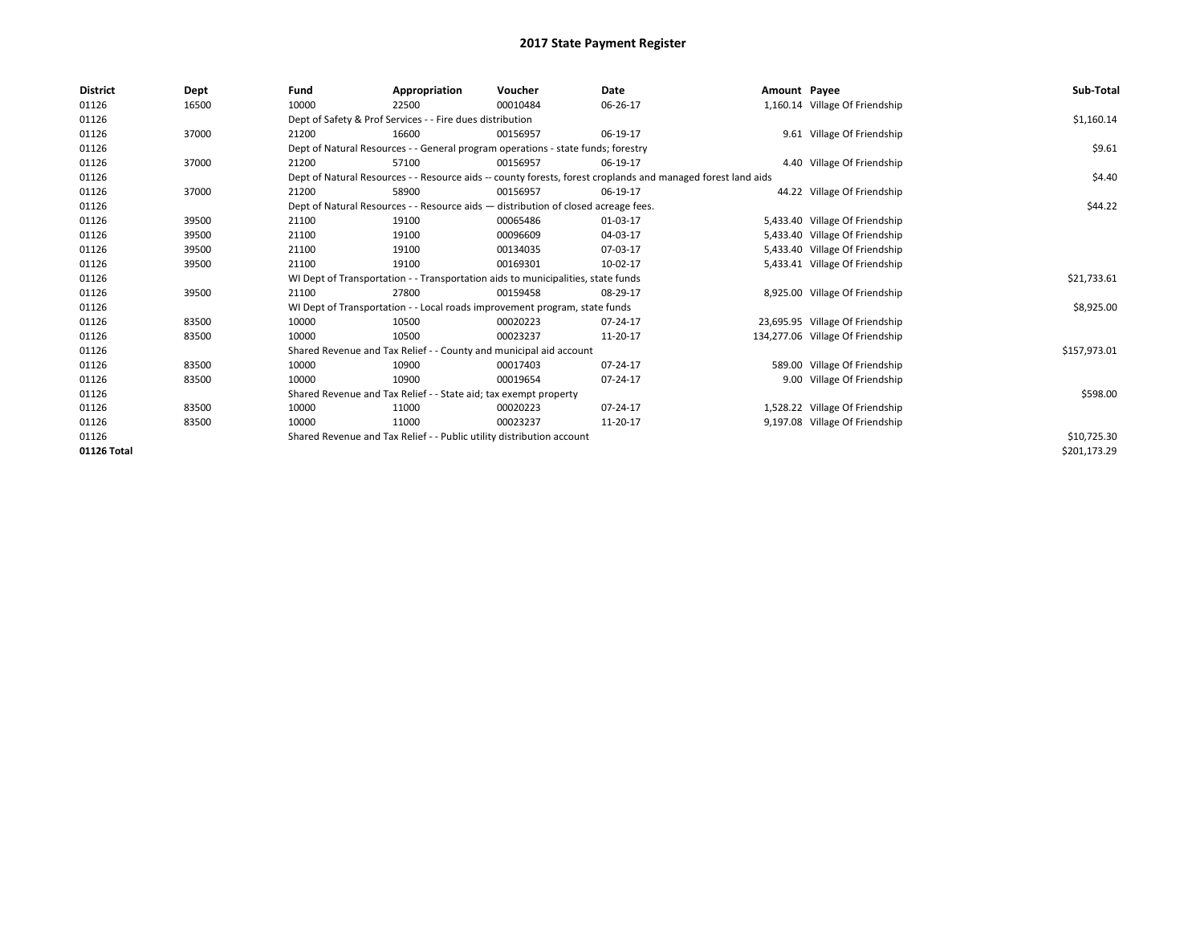| <b>District</b> | Dept  | Fund                                                                  | Appropriation                                                                                                | Voucher                                                                            | Date     | Amount Payee |                                  | Sub-Total    |  |  |
|-----------------|-------|-----------------------------------------------------------------------|--------------------------------------------------------------------------------------------------------------|------------------------------------------------------------------------------------|----------|--------------|----------------------------------|--------------|--|--|
| 01126           | 16500 | 10000                                                                 | 22500                                                                                                        | 00010484                                                                           | 06-26-17 |              | 1,160.14 Village Of Friendship   |              |  |  |
| 01126           |       |                                                                       | Dept of Safety & Prof Services - - Fire dues distribution                                                    |                                                                                    |          |              |                                  | \$1,160.14   |  |  |
| 01126           | 37000 | 21200                                                                 | 16600                                                                                                        | 00156957                                                                           | 06-19-17 |              | 9.61 Village Of Friendship       |              |  |  |
| 01126           |       |                                                                       |                                                                                                              | Dept of Natural Resources - - General program operations - state funds; forestry   |          |              |                                  | \$9.61       |  |  |
| 01126           | 37000 | 21200                                                                 | 57100                                                                                                        | 00156957                                                                           | 06-19-17 |              | 4.40 Village Of Friendship       |              |  |  |
| 01126           |       |                                                                       | Dept of Natural Resources - - Resource aids -- county forests, forest croplands and managed forest land aids |                                                                                    |          |              |                                  |              |  |  |
| 01126           | 37000 | 21200                                                                 | 58900                                                                                                        | 00156957                                                                           | 06-19-17 |              | 44.22 Village Of Friendship      |              |  |  |
| 01126           |       |                                                                       |                                                                                                              | Dept of Natural Resources - - Resource aids - distribution of closed acreage fees. |          |              |                                  | \$44.22      |  |  |
| 01126           | 39500 | 21100                                                                 | 19100                                                                                                        | 00065486                                                                           | 01-03-17 |              | 5,433.40 Village Of Friendship   |              |  |  |
| 01126           | 39500 | 21100                                                                 | 19100                                                                                                        | 00096609                                                                           | 04-03-17 |              | 5,433.40 Village Of Friendship   |              |  |  |
| 01126           | 39500 | 21100                                                                 | 19100                                                                                                        | 00134035                                                                           | 07-03-17 |              | 5,433.40 Village Of Friendship   |              |  |  |
| 01126           | 39500 | 21100                                                                 | 19100                                                                                                        | 00169301                                                                           | 10-02-17 |              | 5,433.41 Village Of Friendship   |              |  |  |
| 01126           |       |                                                                       |                                                                                                              | WI Dept of Transportation - - Transportation aids to municipalities, state funds   |          |              |                                  | \$21,733.61  |  |  |
| 01126           | 39500 | 21100                                                                 | 27800                                                                                                        | 00159458                                                                           | 08-29-17 |              | 8,925.00 Village Of Friendship   |              |  |  |
| 01126           |       |                                                                       |                                                                                                              | WI Dept of Transportation - - Local roads improvement program, state funds         |          |              |                                  | \$8,925.00   |  |  |
| 01126           | 83500 | 10000                                                                 | 10500                                                                                                        | 00020223                                                                           | 07-24-17 |              | 23,695.95 Village Of Friendship  |              |  |  |
| 01126           | 83500 | 10000                                                                 | 10500                                                                                                        | 00023237                                                                           | 11-20-17 |              | 134,277.06 Village Of Friendship |              |  |  |
| 01126           |       |                                                                       | Shared Revenue and Tax Relief - - County and municipal aid account                                           |                                                                                    |          |              |                                  | \$157,973.01 |  |  |
| 01126           | 83500 | 10000                                                                 | 10900                                                                                                        | 00017403                                                                           | 07-24-17 |              | 589.00 Village Of Friendship     |              |  |  |
| 01126           | 83500 | 10000                                                                 | 10900                                                                                                        | 00019654                                                                           | 07-24-17 |              | 9.00 Village Of Friendship       |              |  |  |
| 01126           |       |                                                                       | Shared Revenue and Tax Relief - - State aid; tax exempt property                                             |                                                                                    |          |              |                                  | \$598.00     |  |  |
| 01126           | 83500 | 10000                                                                 | 11000                                                                                                        | 00020223                                                                           | 07-24-17 |              | 1,528.22 Village Of Friendship   |              |  |  |
| 01126           | 83500 | 10000                                                                 | 11000                                                                                                        | 00023237                                                                           | 11-20-17 |              | 9,197.08 Village Of Friendship   |              |  |  |
| 01126           |       | Shared Revenue and Tax Relief - - Public utility distribution account |                                                                                                              | \$10,725.30                                                                        |          |              |                                  |              |  |  |
| 01126 Total     |       |                                                                       |                                                                                                              |                                                                                    |          |              |                                  | \$201,173.29 |  |  |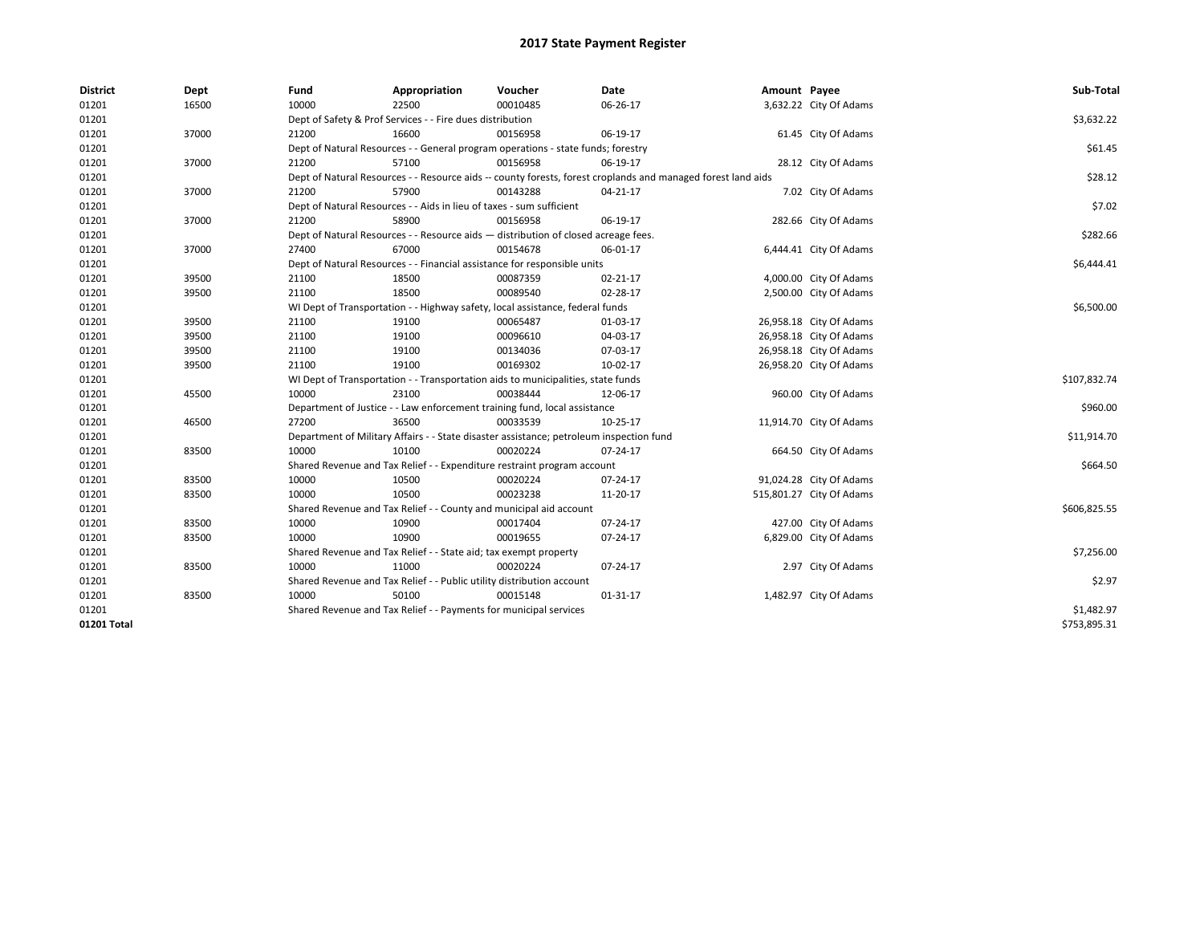| <b>District</b> | Dept  | Fund  | Appropriation                                                                           | Voucher  | Date                                                                                                         | Amount Payee |                          | Sub-Total    |
|-----------------|-------|-------|-----------------------------------------------------------------------------------------|----------|--------------------------------------------------------------------------------------------------------------|--------------|--------------------------|--------------|
| 01201           | 16500 | 10000 | 22500                                                                                   | 00010485 | 06-26-17                                                                                                     |              | 3,632.22 City Of Adams   |              |
| 01201           |       |       | Dept of Safety & Prof Services - - Fire dues distribution                               |          |                                                                                                              |              |                          | \$3,632.22   |
| 01201           | 37000 | 21200 | 16600                                                                                   | 00156958 | 06-19-17                                                                                                     |              | 61.45 City Of Adams      |              |
| 01201           |       |       | Dept of Natural Resources - - General program operations - state funds; forestry        |          |                                                                                                              |              |                          | \$61.45      |
| 01201           | 37000 | 21200 | 57100                                                                                   | 00156958 | 06-19-17                                                                                                     |              | 28.12 City Of Adams      |              |
| 01201           |       |       |                                                                                         |          | Dept of Natural Resources - - Resource aids -- county forests, forest croplands and managed forest land aids |              |                          | \$28.12      |
| 01201           | 37000 | 21200 | 57900                                                                                   | 00143288 | 04-21-17                                                                                                     |              | 7.02 City Of Adams       |              |
| 01201           |       |       | Dept of Natural Resources - - Aids in lieu of taxes - sum sufficient                    |          |                                                                                                              |              |                          | \$7.02       |
| 01201           | 37000 | 21200 | 58900                                                                                   | 00156958 | 06-19-17                                                                                                     |              | 282.66 City Of Adams     |              |
| 01201           |       |       | Dept of Natural Resources - - Resource aids - distribution of closed acreage fees.      |          |                                                                                                              |              |                          | \$282.66     |
| 01201           | 37000 | 27400 | 67000                                                                                   | 00154678 | 06-01-17                                                                                                     |              | 6,444.41 City Of Adams   |              |
| 01201           |       |       | Dept of Natural Resources - - Financial assistance for responsible units                |          |                                                                                                              |              |                          | \$6,444.41   |
| 01201           | 39500 | 21100 | 18500                                                                                   | 00087359 | 02-21-17                                                                                                     |              | 4,000.00 City Of Adams   |              |
| 01201           | 39500 | 21100 | 18500                                                                                   | 00089540 | 02-28-17                                                                                                     |              | 2,500.00 City Of Adams   |              |
| 01201           |       |       | WI Dept of Transportation - - Highway safety, local assistance, federal funds           |          |                                                                                                              |              |                          | \$6,500.00   |
| 01201           | 39500 | 21100 | 19100                                                                                   | 00065487 | 01-03-17                                                                                                     |              | 26,958.18 City Of Adams  |              |
| 01201           | 39500 | 21100 | 19100                                                                                   | 00096610 | 04-03-17                                                                                                     |              | 26,958.18 City Of Adams  |              |
| 01201           | 39500 | 21100 | 19100                                                                                   | 00134036 | 07-03-17                                                                                                     |              | 26,958.18 City Of Adams  |              |
| 01201           | 39500 | 21100 | 19100                                                                                   | 00169302 | 10-02-17                                                                                                     |              | 26,958.20 City Of Adams  |              |
| 01201           |       |       | WI Dept of Transportation - - Transportation aids to municipalities, state funds        |          |                                                                                                              |              |                          | \$107,832.74 |
| 01201           | 45500 | 10000 | 23100                                                                                   | 00038444 | 12-06-17                                                                                                     |              | 960.00 City Of Adams     |              |
| 01201           |       |       | Department of Justice - - Law enforcement training fund, local assistance               |          |                                                                                                              |              |                          | \$960.00     |
| 01201           | 46500 | 27200 | 36500                                                                                   | 00033539 | 10-25-17                                                                                                     |              | 11,914.70 City Of Adams  |              |
| 01201           |       |       | Department of Military Affairs - - State disaster assistance; petroleum inspection fund |          |                                                                                                              |              |                          | \$11,914.70  |
| 01201           | 83500 | 10000 | 10100                                                                                   | 00020224 | 07-24-17                                                                                                     |              | 664.50 City Of Adams     |              |
| 01201           |       |       | Shared Revenue and Tax Relief - - Expenditure restraint program account                 |          |                                                                                                              |              |                          | \$664.50     |
| 01201           | 83500 | 10000 | 10500                                                                                   | 00020224 | 07-24-17                                                                                                     |              | 91,024.28 City Of Adams  |              |
| 01201           | 83500 | 10000 | 10500                                                                                   | 00023238 | 11-20-17                                                                                                     |              | 515,801.27 City Of Adams |              |
| 01201           |       |       | Shared Revenue and Tax Relief - - County and municipal aid account                      |          |                                                                                                              |              |                          | \$606,825.55 |
| 01201           | 83500 | 10000 | 10900                                                                                   | 00017404 | 07-24-17                                                                                                     |              | 427.00 City Of Adams     |              |
| 01201           | 83500 | 10000 | 10900                                                                                   | 00019655 | 07-24-17                                                                                                     |              | 6,829.00 City Of Adams   |              |
| 01201           |       |       | Shared Revenue and Tax Relief - - State aid; tax exempt property                        |          |                                                                                                              |              |                          | \$7,256.00   |
| 01201           | 83500 | 10000 | 11000                                                                                   | 00020224 | 07-24-17                                                                                                     |              | 2.97 City Of Adams       |              |
| 01201           |       |       | Shared Revenue and Tax Relief - - Public utility distribution account                   |          |                                                                                                              |              |                          | \$2.97       |
| 01201           | 83500 | 10000 | 50100                                                                                   | 00015148 | 01-31-17                                                                                                     |              | 1,482.97 City Of Adams   |              |
| 01201           |       |       | Shared Revenue and Tax Relief - - Payments for municipal services                       |          |                                                                                                              |              |                          | \$1,482.97   |
| 01201 Total     |       |       |                                                                                         |          |                                                                                                              |              |                          | \$753.895.31 |